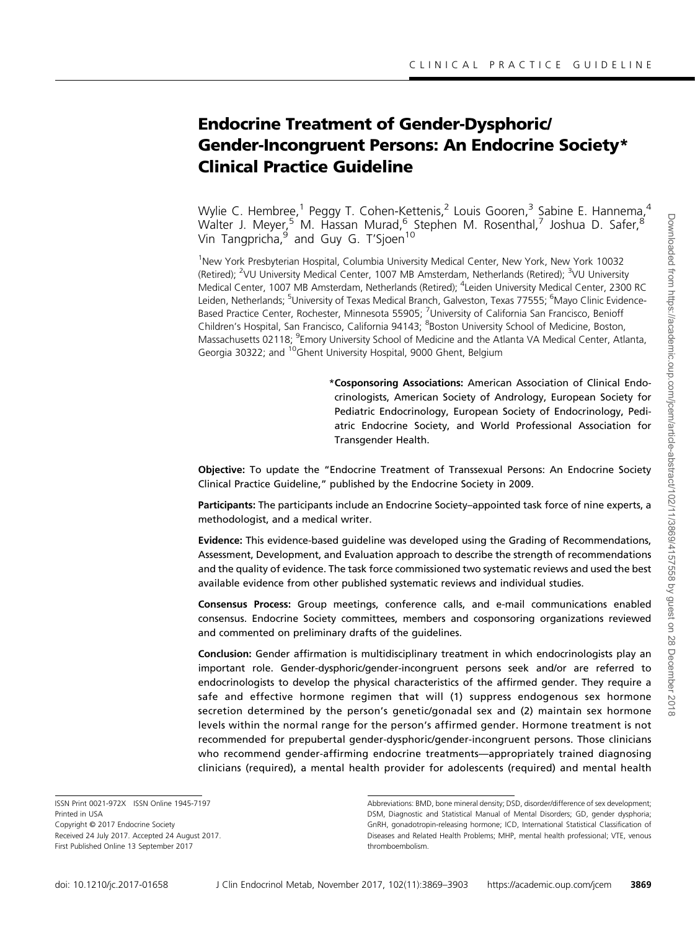# Endocrine Treatment of Gender-Dysphoric/ Gender-Incongruent Persons: An Endocrine Society\* Clinical Practice Guideline

Wylie C. Hembree,<sup>1</sup> Peggy T. Cohen-Kettenis,<sup>2</sup> Louis Gooren,<sup>3</sup> Sabine E. Hannema,<sup>4</sup> Walter J. Meyer,<sup>5</sup> M. Hassan Murad,<sup>6</sup> Stephen M. Rosenthal,<sup>7</sup> Joshua D. Safer,<sup>8</sup> Vin Tangpricha,<sup>9</sup> and Guy G. T'Sjoen<sup>10</sup>

<sup>1</sup>New York Presbyterian Hospital, Columbia University Medical Center, New York, New York 10032 (Retired); <sup>2</sup>VU University Medical Center, 1007 MB Amsterdam, Netherlands (Retired); <sup>3</sup>VU University Medical Center, 1007 MB Amsterdam, Netherlands (Retired); <sup>4</sup>Leiden University Medical Center, 2300 RC Leiden, Netherlands; <sup>5</sup>University of Texas Medical Branch, Galveston, Texas 77555; <sup>6</sup>Mayo Clinic Evidence-Based Practice Center, Rochester, Minnesota 55905; <sup>7</sup>University of California San Francisco, Benioff Children's Hospital, San Francisco, California 94143; <sup>8</sup>Boston University School of Medicine, Boston, Massachusetts 02118; <sup>9</sup>Emory University School of Medicine and the Atlanta VA Medical Center, Atlanta, Georgia 30322; and <sup>10</sup>Ghent University Hospital, 9000 Ghent, Belgium

> \*Cosponsoring Associations: American Association of Clinical Endocrinologists, American Society of Andrology, European Society for Pediatric Endocrinology, European Society of Endocrinology, Pediatric Endocrine Society, and World Professional Association for Transgender Health.

Objective: To update the "Endocrine Treatment of Transsexual Persons: An Endocrine Society Clinical Practice Guideline," published by the Endocrine Society in 2009.

Participants: The participants include an Endocrine Society–appointed task force of nine experts, a methodologist, and a medical writer.

Evidence: This evidence-based guideline was developed using the Grading of Recommendations, Assessment, Development, and Evaluation approach to describe the strength of recommendations and the quality of evidence. The task force commissioned two systematic reviews and used the best available evidence from other published systematic reviews and individual studies.

Consensus Process: Group meetings, conference calls, and e-mail communications enabled consensus. Endocrine Society committees, members and cosponsoring organizations reviewed and commented on preliminary drafts of the guidelines.

Conclusion: Gender affirmation is multidisciplinary treatment in which endocrinologists play an important role. Gender-dysphoric/gender-incongruent persons seek and/or are referred to endocrinologists to develop the physical characteristics of the affirmed gender. They require a safe and effective hormone regimen that will (1) suppress endogenous sex hormone secretion determined by the person's genetic/gonadal sex and (2) maintain sex hormone levels within the normal range for the person's affirmed gender. Hormone treatment is not recommended for prepubertal gender-dysphoric/gender-incongruent persons. Those clinicians who recommend gender-affirming endocrine treatments—appropriately trained diagnosing clinicians (required), a mental health provider for adolescents (required) and mental health

ISSN Print 0021-972X ISSN Online 1945-7197 Printed in USA Copyright © 2017 Endocrine Society Received 24 July 2017. Accepted 24 August 2017. First Published Online 13 September 2017

Abbreviations: BMD, bone mineral density; DSD, disorder/difference of sex development; DSM, Diagnostic and Statistical Manual of Mental Disorders; GD, gender dysphoria; GnRH, gonadotropin-releasing hormone; ICD, International Statistical Classification of Diseases and Related Health Problems; MHP, mental health professional; VTE, venous thromboembolism.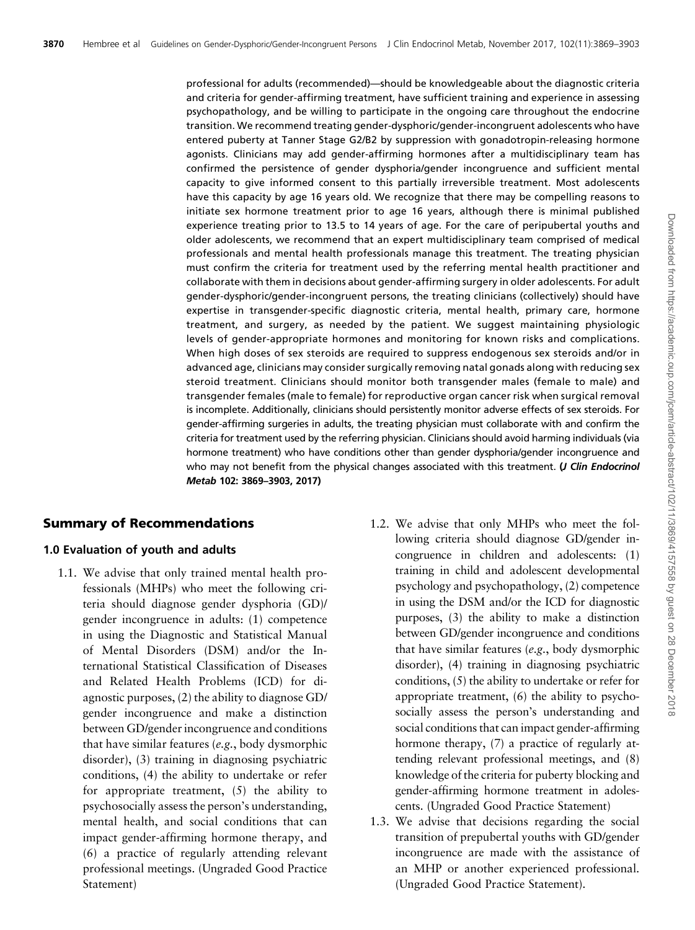professional for adults (recommended)—should be knowledgeable about the diagnostic criteria and criteria for gender-affirming treatment, have sufficient training and experience in assessing psychopathology, and be willing to participate in the ongoing care throughout the endocrine transition. We recommend treating gender-dysphoric/gender-incongruent adolescents who have entered puberty at Tanner Stage G2/B2 by suppression with gonadotropin-releasing hormone agonists. Clinicians may add gender-affirming hormones after a multidisciplinary team has confirmed the persistence of gender dysphoria/gender incongruence and sufficient mental capacity to give informed consent to this partially irreversible treatment. Most adolescents have this capacity by age 16 years old. We recognize that there may be compelling reasons to initiate sex hormone treatment prior to age 16 years, although there is minimal published experience treating prior to 13.5 to 14 years of age. For the care of peripubertal youths and older adolescents, we recommend that an expert multidisciplinary team comprised of medical professionals and mental health professionals manage this treatment. The treating physician must confirm the criteria for treatment used by the referring mental health practitioner and collaborate with them in decisions about gender-affirming surgery in older adolescents. For adult gender-dysphoric/gender-incongruent persons, the treating clinicians (collectively) should have expertise in transgender-specific diagnostic criteria, mental health, primary care, hormone treatment, and surgery, as needed by the patient. We suggest maintaining physiologic levels of gender-appropriate hormones and monitoring for known risks and complications. When high doses of sex steroids are required to suppress endogenous sex steroids and/or in advanced age, clinicians may consider surgically removing natal gonads along with reducing sex steroid treatment. Clinicians should monitor both transgender males (female to male) and transgender females (male to female) for reproductive organ cancer risk when surgical removal is incomplete. Additionally, clinicians should persistently monitor adverse effects of sex steroids. For gender-affirming surgeries in adults, the treating physician must collaborate with and confirm the criteria for treatment used by the referring physician. Clinicians should avoid harming individuals (via hormone treatment) who have conditions other than gender dysphoria/gender incongruence and who may not benefit from the physical changes associated with this treatment. *(J Clin Endocrinol* Metab 102: 3869–3903, 2017)

### Summary of Recommendations

#### 1.0 Evaluation of youth and adults

- 1.1. We advise that only trained mental health professionals (MHPs) who meet the following criteria should diagnose gender dysphoria (GD)/ gender incongruence in adults: (1) competence in using the Diagnostic and Statistical Manual of Mental Disorders (DSM) and/or the International Statistical Classification of Diseases and Related Health Problems (ICD) for diagnostic purposes, (2) the ability to diagnose GD/ gender incongruence and make a distinction between GD/gender incongruence and conditions that have similar features (e.g., body dysmorphic disorder), (3) training in diagnosing psychiatric conditions, (4) the ability to undertake or refer for appropriate treatment, (5) the ability to psychosocially assess the person's understanding, mental health, and social conditions that can impact gender-affirming hormone therapy, and (6) a practice of regularly attending relevant professional meetings. (Ungraded Good Practice Statement)
- 1.2. We advise that only MHPs who meet the following criteria should diagnose GD/gender incongruence in children and adolescents: (1) training in child and adolescent developmental psychology and psychopathology, (2) competence in using the DSM and/or the ICD for diagnostic purposes, (3) the ability to make a distinction between GD/gender incongruence and conditions that have similar features (e.g., body dysmorphic disorder), (4) training in diagnosing psychiatric conditions, (5) the ability to undertake or refer for appropriate treatment, (6) the ability to psychosocially assess the person's understanding and social conditions that can impact gender-affirming hormone therapy, (7) a practice of regularly attending relevant professional meetings, and (8) knowledge of the criteria for puberty blocking and gender-affirming hormone treatment in adolescents. (Ungraded Good Practice Statement)
- 1.3. We advise that decisions regarding the social transition of prepubertal youths with GD/gender incongruence are made with the assistance of an MHP or another experienced professional. (Ungraded Good Practice Statement).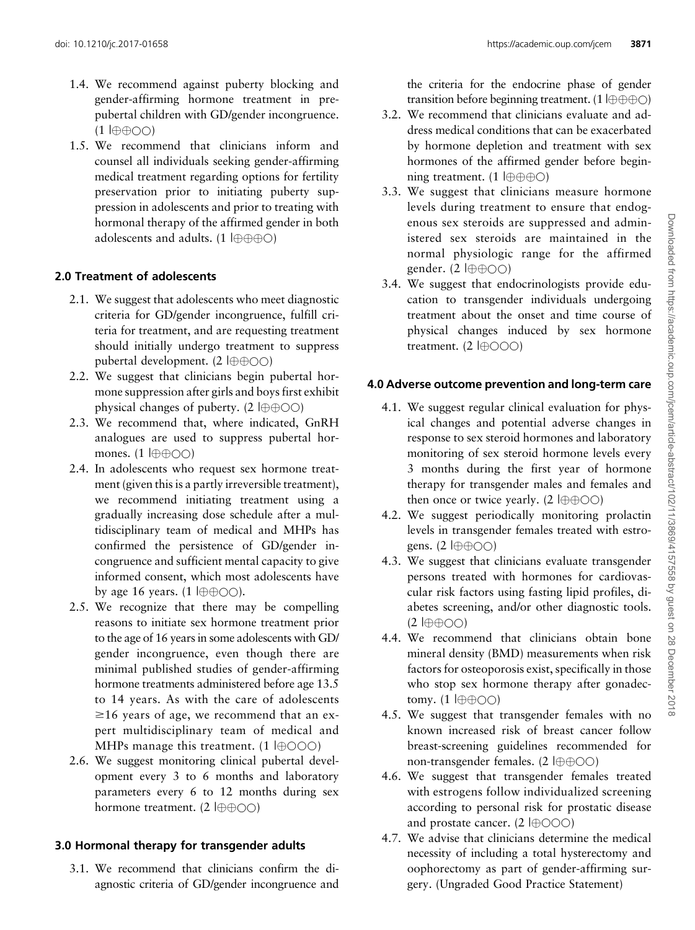- 1.4. We recommend against puberty blocking and gender-affirming hormone treatment in prepubertal children with GD/gender incongruence.  $(1 \oplus \oplus \odot \odot)$
- 1.5. We recommend that clinicians inform and counsel all individuals seeking gender-affirming medical treatment regarding options for fertility preservation prior to initiating puberty suppression in adolescents and prior to treating with hormonal therapy of the affirmed gender in both adolescents and adults. (1  $|\oplus \oplus \oplus \odot$ )

# 2.0 Treatment of adolescents

- 2.1. We suggest that adolescents who meet diagnostic criteria for GD/gender incongruence, fulfill criteria for treatment, and are requesting treatment should initially undergo treatment to suppress pubertal development. (2  $\ket{\oplus \oplus \odot \odot}$ )
- 2.2. We suggest that clinicians begin pubertal hormone suppression after girls and boys first exhibit physical changes of puberty.  $(2 \text{ }|\oplus \oplus \text{ }O)$
- 2.3. We recommend that, where indicated, GnRH analogues are used to suppress pubertal hormones.  $(1 | \oplus \oplus \odot \odot)$
- 2.4. In adolescents who request sex hormone treatment (given this is a partly irreversible treatment), we recommend initiating treatment using a gradually increasing dose schedule after a multidisciplinary team of medical and MHPs has confirmed the persistence of GD/gender incongruence and sufficient mental capacity to give informed consent, which most adolescents have by age 16 years. (1  $\oplus \oplus \odot \odot$ ).
- 2.5. We recognize that there may be compelling reasons to initiate sex hormone treatment prior to the age of 16 years in some adolescents with GD/ gender incongruence, even though there are minimal published studies of gender-affirming hormone treatments administered before age 13.5 to 14 years. As with the care of adolescents  $\geq$ 16 years of age, we recommend that an expert multidisciplinary team of medical and MHPs manage this treatment.  $(1 \text{ } | \oplus \text{OOO})$
- 2.6. We suggest monitoring clinical pubertal development every 3 to 6 months and laboratory parameters every 6 to 12 months during sex hormone treatment.  $(2 | \oplus \oplus \odot \odot)$

# 3.0 Hormonal therapy for transgender adults

3.1. We recommend that clinicians confirm the diagnostic criteria of GD/gender incongruence and the criteria for the endocrine phase of gender transition before beginning treatment.  $(1 | \oplus \oplus \oplus \odot)$ 

- 3.2. We recommend that clinicians evaluate and address medical conditions that can be exacerbated by hormone depletion and treatment with sex hormones of the affirmed gender before beginning treatment. (1  $\oplus \oplus \oplus \odot$ )
- 3.3. We suggest that clinicians measure hormone levels during treatment to ensure that endogenous sex steroids are suppressed and administered sex steroids are maintained in the normal physiologic range for the affirmed gender.  $(2 | \oplus \oplus \odot \odot)$
- 3.4. We suggest that endocrinologists provide education to transgender individuals undergoing treatment about the onset and time course of physical changes induced by sex hormone treatment.  $(2 \text{ } | \oplus \text{OOO} )$

# 4.0 Adverse outcome prevention and long-term care

- 4.1. We suggest regular clinical evaluation for physical changes and potential adverse changes in response to sex steroid hormones and laboratory monitoring of sex steroid hormone levels every 3 months during the first year of hormone therapy for transgender males and females and then once or twice yearly.  $(2 \text{ }|\oplus \oplus \text{ }| \odot)$
- 4.2. We suggest periodically monitoring prolactin levels in transgender females treated with estrogens.  $(2 \mid \oplus \oplus \bigcirc \bigcirc)$
- 4.3. We suggest that clinicians evaluate transgender persons treated with hormones for cardiovascular risk factors using fasting lipid profiles, diabetes screening, and/or other diagnostic tools.  $(2 \text{H} \oplus \text{H} \oplus \text{H} \oplus \text{H} \oplus \text{H} \oplus \text{H} \oplus \text{H} \oplus \text{H} \oplus \text{H} \oplus \text{H} \oplus \text{H} \oplus \text{H} \oplus \text{H} \oplus \text{H} \oplus \text{H} \oplus \text{H} \oplus \text{H} \oplus \text{H} \oplus \text{H} \oplus \text{H} \oplus \text{H} \oplus \text{H} \oplus \text{H} \oplus \text{H} \oplus \text{H} \oplus \text{H} \oplus \text{H} \oplus \text$
- 4.4. We recommend that clinicians obtain bone mineral density (BMD) measurements when risk factors for osteoporosis exist, specifically in those who stop sex hormone therapy after gonadectomy.  $(1 \oplus \oplus \odot \odot)$
- 4.5. We suggest that transgender females with no known increased risk of breast cancer follow breast-screening guidelines recommended for non-transgender females.  $(2 | \oplus \oplus \odot \odot)$
- 4.6. We suggest that transgender females treated with estrogens follow individualized screening according to personal risk for prostatic disease and prostate cancer.  $(2 | \oplus \odot \odot)$
- 4.7. We advise that clinicians determine the medical necessity of including a total hysterectomy and oophorectomy as part of gender-affirming surgery. (Ungraded Good Practice Statement)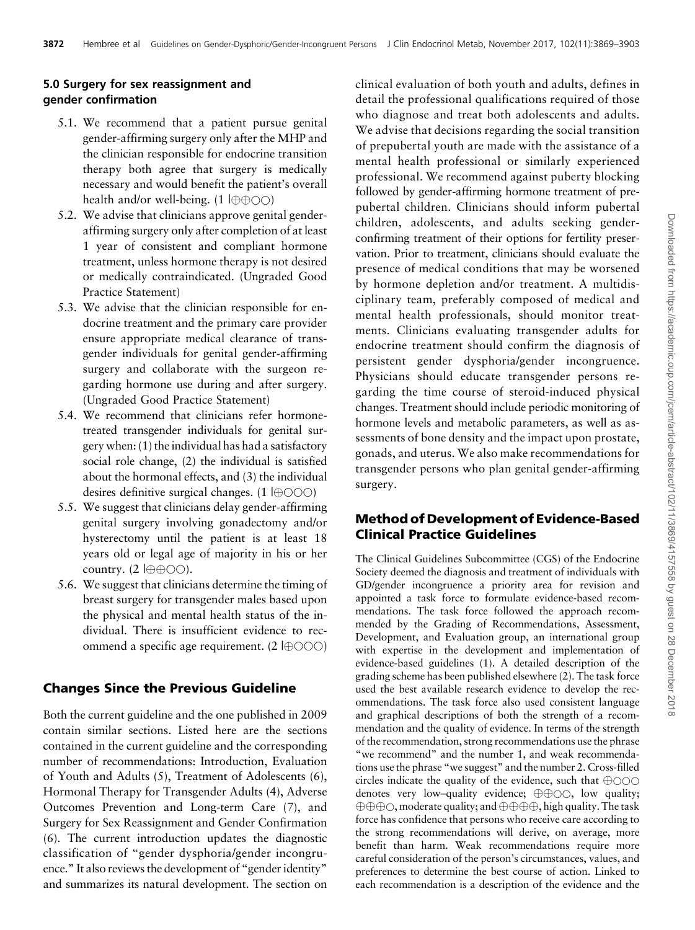# 5.0 Surgery for sex reassignment and gender confirmation

- 5.1. We recommend that a patient pursue genital gender-affirming surgery only after the MHP and the clinician responsible for endocrine transition therapy both agree that surgery is medically necessary and would benefit the patient's overall health and/or well-being.  $(1 \oplus \oplus \odot \odot)$
- 5.2. We advise that clinicians approve genital genderaffirming surgery only after completion of at least 1 year of consistent and compliant hormone treatment, unless hormone therapy is not desired or medically contraindicated. (Ungraded Good Practice Statement)
- 5.3. We advise that the clinician responsible for endocrine treatment and the primary care provider ensure appropriate medical clearance of transgender individuals for genital gender-affirming surgery and collaborate with the surgeon regarding hormone use during and after surgery. (Ungraded Good Practice Statement)
- 5.4. We recommend that clinicians refer hormonetreated transgender individuals for genital surgery when: (1) the individual has had a satisfactory social role change, (2) the individual is satisfied about the hormonal effects, and (3) the individual desires definitive surgical changes.  $(1 \oplus \odot \odot)$
- 5.5. We suggest that clinicians delay gender-affirming genital surgery involving gonadectomy and/or hysterectomy until the patient is at least 18 years old or legal age of majority in his or her country.  $(2 \text{ }|\oplus \oplus \text{ }O)$ .
- 5.6. We suggest that clinicians determine the timing of breast surgery for transgender males based upon the physical and mental health status of the individual. There is insufficient evidence to recommend a specific age requirement.  $(2 \text{ } | \oplus \text{} \odot \text{ } \odot)$

### Changes Since the Previous Guideline

Both the current guideline and the one published in 2009 contain similar sections. Listed here are the sections contained in the current guideline and the corresponding number of recommendations: Introduction, Evaluation of Youth and Adults (5), Treatment of Adolescents (6), Hormonal Therapy for Transgender Adults (4), Adverse Outcomes Prevention and Long-term Care (7), and Surgery for Sex Reassignment and Gender Confirmation (6). The current introduction updates the diagnostic classification of "gender dysphoria/gender incongruence." It also reviews the development of "gender identity" and summarizes its natural development. The section on clinical evaluation of both youth and adults, defines in detail the professional qualifications required of those who diagnose and treat both adolescents and adults. We advise that decisions regarding the social transition of prepubertal youth are made with the assistance of a mental health professional or similarly experienced professional. We recommend against puberty blocking followed by gender-affirming hormone treatment of prepubertal children. Clinicians should inform pubertal children, adolescents, and adults seeking genderconfirming treatment of their options for fertility preservation. Prior to treatment, clinicians should evaluate the presence of medical conditions that may be worsened by hormone depletion and/or treatment. A multidisciplinary team, preferably composed of medical and mental health professionals, should monitor treatments. Clinicians evaluating transgender adults for endocrine treatment should confirm the diagnosis of persistent gender dysphoria/gender incongruence. Physicians should educate transgender persons regarding the time course of steroid-induced physical changes. Treatment should include periodic monitoring of hormone levels and metabolic parameters, as well as assessments of bone density and the impact upon prostate, gonads, and uterus. We also make recommendations for transgender persons who plan genital gender-affirming surgery.

# Method of Development of Evidence-Based Clinical Practice Guidelines

The Clinical Guidelines Subcommittee (CGS) of the Endocrine Society deemed the diagnosis and treatment of individuals with GD/gender incongruence a priority area for revision and appointed a task force to formulate evidence-based recommendations. The task force followed the approach recommended by the Grading of Recommendations, Assessment, Development, and Evaluation group, an international group with expertise in the development and implementation of evidence-based guidelines ([1\)](#page-27-0). A detailed description of the grading scheme has been published elsewhere [\(2](#page-27-0)). The task force used the best available research evidence to develop the recommendations. The task force also used consistent language and graphical descriptions of both the strength of a recommendation and the quality of evidence. In terms of the strength of the recommendation, strong recommendations use the phrase "we recommend" and the number 1, and weak recommendations use the phrase "we suggest" and the number 2. Cross-filled circles indicate the quality of the evidence, such that  $\bigoplus$ OOO denotes very low-quality evidence;  $\oplus \oplus \odot \odot$ , low quality;  $\oplus$  $\oplus$  $\oplus$  $\odot$ , moderate quality; and  $\oplus$  $\oplus$  $\oplus$ , high quality. The task force has confidence that persons who receive care according to the strong recommendations will derive, on average, more benefit than harm. Weak recommendations require more careful consideration of the person's circumstances, values, and preferences to determine the best course of action. Linked to each recommendation is a description of the evidence and the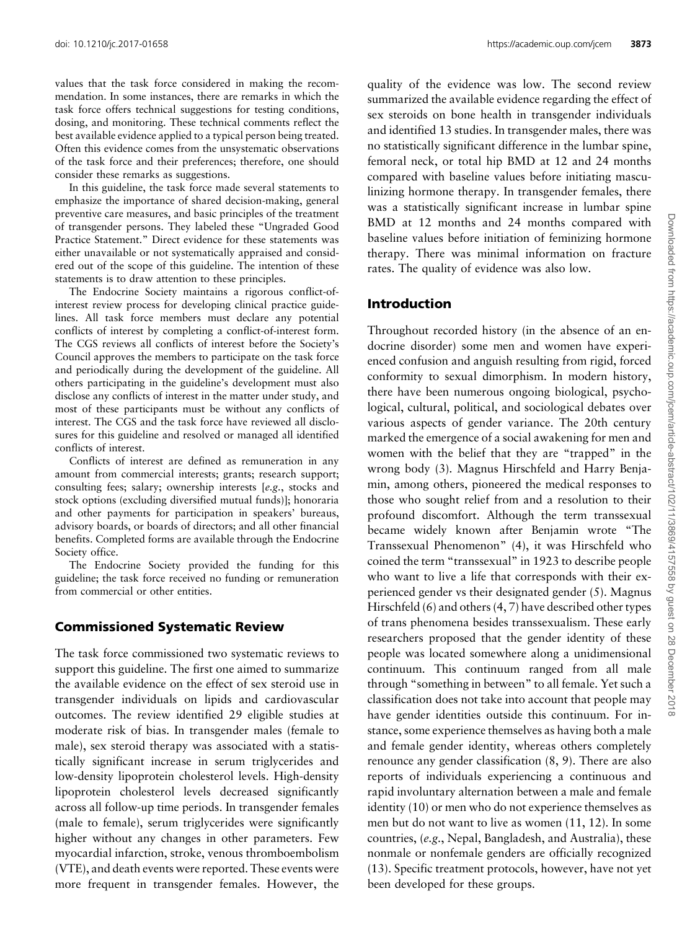values that the task force considered in making the recommendation. In some instances, there are remarks in which the task force offers technical suggestions for testing conditions, dosing, and monitoring. These technical comments reflect the best available evidence applied to a typical person being treated. Often this evidence comes from the unsystematic observations of the task force and their preferences; therefore, one should consider these remarks as suggestions.

In this guideline, the task force made several statements to emphasize the importance of shared decision-making, general preventive care measures, and basic principles of the treatment of transgender persons. They labeled these "Ungraded Good Practice Statement." Direct evidence for these statements was either unavailable or not systematically appraised and considered out of the scope of this guideline. The intention of these statements is to draw attention to these principles.

The Endocrine Society maintains a rigorous conflict-ofinterest review process for developing clinical practice guidelines. All task force members must declare any potential conflicts of interest by completing a conflict-of-interest form. The CGS reviews all conflicts of interest before the Society's Council approves the members to participate on the task force and periodically during the development of the guideline. All others participating in the guideline's development must also disclose any conflicts of interest in the matter under study, and most of these participants must be without any conflicts of interest. The CGS and the task force have reviewed all disclosures for this guideline and resolved or managed all identified conflicts of interest.

Conflicts of interest are defined as remuneration in any amount from commercial interests; grants; research support; consulting fees; salary; ownership interests [e.g., stocks and stock options (excluding diversified mutual funds)]; honoraria and other payments for participation in speakers' bureaus, advisory boards, or boards of directors; and all other financial benefits. Completed forms are available through the Endocrine Society office.

The Endocrine Society provided the funding for this guideline; the task force received no funding or remuneration from commercial or other entities.

### Commissioned Systematic Review

The task force commissioned two systematic reviews to support this guideline. The first one aimed to summarize the available evidence on the effect of sex steroid use in transgender individuals on lipids and cardiovascular outcomes. The review identified 29 eligible studies at moderate risk of bias. In transgender males (female to male), sex steroid therapy was associated with a statistically significant increase in serum triglycerides and low-density lipoprotein cholesterol levels. High-density lipoprotein cholesterol levels decreased significantly across all follow-up time periods. In transgender females (male to female), serum triglycerides were significantly higher without any changes in other parameters. Few myocardial infarction, stroke, venous thromboembolism (VTE), and death events were reported. These events were more frequent in transgender females. However, the

quality of the evidence was low. The second review summarized the available evidence regarding the effect of sex steroids on bone health in transgender individuals and identified 13 studies. In transgender males, there was no statistically significant difference in the lumbar spine, femoral neck, or total hip BMD at 12 and 24 months compared with baseline values before initiating masculinizing hormone therapy. In transgender females, there was a statistically significant increase in lumbar spine BMD at 12 months and 24 months compared with baseline values before initiation of feminizing hormone therapy. There was minimal information on fracture rates. The quality of evidence was also low.

### Introduction

Throughout recorded history (in the absence of an endocrine disorder) some men and women have experienced confusion and anguish resulting from rigid, forced conformity to sexual dimorphism. In modern history, there have been numerous ongoing biological, psychological, cultural, political, and sociological debates over various aspects of gender variance. The 20th century marked the emergence of a social awakening for men and women with the belief that they are "trapped" in the wrong body [\(3\)](#page-27-0). Magnus Hirschfeld and Harry Benjamin, among others, pioneered the medical responses to those who sought relief from and a resolution to their profound discomfort. Although the term transsexual became widely known after Benjamin wrote "The Transsexual Phenomenon" ([4](#page-27-0)), it was Hirschfeld who coined the term "transsexual" in 1923 to describe people who want to live a life that corresponds with their experienced gender vs their designated gender ([5](#page-27-0)). Magnus Hirschfeld ([6](#page-27-0)) and others [\(4, 7\)](#page-27-0) have described other types of trans phenomena besides transsexualism. These early researchers proposed that the gender identity of these people was located somewhere along a unidimensional continuum. This continuum ranged from all male through "something in between" to all female. Yet such a classification does not take into account that people may have gender identities outside this continuum. For instance, some experience themselves as having both a male and female gender identity, whereas others completely renounce any gender classification [\(8, 9\)](#page-27-0). There are also reports of individuals experiencing a continuous and rapid involuntary alternation between a male and female identity ([10\)](#page-27-0) or men who do not experience themselves as men but do not want to live as women [\(11](#page-27-0), [12\)](#page-27-0). In some countries, (e.g., Nepal, Bangladesh, and Australia), these nonmale or nonfemale genders are officially recognized ([13\)](#page-27-0). Specific treatment protocols, however, have not yet been developed for these groups.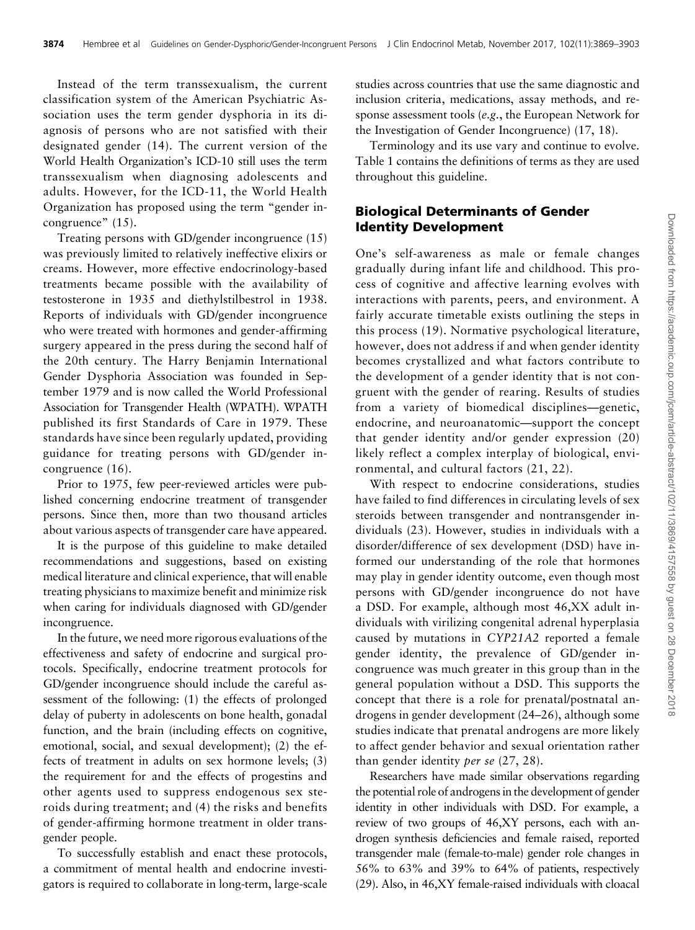Instead of the term transsexualism, the current classification system of the American Psychiatric Association uses the term gender dysphoria in its diagnosis of persons who are not satisfied with their designated gender [\(14\)](#page-27-0). The current version of the World Health Organization's ICD-10 still uses the term transsexualism when diagnosing adolescents and adults. However, for the ICD-11, the World Health Organization has proposed using the term "gender incongruence" ([15](#page-27-0)).

Treating persons with GD/gender incongruence ([15](#page-27-0)) was previously limited to relatively ineffective elixirs or creams. However, more effective endocrinology-based treatments became possible with the availability of testosterone in 1935 and diethylstilbestrol in 1938. Reports of individuals with GD/gender incongruence who were treated with hormones and gender-affirming surgery appeared in the press during the second half of the 20th century. The Harry Benjamin International Gender Dysphoria Association was founded in September 1979 and is now called the World Professional Association for Transgender Health (WPATH). WPATH published its first Standards of Care in 1979. These standards have since been regularly updated, providing guidance for treating persons with GD/gender incongruence [\(16\)](#page-27-0).

Prior to 1975, few peer-reviewed articles were published concerning endocrine treatment of transgender persons. Since then, more than two thousand articles about various aspects of transgender care have appeared.

It is the purpose of this guideline to make detailed recommendations and suggestions, based on existing medical literature and clinical experience, that will enable treating physicians to maximize benefit and minimize risk when caring for individuals diagnosed with GD/gender incongruence.

In the future, we need more rigorous evaluations of the effectiveness and safety of endocrine and surgical protocols. Specifically, endocrine treatment protocols for GD/gender incongruence should include the careful assessment of the following: (1) the effects of prolonged delay of puberty in adolescents on bone health, gonadal function, and the brain (including effects on cognitive, emotional, social, and sexual development); (2) the effects of treatment in adults on sex hormone levels; (3) the requirement for and the effects of progestins and other agents used to suppress endogenous sex steroids during treatment; and (4) the risks and benefits of gender-affirming hormone treatment in older transgender people.

To successfully establish and enact these protocols, a commitment of mental health and endocrine investigators is required to collaborate in long-term, large-scale studies across countries that use the same diagnostic and inclusion criteria, medications, assay methods, and response assessment tools (e.g., the European Network for the Investigation of Gender Incongruence) ([17, 18\)](#page-27-0).

Terminology and its use vary and continue to evolve. [Table 1](#page-6-0) contains the definitions of terms as they are used throughout this guideline.

# Biological Determinants of Gender Identity Development

One's self-awareness as male or female changes gradually during infant life and childhood. This process of cognitive and affective learning evolves with interactions with parents, peers, and environment. A fairly accurate timetable exists outlining the steps in this process ([19\)](#page-27-0). Normative psychological literature, however, does not address if and when gender identity becomes crystallized and what factors contribute to the development of a gender identity that is not congruent with the gender of rearing. Results of studies from a variety of biomedical disciplines—genetic, endocrine, and neuroanatomic—support the concept that gender identity and/or gender expression ([20](#page-27-0)) likely reflect a complex interplay of biological, environmental, and cultural factors ([21, 22](#page-27-0)).

With respect to endocrine considerations, studies have failed to find differences in circulating levels of sex steroids between transgender and nontransgender individuals ([23\)](#page-27-0). However, studies in individuals with a disorder/difference of sex development (DSD) have informed our understanding of the role that hormones may play in gender identity outcome, even though most persons with GD/gender incongruence do not have a DSD. For example, although most 46,XX adult individuals with virilizing congenital adrenal hyperplasia caused by mutations in CYP21A2 reported a female gender identity, the prevalence of GD/gender incongruence was much greater in this group than in the general population without a DSD. This supports the concept that there is a role for prenatal/postnatal androgens in gender development [\(24](#page-27-0)–[26\)](#page-27-0), although some studies indicate that prenatal androgens are more likely to affect gender behavior and sexual orientation rather than gender identity per se ([27](#page-27-0), [28](#page-27-0)).

Researchers have made similar observations regarding the potential role of androgens in the development of gender identity in other individuals with DSD. For example, a review of two groups of 46,XY persons, each with androgen synthesis deficiencies and female raised, reported transgender male (female-to-male) gender role changes in 56% to 63% and 39% to 64% of patients, respectively [\(29\)](#page-27-0). Also, in 46,XY female-raised individuals with cloacal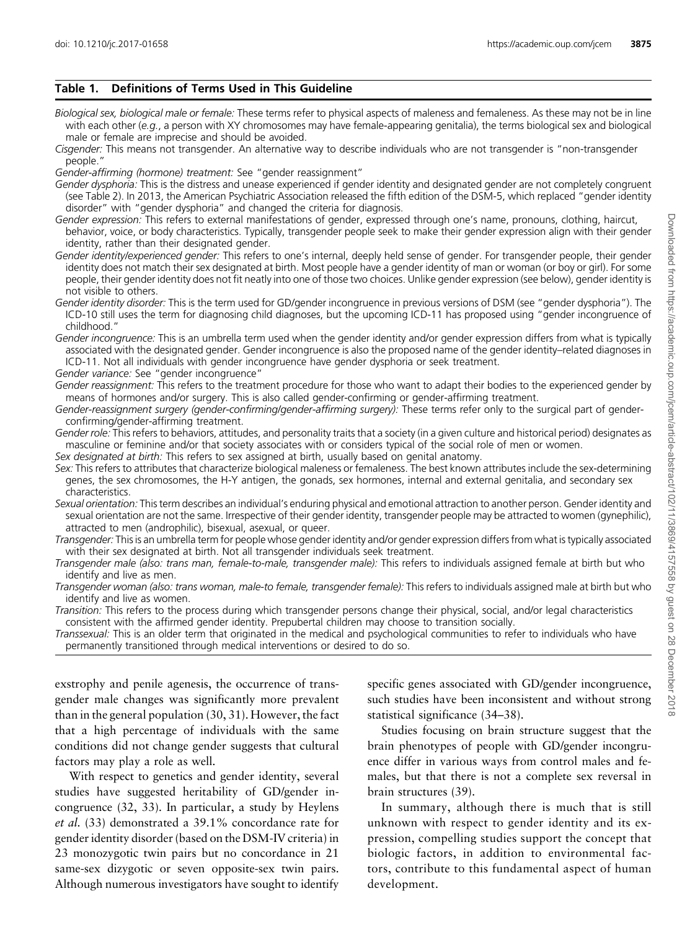### <span id="page-6-0"></span>Table 1. Definitions of Terms Used in This Guideline

- Biological sex, biological male or female: These terms refer to physical aspects of maleness and femaleness. As these may not be in line with each other (e.g., a person with XY chromosomes may have female-appearing genitalia), the terms biological sex and biological male or female are imprecise and should be avoided.
- Cisgender: This means not transgender. An alternative way to describe individuals who are not transgender is "non-transgender people."

Gender-affirming (hormone) treatment: See "gender reassignment"

- Gender dysphoria: This is the distress and unease experienced if gender identity and designated gender are not completely congruent (see Table 2). In 2013, the American Psychiatric Association released the fifth edition of the DSM-5, which replaced "gender identity disorder" with "gender dysphoria" and changed the criteria for diagnosis.
- Gender expression: This refers to external manifestations of gender, expressed through one's name, pronouns, clothing, haircut, behavior, voice, or body characteristics. Typically, transgender people seek to make their gender expression align with their gender identity, rather than their designated gender.
- Gender identity/experienced gender: This refers to one's internal, deeply held sense of gender. For transgender people, their gender identity does not match their sex designated at birth. Most people have a gender identity of man or woman (or boy or girl). For some people, their gender identity does not fit neatly into one of those two choices. Unlike gender expression (see below), gender identity is not visible to others.
- Gender identity disorder: This is the term used for GD/gender incongruence in previous versions of DSM (see "gender dysphoria"). The ICD-10 still uses the term for diagnosing child diagnoses, but the upcoming ICD-11 has proposed using "gender incongruence of childhood."
- Gender incongruence: This is an umbrella term used when the gender identity and/or gender expression differs from what is typically associated with the designated gender. Gender incongruence is also the proposed name of the gender identity–related diagnoses in ICD-11. Not all individuals with gender incongruence have gender dysphoria or seek treatment.

Gender variance: See "gender incongruence"

Gender reassignment: This refers to the treatment procedure for those who want to adapt their bodies to the experienced gender by means of hormones and/or surgery. This is also called gender-confirming or gender-affirming treatment.

- Gender-reassignment surgery (gender-confirming/gender-affirming surgery): These terms refer only to the surgical part of genderconfirming/gender-affirming treatment.
- Gender role: This refers to behaviors, attitudes, and personality traits that a society (in a given culture and historical period) designates as masculine or feminine and/or that society associates with or considers typical of the social role of men or women.

Sex designated at birth: This refers to sex assigned at birth, usually based on genital anatomy.

- Sex: This refers to attributes that characterize biological maleness or femaleness. The best known attributes include the sex-determining genes, the sex chromosomes, the H-Y antigen, the gonads, sex hormones, internal and external genitalia, and secondary sex characteristics.
- Sexual orientation: This term describes an individual's enduring physical and emotional attraction to another person. Gender identity and sexual orientation are not the same. Irrespective of their gender identity, transgender people may be attracted to women (gynephilic), attracted to men (androphilic), bisexual, asexual, or queer.
- Transgender: This is an umbrella term for people whose gender identity and/or gender expression differs from what is typically associated with their sex designated at birth. Not all transgender individuals seek treatment.
- Transgender male (also: trans man, female-to-male, transgender male): This refers to individuals assigned female at birth but who identify and live as men.
- Transgender woman (also: trans woman, male-to female, transgender female): This refers to individuals assigned male at birth but who identify and live as women.
- Transition: This refers to the process during which transgender persons change their physical, social, and/or legal characteristics consistent with the affirmed gender identity. Prepubertal children may choose to transition socially.

Transsexual: This is an older term that originated in the medical and psychological communities to refer to individuals who have permanently transitioned through medical interventions or desired to do so.

exstrophy and penile agenesis, the occurrence of transgender male changes was significantly more prevalent than in the general population ([30, 31](#page-27-0)). However, the fact that a high percentage of individuals with the same conditions did not change gender suggests that cultural factors may play a role as well.

With respect to genetics and gender identity, several studies have suggested heritability of GD/gender incongruence ([32, 33](#page-27-0)). In particular, a study by Heylens et al. ([33\)](#page-27-0) demonstrated a 39.1% concordance rate for gender identity disorder (based on the DSM-IV criteria) in 23 monozygotic twin pairs but no concordance in 21 same-sex dizygotic or seven opposite-sex twin pairs. Although numerous investigators have sought to identify specific genes associated with GD/gender incongruence, such studies have been inconsistent and without strong statistical significance [\(34](#page-27-0)–[38](#page-28-0)).

Studies focusing on brain structure suggest that the brain phenotypes of people with GD/gender incongruence differ in various ways from control males and females, but that there is not a complete sex reversal in brain structures [\(39](#page-28-0)).

In summary, although there is much that is still unknown with respect to gender identity and its expression, compelling studies support the concept that biologic factors, in addition to environmental factors, contribute to this fundamental aspect of human development.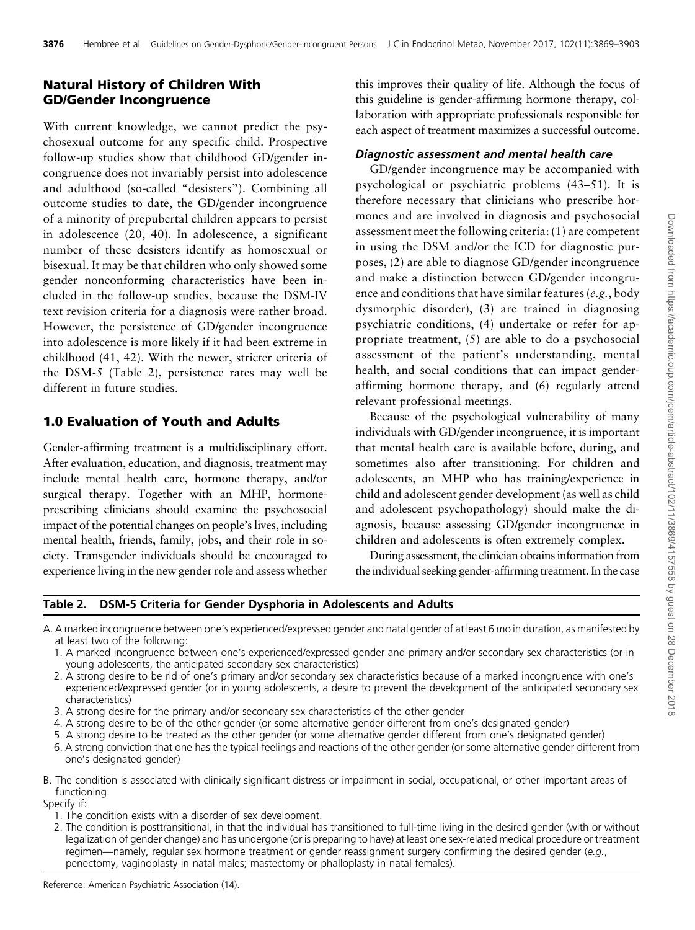# <span id="page-7-0"></span>Natural History of Children With GD/Gender Incongruence

With current knowledge, we cannot predict the psychosexual outcome for any specific child. Prospective follow-up studies show that childhood GD/gender incongruence does not invariably persist into adolescence and adulthood (so-called "desisters"). Combining all outcome studies to date, the GD/gender incongruence of a minority of prepubertal children appears to persist in adolescence [\(20,](#page-27-0) [40](#page-28-0)). In adolescence, a significant number of these desisters identify as homosexual or bisexual. It may be that children who only showed some gender nonconforming characteristics have been included in the follow-up studies, because the DSM-IV text revision criteria for a diagnosis were rather broad. However, the persistence of GD/gender incongruence into adolescence is more likely if it had been extreme in childhood ([41, 42](#page-28-0)). With the newer, stricter criteria of the DSM-5 (Table 2), persistence rates may well be different in future studies.

# 1.0 Evaluation of Youth and Adults

Gender-affirming treatment is a multidisciplinary effort. After evaluation, education, and diagnosis, treatment may include mental health care, hormone therapy, and/or surgical therapy. Together with an MHP, hormoneprescribing clinicians should examine the psychosocial impact of the potential changes on people's lives, including mental health, friends, family, jobs, and their role in society. Transgender individuals should be encouraged to experience living in the new gender role and assess whether this improves their quality of life. Although the focus of this guideline is gender-affirming hormone therapy, collaboration with appropriate professionals responsible for each aspect of treatment maximizes a successful outcome.

#### Diagnostic assessment and mental health care

GD/gender incongruence may be accompanied with psychological or psychiatric problems ([43](#page-28-0)–[51](#page-28-0)). It is therefore necessary that clinicians who prescribe hormones and are involved in diagnosis and psychosocial assessment meet the following criteria: (1) are competent in using the DSM and/or the ICD for diagnostic purposes, (2) are able to diagnose GD/gender incongruence and make a distinction between GD/gender incongruence and conditions that have similar features (e.g., body dysmorphic disorder), (3) are trained in diagnosing psychiatric conditions, (4) undertake or refer for appropriate treatment, (5) are able to do a psychosocial assessment of the patient's understanding, mental health, and social conditions that can impact genderaffirming hormone therapy, and (6) regularly attend relevant professional meetings.

Because of the psychological vulnerability of many individuals with GD/gender incongruence, it is important that mental health care is available before, during, and sometimes also after transitioning. For children and adolescents, an MHP who has training/experience in child and adolescent gender development (as well as child and adolescent psychopathology) should make the diagnosis, because assessing GD/gender incongruence in children and adolescents is often extremely complex.

During assessment, the clinician obtains information from the individual seeking gender-affirming treatment. In the case

#### Table 2. DSM-5 Criteria for Gender Dysphoria in Adolescents and Adults

- A. A marked incongruence between one's experienced/expressed gender and natal gender of at least 6 mo in duration, as manifested by at least two of the following:
	- 1. A marked incongruence between one's experienced/expressed gender and primary and/or secondary sex characteristics (or in young adolescents, the anticipated secondary sex characteristics)
	- 2. A strong desire to be rid of one's primary and/or secondary sex characteristics because of a marked incongruence with one's experienced/expressed gender (or in young adolescents, a desire to prevent the development of the anticipated secondary sex characteristics)
	- 3. A strong desire for the primary and/or secondary sex characteristics of the other gender
	- 4. A strong desire to be of the other gender (or some alternative gender different from one's designated gender)
	- 5. A strong desire to be treated as the other gender (or some alternative gender different from one's designated gender)
	- 6. A strong conviction that one has the typical feelings and reactions of the other gender (or some alternative gender different from one's designated gender)
- B. The condition is associated with clinically significant distress or impairment in social, occupational, or other important areas of functioning.

Specify if:

- 1. The condition exists with a disorder of sex development.
- 2. The condition is posttransitional, in that the individual has transitioned to full-time living in the desired gender (with or without legalization of gender change) and has undergone (or is preparing to have) at least one sex-related medical procedure or treatment regimen—namely, regular sex hormone treatment or gender reassignment surgery confirming the desired gender (e.g., penectomy, vaginoplasty in natal males; mastectomy or phalloplasty in natal females).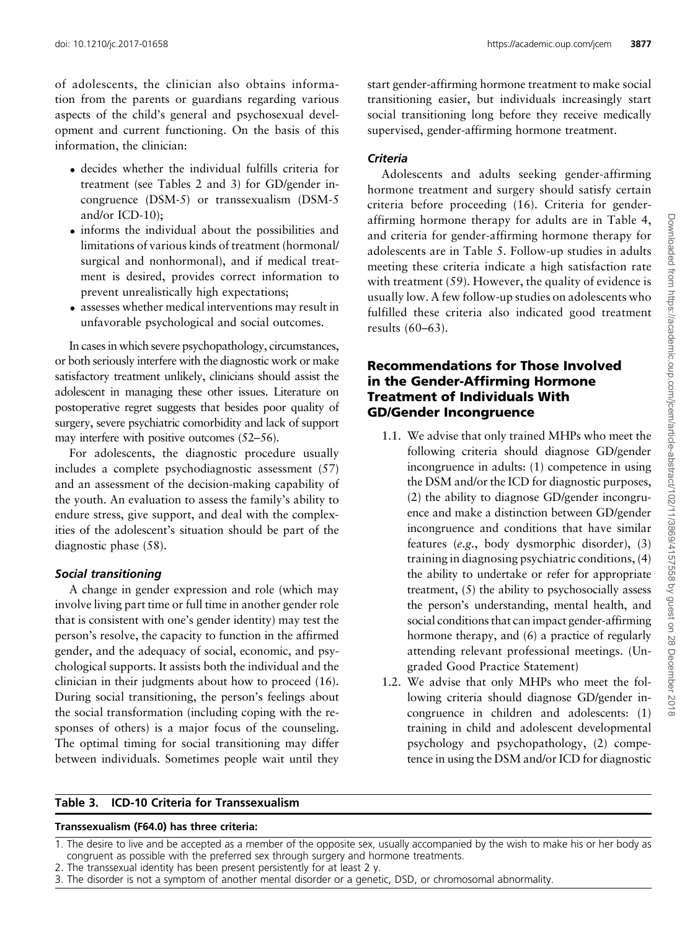of adolescents, the clinician also obtains information from the parents or guardians regarding various aspects of the child's general and psychosexual development and current functioning. On the basis of this information, the clinician:

- · decides whether the individual fulfills criteria for treatment (see [Tables 2](#page-7-0) and 3) for GD/gender incongruence (DSM-5) or transsexualism (DSM-5 and/or ICD-10);
- ·informs the individual about the possibilities and limitations of various kinds of treatment (hormonal/ surgical and nonhormonal), and if medical treatment is desired, provides correct information to prevent unrealistically high expectations;
- · assesses whether medical interventions may result in unfavorable psychological and social outcomes.

In cases in which severe psychopathology, circumstances, or both seriously interfere with the diagnostic work or make satisfactory treatment unlikely, clinicians should assist the adolescent in managing these other issues. Literature on postoperative regret suggests that besides poor quality of surgery, severe psychiatric comorbidity and lack of support may interfere with positive outcomes [\(52](#page-28-0)–[56](#page-28-0)).

For adolescents, the diagnostic procedure usually includes a complete psychodiagnostic assessment [\(57](#page-28-0)) and an assessment of the decision-making capability of the youth. An evaluation to assess the family's ability to endure stress, give support, and deal with the complexities of the adolescent's situation should be part of the diagnostic phase ([58\)](#page-28-0).

### Social transitioning

A change in gender expression and role (which may involve living part time or full time in another gender role that is consistent with one's gender identity) may test the person's resolve, the capacity to function in the affirmed gender, and the adequacy of social, economic, and psychological supports. It assists both the individual and the clinician in their judgments about how to proceed [\(16](#page-27-0)). During social transitioning, the person's feelings about the social transformation (including coping with the responses of others) is a major focus of the counseling. The optimal timing for social transitioning may differ between individuals. Sometimes people wait until they start gender-affirming hormone treatment to make social transitioning easier, but individuals increasingly start social transitioning long before they receive medically supervised, gender-affirming hormone treatment.

# Criteria

Adolescents and adults seeking gender-affirming hormone treatment and surgery should satisfy certain criteria before proceeding [\(16\)](#page-27-0). Criteria for genderaffirming hormone therapy for adults are in [Table 4,](#page-9-0) and criteria for gender-affirming hormone therapy for adolescents are in [Table 5.](#page-9-0) Follow-up studies in adults meeting these criteria indicate a high satisfaction rate with treatment ([59\)](#page-28-0). However, the quality of evidence is usually low. A few follow-up studies on adolescents who fulfilled these criteria also indicated good treatment results ([60](#page-28-0)–[63](#page-28-0)).

# Recommendations for Those Involved in the Gender-Affirming Hormone Treatment of Individuals With GD/Gender Incongruence

- 1.1. We advise that only trained MHPs who meet the following criteria should diagnose GD/gender incongruence in adults: (1) competence in using the DSM and/or the ICD for diagnostic purposes, (2) the ability to diagnose GD/gender incongruence and make a distinction between GD/gender incongruence and conditions that have similar features (e.g., body dysmorphic disorder), (3) training in diagnosing psychiatric conditions, (4) the ability to undertake or refer for appropriate treatment, (5) the ability to psychosocially assess the person's understanding, mental health, and social conditions that can impact gender-affirming hormone therapy, and (6) a practice of regularly attending relevant professional meetings. (Ungraded Good Practice Statement)
- 1.2. We advise that only MHPs who meet the following criteria should diagnose GD/gender incongruence in children and adolescents: (1) training in child and adolescent developmental psychology and psychopathology, (2) competence in using the DSM and/or ICD for diagnostic

### Table 3. ICD-10 Criteria for Transsexualism

### Transsexualism (F64.0) has three criteria:

- 2. The transsexual identity has been present persistently for at least 2 y.
- 3. The disorder is not a symptom of another mental disorder or a genetic, DSD, or chromosomal abnormality.

<sup>1.</sup> The desire to live and be accepted as a member of the opposite sex, usually accompanied by the wish to make his or her body as congruent as possible with the preferred sex through surgery and hormone treatments.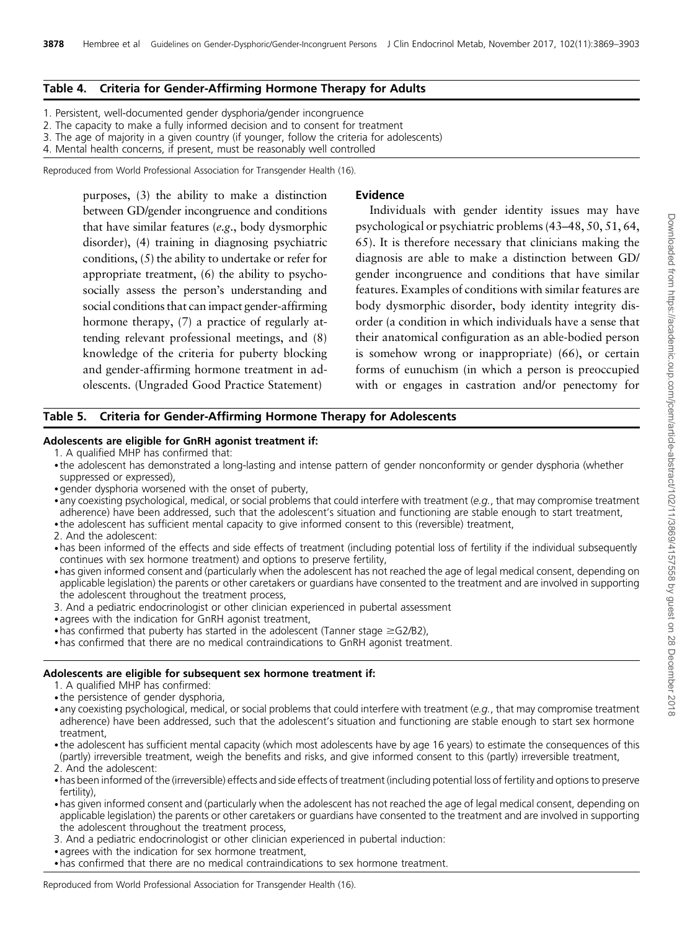### <span id="page-9-0"></span>Table 4. Criteria for Gender-Affirming Hormone Therapy for Adults

- 1. Persistent, well-documented gender dysphoria/gender incongruence
- 2. The capacity to make a fully informed decision and to consent for treatment
- 3. The age of majority in a given country (if younger, follow the criteria for adolescents)
- 4. Mental health concerns, if present, must be reasonably well controlled

Reproduced from World Professional Association for Transgender Health ([16\)](#page-27-0).

purposes, (3) the ability to make a distinction between GD/gender incongruence and conditions that have similar features (e.g., body dysmorphic disorder), (4) training in diagnosing psychiatric conditions, (5) the ability to undertake or refer for appropriate treatment, (6) the ability to psychosocially assess the person's understanding and social conditions that can impact gender-affirming hormone therapy, (7) a practice of regularly attending relevant professional meetings, and (8) knowledge of the criteria for puberty blocking and gender-affirming hormone treatment in adolescents. (Ungraded Good Practice Statement)

#### Evidence

Individuals with gender identity issues may have psychological or psychiatric problems [\(43](#page-28-0)–[48](#page-28-0), [50, 51](#page-28-0), [64,](#page-28-0) [65](#page-28-0)). It is therefore necessary that clinicians making the diagnosis are able to make a distinction between GD/ gender incongruence and conditions that have similar features. Examples of conditions with similar features are body dysmorphic disorder, body identity integrity disorder (a condition in which individuals have a sense that their anatomical configuration as an able-bodied person is somehow wrong or inappropriate) [\(66](#page-28-0)), or certain forms of eunuchism (in which a person is preoccupied with or engages in castration and/or penectomy for

### Table 5. Criteria for Gender-Affirming Hormone Therapy for Adolescents

#### Adolescents are eligible for GnRH agonist treatment if:

- 1. A qualified MHP has confirmed that:
- ·the adolescent has demonstrated a long-lasting and intense pattern of gender nonconformity or gender dysphoria (whether suppressed or expressed),
- suppressed or expressed),<br>•gender dysphoria worsened with the onset of puberty,<br>•any coexisting psychological, medical, or social problems
- •gender dyspnoria worsened with the onset of puberty,<br>•any coexisting psychological, medical, or social problems that could interfere with treatment (e.g., that may compromise treatment<br>adherence) have been addressed, such adherence) have been addressed, such that the adolescent's situation and functioning are stable enough to start treatment,
- ·the adolescent has sufficient mental capacity to give informed consent to this (reversible) treatment,
- 2. And the adolescent:
- ·has been informed of the effects and side effects of treatment (including potential loss of fertility if the individual subsequently continues with sex hormone treatment) and options to preserve fertility,
- ·has given informed consent and (particularly when the adolescent has not reached the age of legal medical consent, depending on applicable legislation) the parents or other caretakers or guardians have consented to the treatment and are involved in supporting the adolescent throughout the treatment process,
- 3. And a pediatric endocrinologist or other clinician experienced in pubertal assessment
- ·agrees with the indication for GnRH agonist treatment,
- agrees with the indication for GnRH agonist treatment,<br>• has confirmed that puberty has started in the adolescent (Tanner stage ≥G2/B2),<br>• has confirmed that there are no medical contraindications to GnRH agonist treati
- ·has confirmed that there are no medical contraindications to GnRH agonist treatment.

#### Adolescents are eligible for subsequent sex hormone treatment if:

- 1. A qualified MHP has confirmed:
- ·the persistence of gender dysphoria,
- ·any coexisting psychological, medical, or social problems that could interfere with treatment (e.g., that may compromise treatment adherence) have been addressed, such that the adolescent's situation and functioning are stable enough to start sex hormone treatment,
- ·the adolescent has sufficient mental capacity (which most adolescents have by age 16 years) to estimate the consequences of this (partly) irreversible treatment, weigh the benefits and risks, and give informed consent to this (partly) irreversible treatment,
- 2. And the adolescent:
- ·has been informed of the (irreversible) effects and side effects of treatment (including potential loss of fertility and options to preserve fertility),
- ·has given informed consent and (particularly when the adolescent has not reached the age of legal medical consent, depending on applicable legislation) the parents or other caretakers or guardians have consented to the treatment and are involved in supporting the adolescent throughout the treatment process,
- 3. And a pediatric endocrinologist or other clinician experienced in pubertal induction:
- ·agrees with the indication for sex hormone treatment,
- ·has confirmed that there are no medical contraindications to sex hormone treatment.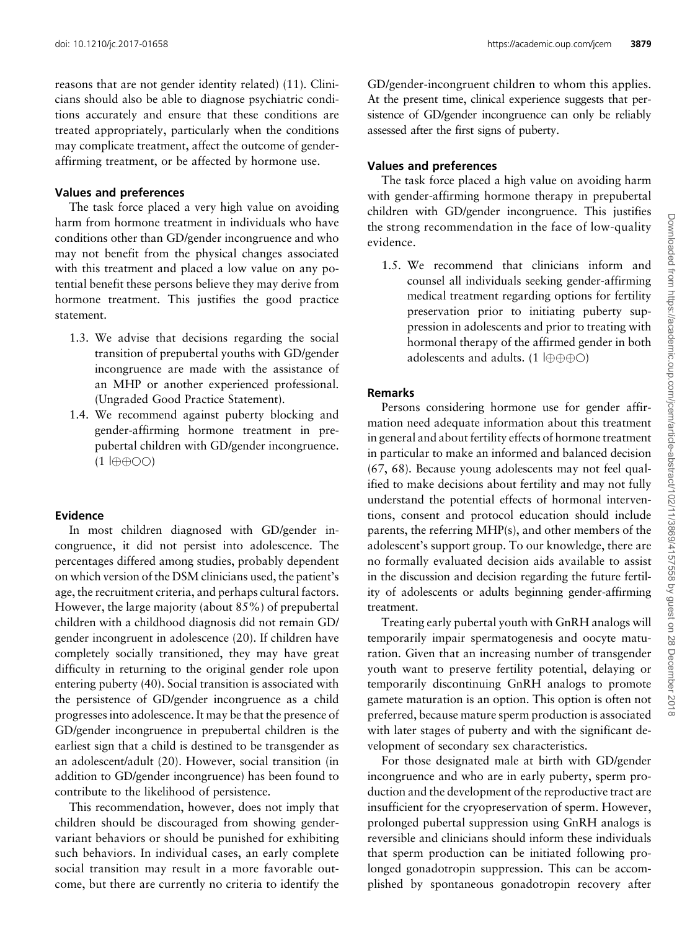reasons that are not gender identity related) [\(11](#page-27-0)). Clinicians should also be able to diagnose psychiatric conditions accurately and ensure that these conditions are treated appropriately, particularly when the conditions may complicate treatment, affect the outcome of genderaffirming treatment, or be affected by hormone use.

#### Values and preferences

The task force placed a very high value on avoiding harm from hormone treatment in individuals who have conditions other than GD/gender incongruence and who may not benefit from the physical changes associated with this treatment and placed a low value on any potential benefit these persons believe they may derive from hormone treatment. This justifies the good practice statement.

- 1.3. We advise that decisions regarding the social transition of prepubertal youths with GD/gender incongruence are made with the assistance of an MHP or another experienced professional. (Ungraded Good Practice Statement).
- 1.4. We recommend against puberty blocking and gender-affirming hormone treatment in prepubertal children with GD/gender incongruence.  $(1 \mid \oplus \oplus \bigcirc \bigcirc)$

#### Evidence

In most children diagnosed with GD/gender incongruence, it did not persist into adolescence. The percentages differed among studies, probably dependent on which version of the DSM clinicians used, the patient's age, the recruitment criteria, and perhaps cultural factors. However, the large majority (about 85%) of prepubertal children with a childhood diagnosis did not remain GD/ gender incongruent in adolescence ([20\)](#page-27-0). If children have completely socially transitioned, they may have great difficulty in returning to the original gender role upon entering puberty ([40\)](#page-28-0). Social transition is associated with the persistence of GD/gender incongruence as a child progresses into adolescence. It may be that the presence of GD/gender incongruence in prepubertal children is the earliest sign that a child is destined to be transgender as an adolescent/adult [\(20](#page-27-0)). However, social transition (in addition to GD/gender incongruence) has been found to contribute to the likelihood of persistence.

This recommendation, however, does not imply that children should be discouraged from showing gendervariant behaviors or should be punished for exhibiting such behaviors. In individual cases, an early complete social transition may result in a more favorable outcome, but there are currently no criteria to identify the

GD/gender-incongruent children to whom this applies. At the present time, clinical experience suggests that persistence of GD/gender incongruence can only be reliably assessed after the first signs of puberty.

### Values and preferences

The task force placed a high value on avoiding harm with gender-affirming hormone therapy in prepubertal children with GD/gender incongruence. This justifies the strong recommendation in the face of low-quality evidence.

1.5. We recommend that clinicians inform and counsel all individuals seeking gender-affirming medical treatment regarding options for fertility preservation prior to initiating puberty suppression in adolescents and prior to treating with hormonal therapy of the affirmed gender in both adolescents and adults. (1  $|\oplus \oplus \oplus \odot$ )

### Remarks

Persons considering hormone use for gender affirmation need adequate information about this treatment in general and about fertility effects of hormone treatment in particular to make an informed and balanced decision ([67, 68\)](#page-28-0). Because young adolescents may not feel qualified to make decisions about fertility and may not fully understand the potential effects of hormonal interventions, consent and protocol education should include parents, the referring MHP(s), and other members of the adolescent's support group. To our knowledge, there are no formally evaluated decision aids available to assist in the discussion and decision regarding the future fertility of adolescents or adults beginning gender-affirming treatment.

Treating early pubertal youth with GnRH analogs will temporarily impair spermatogenesis and oocyte maturation. Given that an increasing number of transgender youth want to preserve fertility potential, delaying or temporarily discontinuing GnRH analogs to promote gamete maturation is an option. This option is often not preferred, because mature sperm production is associated with later stages of puberty and with the significant development of secondary sex characteristics.

For those designated male at birth with GD/gender incongruence and who are in early puberty, sperm production and the development of the reproductive tract are insufficient for the cryopreservation of sperm. However, prolonged pubertal suppression using GnRH analogs is reversible and clinicians should inform these individuals that sperm production can be initiated following prolonged gonadotropin suppression. This can be accomplished by spontaneous gonadotropin recovery after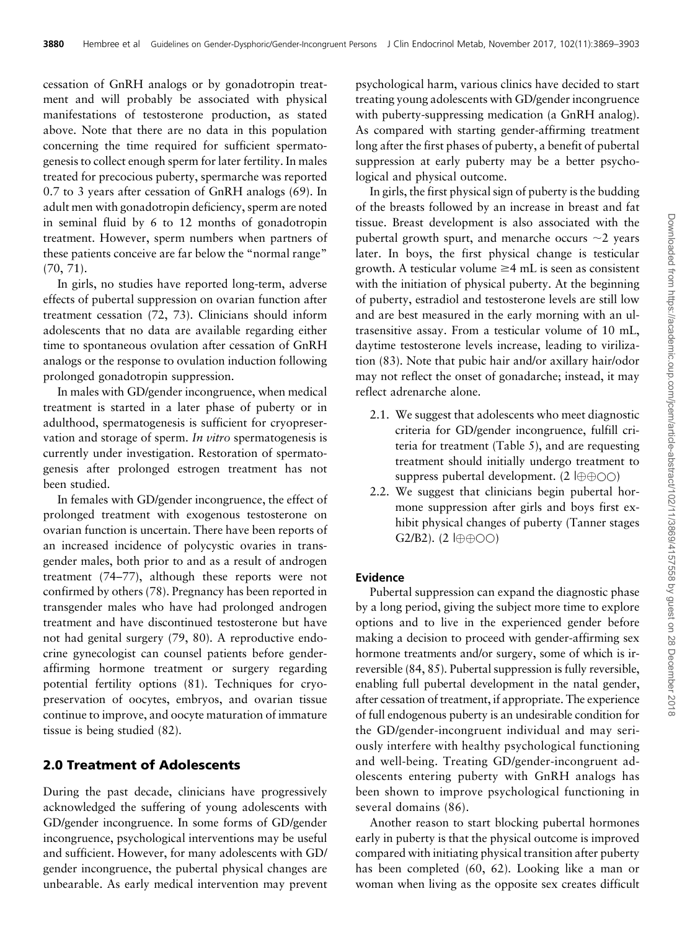cessation of GnRH analogs or by gonadotropin treatment and will probably be associated with physical manifestations of testosterone production, as stated above. Note that there are no data in this population concerning the time required for sufficient spermatogenesis to collect enough sperm for later fertility. In males treated for precocious puberty, spermarche was reported 0.7 to 3 years after cessation of GnRH analogs ([69\)](#page-28-0). In adult men with gonadotropin deficiency, sperm are noted in seminal fluid by 6 to 12 months of gonadotropin treatment. However, sperm numbers when partners of these patients conceive are far below the "normal range" ([70, 71\)](#page-28-0).

In girls, no studies have reported long-term, adverse effects of pubertal suppression on ovarian function after treatment cessation ([72, 73\)](#page-28-0). Clinicians should inform adolescents that no data are available regarding either time to spontaneous ovulation after cessation of GnRH analogs or the response to ovulation induction following prolonged gonadotropin suppression.

In males with GD/gender incongruence, when medical treatment is started in a later phase of puberty or in adulthood, spermatogenesis is sufficient for cryopreservation and storage of sperm. In vitro spermatogenesis is currently under investigation. Restoration of spermatogenesis after prolonged estrogen treatment has not been studied.

In females with GD/gender incongruence, the effect of prolonged treatment with exogenous testosterone on ovarian function is uncertain. There have been reports of an increased incidence of polycystic ovaries in transgender males, both prior to and as a result of androgen treatment ([74](#page-29-0)–[77\)](#page-29-0), although these reports were not confirmed by others ([78\)](#page-29-0). Pregnancy has been reported in transgender males who have had prolonged androgen treatment and have discontinued testosterone but have not had genital surgery ([79, 80](#page-29-0)). A reproductive endocrine gynecologist can counsel patients before genderaffirming hormone treatment or surgery regarding potential fertility options ([81\)](#page-29-0). Techniques for cryopreservation of oocytes, embryos, and ovarian tissue continue to improve, and oocyte maturation of immature tissue is being studied [\(82](#page-29-0)).

### 2.0 Treatment of Adolescents

During the past decade, clinicians have progressively acknowledged the suffering of young adolescents with GD/gender incongruence. In some forms of GD/gender incongruence, psychological interventions may be useful and sufficient. However, for many adolescents with GD/ gender incongruence, the pubertal physical changes are unbearable. As early medical intervention may prevent psychological harm, various clinics have decided to start treating young adolescents with GD/gender incongruence with puberty-suppressing medication (a GnRH analog). As compared with starting gender-affirming treatment long after the first phases of puberty, a benefit of pubertal suppression at early puberty may be a better psychological and physical outcome.

In girls, the first physical sign of puberty is the budding of the breasts followed by an increase in breast and fat tissue. Breast development is also associated with the pubertal growth spurt, and menarche occurs  $\sim$ 2 years later. In boys, the first physical change is testicular growth. A testicular volume  $\geq$ 4 mL is seen as consistent with the initiation of physical puberty. At the beginning of puberty, estradiol and testosterone levels are still low and are best measured in the early morning with an ultrasensitive assay. From a testicular volume of 10 mL, daytime testosterone levels increase, leading to virilization [\(83](#page-29-0)). Note that pubic hair and/or axillary hair/odor may not reflect the onset of gonadarche; instead, it may reflect adrenarche alone.

- 2.1. We suggest that adolescents who meet diagnostic criteria for GD/gender incongruence, fulfill criteria for treatment ([Table 5](#page-9-0)), and are requesting treatment should initially undergo treatment to suppress pubertal development. (2  $\bigoplus \oplus \bigcirc \bigcirc$ )
- 2.2. We suggest that clinicians begin pubertal hormone suppression after girls and boys first exhibit physical changes of puberty (Tanner stages G2/B2). (2  $\oplus \oplus \odot \odot$ )

#### Evidence

Pubertal suppression can expand the diagnostic phase by a long period, giving the subject more time to explore options and to live in the experienced gender before making a decision to proceed with gender-affirming sex hormone treatments and/or surgery, some of which is irreversible [\(84](#page-29-0), [85\)](#page-29-0). Pubertal suppression is fully reversible, enabling full pubertal development in the natal gender, after cessation of treatment, if appropriate. The experience of full endogenous puberty is an undesirable condition for the GD/gender-incongruent individual and may seriously interfere with healthy psychological functioning and well-being. Treating GD/gender-incongruent adolescents entering puberty with GnRH analogs has been shown to improve psychological functioning in several domains [\(86\)](#page-29-0).

Another reason to start blocking pubertal hormones early in puberty is that the physical outcome is improved compared with initiating physical transition after puberty has been completed ([60, 62](#page-28-0)). Looking like a man or woman when living as the opposite sex creates difficult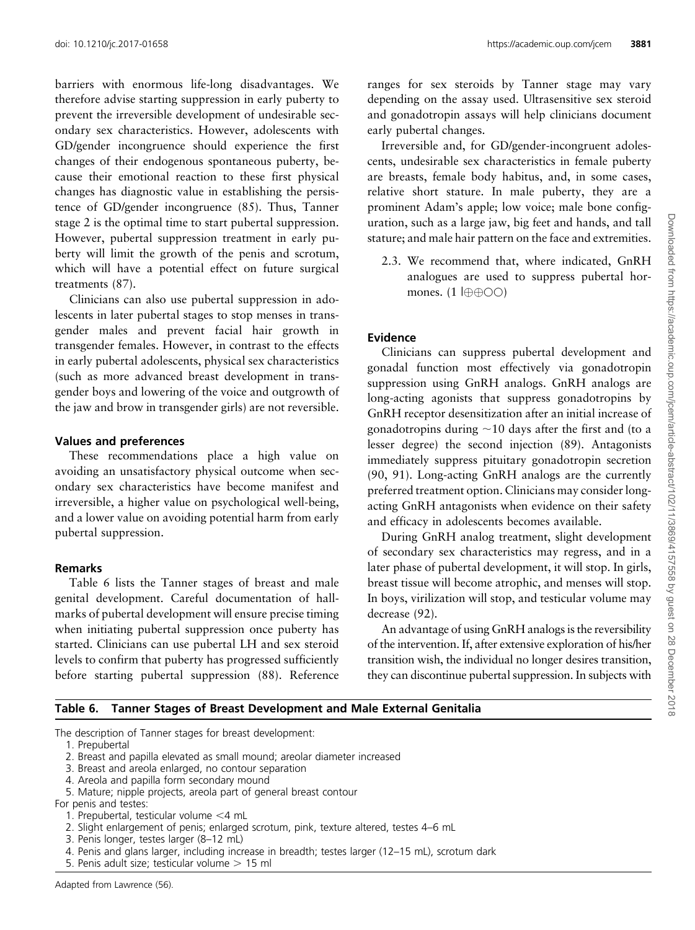barriers with enormous life-long disadvantages. We therefore advise starting suppression in early puberty to prevent the irreversible development of undesirable secondary sex characteristics. However, adolescents with GD/gender incongruence should experience the first changes of their endogenous spontaneous puberty, because their emotional reaction to these first physical changes has diagnostic value in establishing the persistence of GD/gender incongruence ([85\)](#page-29-0). Thus, Tanner stage 2 is the optimal time to start pubertal suppression. However, pubertal suppression treatment in early puberty will limit the growth of the penis and scrotum, which will have a potential effect on future surgical treatments ([87\)](#page-29-0).

Clinicians can also use pubertal suppression in adolescents in later pubertal stages to stop menses in transgender males and prevent facial hair growth in transgender females. However, in contrast to the effects in early pubertal adolescents, physical sex characteristics (such as more advanced breast development in transgender boys and lowering of the voice and outgrowth of the jaw and brow in transgender girls) are not reversible.

### Values and preferences

These recommendations place a high value on avoiding an unsatisfactory physical outcome when secondary sex characteristics have become manifest and irreversible, a higher value on psychological well-being, and a lower value on avoiding potential harm from early pubertal suppression.

#### Remarks

Table 6 lists the Tanner stages of breast and male genital development. Careful documentation of hallmarks of pubertal development will ensure precise timing when initiating pubertal suppression once puberty has started. Clinicians can use pubertal LH and sex steroid levels to confirm that puberty has progressed sufficiently before starting pubertal suppression [\(88](#page-29-0)). Reference ranges for sex steroids by Tanner stage may vary depending on the assay used. Ultrasensitive sex steroid and gonadotropin assays will help clinicians document early pubertal changes.

Irreversible and, for GD/gender-incongruent adolescents, undesirable sex characteristics in female puberty are breasts, female body habitus, and, in some cases, relative short stature. In male puberty, they are a prominent Adam's apple; low voice; male bone configuration, such as a large jaw, big feet and hands, and tall stature; and male hair pattern on the face and extremities.

2.3. We recommend that, where indicated, GnRH analogues are used to suppress pubertal hormones. (1 $\ket{\oplus \oplus \odot}$ )

### Evidence

Clinicians can suppress pubertal development and gonadal function most effectively via gonadotropin suppression using GnRH analogs. GnRH analogs are long-acting agonists that suppress gonadotropins by GnRH receptor desensitization after an initial increase of gonadotropins during  $\sim$ 10 days after the first and (to a lesser degree) the second injection ([89\)](#page-29-0). Antagonists immediately suppress pituitary gonadotropin secretion ([90, 91](#page-29-0)). Long-acting GnRH analogs are the currently preferred treatment option. Clinicians may consider longacting GnRH antagonists when evidence on their safety and efficacy in adolescents becomes available.

During GnRH analog treatment, slight development of secondary sex characteristics may regress, and in a later phase of pubertal development, it will stop. In girls, breast tissue will become atrophic, and menses will stop. In boys, virilization will stop, and testicular volume may decrease [\(92](#page-29-0)).

An advantage of using GnRH analogs is the reversibility of the intervention. If, after extensive exploration of his/her transition wish, the individual no longer desires transition, they can discontinue pubertal suppression. In subjects with

Table 6. Tanner Stages of Breast Development and Male External Genitalia

The description of Tanner stages for breast development:

- 1. Prepubertal
- 2. Breast and papilla elevated as small mound; areolar diameter increased
- 3. Breast and areola enlarged, no contour separation
- 4. Areola and papilla form secondary mound
- 5. Mature; nipple projects, areola part of general breast contour
- For penis and testes:
	- 1. Prepubertal, testicular volume  $<$ 4 mL
	- 2. Slight enlargement of penis; enlarged scrotum, pink, texture altered, testes 4–6 mL
	- 3. Penis longer, testes larger (8–12 mL)
	- 4. Penis and glans larger, including increase in breadth; testes larger (12–15 mL), scrotum dark
	- 5. Penis adult size; testicular volume  $> 15$  ml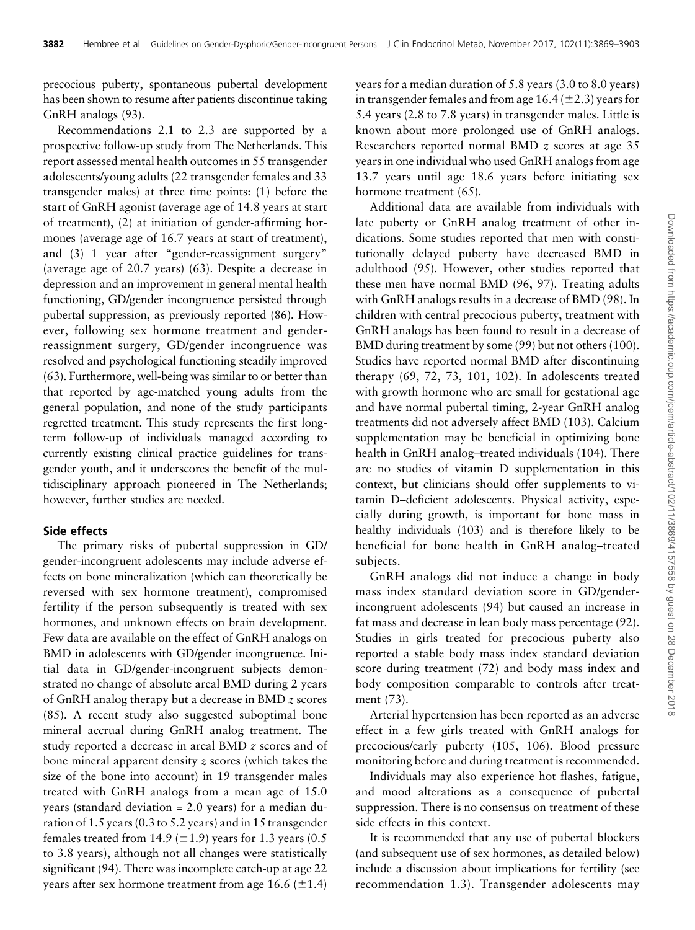precocious puberty, spontaneous pubertal development has been shown to resume after patients discontinue taking GnRH analogs [\(93](#page-29-0)).

Recommendations 2.1 to 2.3 are supported by a prospective follow-up study from The Netherlands. This report assessed mental health outcomes in 55 transgender adolescents/young adults (22 transgender females and 33 transgender males) at three time points: (1) before the start of GnRH agonist (average age of 14.8 years at start of treatment), (2) at initiation of gender-affirming hormones (average age of 16.7 years at start of treatment), and (3) 1 year after "gender-reassignment surgery" (average age of 20.7 years) [\(63](#page-28-0)). Despite a decrease in depression and an improvement in general mental health functioning, GD/gender incongruence persisted through pubertal suppression, as previously reported ([86\)](#page-29-0). However, following sex hormone treatment and genderreassignment surgery, GD/gender incongruence was resolved and psychological functioning steadily improved [\(63](#page-28-0)). Furthermore, well-being was similar to or better than that reported by age-matched young adults from the general population, and none of the study participants regretted treatment. This study represents the first longterm follow-up of individuals managed according to currently existing clinical practice guidelines for transgender youth, and it underscores the benefit of the multidisciplinary approach pioneered in The Netherlands; however, further studies are needed.

#### Side effects

The primary risks of pubertal suppression in GD/ gender-incongruent adolescents may include adverse effects on bone mineralization (which can theoretically be reversed with sex hormone treatment), compromised fertility if the person subsequently is treated with sex hormones, and unknown effects on brain development. Few data are available on the effect of GnRH analogs on BMD in adolescents with GD/gender incongruence. Initial data in GD/gender-incongruent subjects demonstrated no change of absolute areal BMD during 2 years of GnRH analog therapy but a decrease in BMD z scores ([85\)](#page-29-0). A recent study also suggested suboptimal bone mineral accrual during GnRH analog treatment. The study reported a decrease in areal BMD z scores and of bone mineral apparent density z scores (which takes the size of the bone into account) in 19 transgender males treated with GnRH analogs from a mean age of 15.0 years (standard deviation = 2.0 years) for a median duration of 1.5 years (0.3 to 5.2 years) and in 15 transgender females treated from 14.9 ( $\pm$ 1.9) years for 1.3 years (0.5) to 3.8 years), although not all changes were statistically significant [\(94](#page-29-0)). There was incomplete catch-up at age 22 years after sex hormone treatment from age 16.6 ( $\pm$ 1.4) years for a median duration of 5.8 years (3.0 to 8.0 years) in transgender females and from age 16.4 ( $\pm$ 2.3) years for 5.4 years (2.8 to 7.8 years) in transgender males. Little is known about more prolonged use of GnRH analogs. Researchers reported normal BMD z scores at age 35 years in one individual who used GnRH analogs from age 13.7 years until age 18.6 years before initiating sex hormone treatment [\(65](#page-28-0)).

Additional data are available from individuals with late puberty or GnRH analog treatment of other indications. Some studies reported that men with constitutionally delayed puberty have decreased BMD in adulthood [\(95](#page-29-0)). However, other studies reported that these men have normal BMD ([96, 97](#page-29-0)). Treating adults with GnRH analogs results in a decrease of BMD ([98\)](#page-29-0). In children with central precocious puberty, treatment with GnRH analogs has been found to result in a decrease of BMD during treatment by some ([99\)](#page-29-0) but not others ([100\)](#page-29-0). Studies have reported normal BMD after discontinuing therapy [\(69](#page-28-0), [72](#page-28-0), [73](#page-28-0), [101, 102](#page-29-0)). In adolescents treated with growth hormone who are small for gestational age and have normal pubertal timing, 2-year GnRH analog treatments did not adversely affect BMD ([103](#page-29-0)). Calcium supplementation may be beneficial in optimizing bone health in GnRH analog–treated individuals ([104](#page-29-0)). There are no studies of vitamin D supplementation in this context, but clinicians should offer supplements to vitamin D–deficient adolescents. Physical activity, especially during growth, is important for bone mass in healthy individuals [\(103\)](#page-29-0) and is therefore likely to be beneficial for bone health in GnRH analog–treated subjects.

GnRH analogs did not induce a change in body mass index standard deviation score in GD/genderincongruent adolescents ([94\)](#page-29-0) but caused an increase in fat mass and decrease in lean body mass percentage ([92\)](#page-29-0). Studies in girls treated for precocious puberty also reported a stable body mass index standard deviation score during treatment ([72\)](#page-28-0) and body mass index and body composition comparable to controls after treatment [\(73](#page-28-0)).

Arterial hypertension has been reported as an adverse effect in a few girls treated with GnRH analogs for precocious/early puberty [\(105, 106](#page-29-0)). Blood pressure monitoring before and during treatment is recommended.

Individuals may also experience hot flashes, fatigue, and mood alterations as a consequence of pubertal suppression. There is no consensus on treatment of these side effects in this context.

It is recommended that any use of pubertal blockers (and subsequent use of sex hormones, as detailed below) include a discussion about implications for fertility (see recommendation 1.3). Transgender adolescents may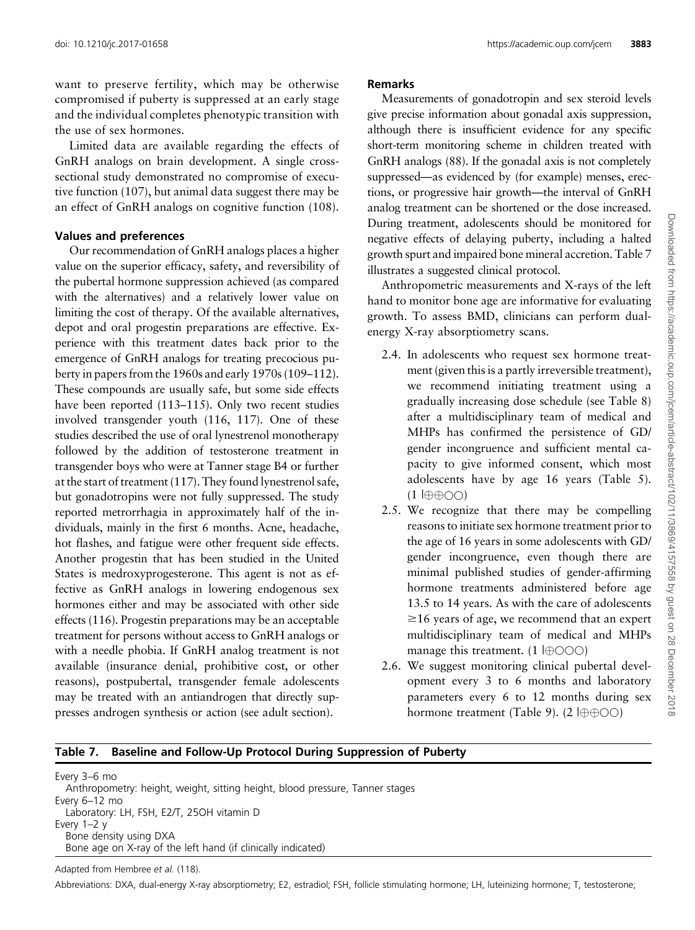want to preserve fertility, which may be otherwise compromised if puberty is suppressed at an early stage and the individual completes phenotypic transition with the use of sex hormones.

Limited data are available regarding the effects of GnRH analogs on brain development. A single crosssectional study demonstrated no compromise of executive function ([107](#page-29-0)), but animal data suggest there may be an effect of GnRH analogs on cognitive function [\(108](#page-30-0)).

### Values and preferences

Our recommendation of GnRH analogs places a higher value on the superior efficacy, safety, and reversibility of the pubertal hormone suppression achieved (as compared with the alternatives) and a relatively lower value on limiting the cost of therapy. Of the available alternatives, depot and oral progestin preparations are effective. Experience with this treatment dates back prior to the emergence of GnRH analogs for treating precocious puberty in papers from the 1960s and early 1970s [\(109](#page-30-0)–[112\)](#page-30-0). These compounds are usually safe, but some side effects have been reported ([113](#page-30-0)-[115](#page-30-0)). Only two recent studies involved transgender youth [\(116](#page-30-0), [117\)](#page-30-0). One of these studies described the use of oral lynestrenol monotherapy followed by the addition of testosterone treatment in transgender boys who were at Tanner stage B4 or further at the start of treatment [\(117\)](#page-30-0). They found lynestrenol safe, but gonadotropins were not fully suppressed. The study reported metrorrhagia in approximately half of the individuals, mainly in the first 6 months. Acne, headache, hot flashes, and fatigue were other frequent side effects. Another progestin that has been studied in the United States is medroxyprogesterone. This agent is not as effective as GnRH analogs in lowering endogenous sex hormones either and may be associated with other side effects ([116\)](#page-30-0). Progestin preparations may be an acceptable treatment for persons without access to GnRH analogs or with a needle phobia. If GnRH analog treatment is not available (insurance denial, prohibitive cost, or other reasons), postpubertal, transgender female adolescents may be treated with an antiandrogen that directly suppresses androgen synthesis or action (see adult section).

### Remarks

Measurements of gonadotropin and sex steroid levels give precise information about gonadal axis suppression, although there is insufficient evidence for any specific short-term monitoring scheme in children treated with GnRH analogs [\(88\)](#page-29-0). If the gonadal axis is not completely suppressed—as evidenced by (for example) menses, erections, or progressive hair growth—the interval of GnRH analog treatment can be shortened or the dose increased. During treatment, adolescents should be monitored for negative effects of delaying puberty, including a halted growth spurt and impaired bone mineral accretion. Table 7 illustrates a suggested clinical protocol.

Anthropometric measurements and X-rays of the left hand to monitor bone age are informative for evaluating growth. To assess BMD, clinicians can perform dualenergy X-ray absorptiometry scans.

- 2.4. In adolescents who request sex hormone treatment (given this is a partly irreversible treatment), we recommend initiating treatment using a gradually increasing dose schedule (see [Table 8\)](#page-15-0) after a multidisciplinary team of medical and MHPs has confirmed the persistence of GD/ gender incongruence and sufficient mental capacity to give informed consent, which most adolescents have by age 16 years [\(Table 5](#page-9-0)).  $(1 \Leftrightarrow \oplus \odot \odot)$
- 2.5. We recognize that there may be compelling reasons to initiate sex hormone treatment prior to the age of 16 years in some adolescents with GD/ gender incongruence, even though there are minimal published studies of gender-affirming hormone treatments administered before age 13.5 to 14 years. As with the care of adolescents  $\geq 16$  years of age, we recommend that an expert multidisciplinary team of medical and MHPs manage this treatment.  $(1 | \bigoplus \bigcirc \bigcirc)$
- 2.6. We suggest monitoring clinical pubertal development every 3 to 6 months and laboratory parameters every 6 to 12 months during sex hormone treatment ([Table 9\)](#page-15-0). (2  $\ket{\oplus \oplus \odot}$ )

### Table 7. Baseline and Follow-Up Protocol During Suppression of Puberty

Every 3–6 mo Anthropometry: height, weight, sitting height, blood pressure, Tanner stages Every 6–12 mo Laboratory: LH, FSH, E2/T, 25OH vitamin D Every 1–2 y Bone density using DXA Bone age on X-ray of the left hand (if clinically indicated)

Adapted from Hembree et al. [\(118\)](#page-30-0).

Abbreviations: DXA, dual-energy X-ray absorptiometry; E2, estradiol; FSH, follicle stimulating hormone; LH, luteinizing hormone; T, testosterone;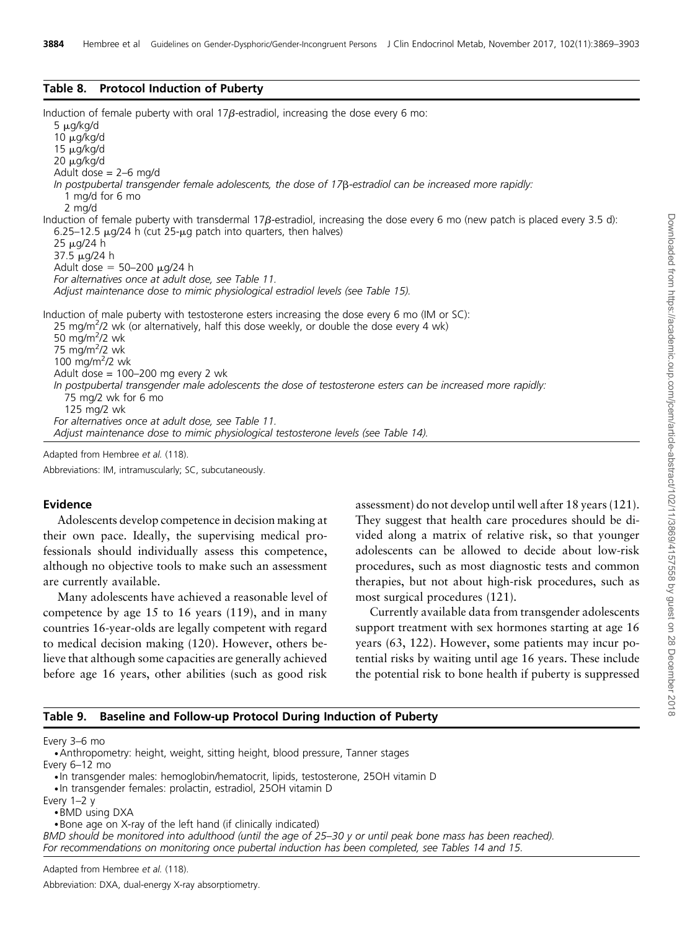#### <span id="page-15-0"></span>Table 8. Protocol Induction of Puberty

Induction of female puberty with oral  $17\beta$ -estradiol, increasing the dose every 6 mo: 5 mg/kg/d  $10 \mu g/kg/d$  $15 \mu g/kg/d$  $20 \mu g/kg/d$ Adult dose  $= 2-6$  mg/d In postpubertal transgender female adolescents, the dose of 17<sub>B</sub>-estradiol can be increased more rapidly: 1 mg/d for 6 mo 2 mg/d Induction of female puberty with transdermal 17 $\beta$ -estradiol, increasing the dose every 6 mo (new patch is placed every 3.5 d): 6.25–12.5  $\mu$ g/24 h (cut 25- $\mu$ g patch into quarters, then halves) 25 μg/24 h 37.5 μg/24 h Adult dose =  $50-200 \mu g/24$  h For alternatives once at adult dose, see Table 11. Adjust maintenance dose to mimic physiological estradiol levels (see Table 15). Induction of male puberty with testosterone esters increasing the dose every 6 mo (IM or SC): 25 mg/m<sup>2</sup>/2 wk (or alternatively, half this dose weekly, or double the dose every 4 wk) 50  $mg/m^2/2$  wk 75 mg/m<sup>2</sup>/2 wk 100 mg/m<sup>2</sup>/2 wk Adult dose  $= 100 - 200$  mg every 2 wk In postpubertal transgender male adolescents the dose of testosterone esters can be increased more rapidly: 75 mg/2 wk for 6 mo 125 mg/2 wk For alternatives once at adult dose, see Table 11. Adjust maintenance dose to mimic physiological testosterone levels (see Table 14).

Adapted from Hembree et al. [\(118\)](#page-30-0).

Abbreviations: IM, intramuscularly; SC, subcutaneously.

#### Evidence

Adolescents develop competence in decision making at their own pace. Ideally, the supervising medical professionals should individually assess this competence, although no objective tools to make such an assessment are currently available.

Many adolescents have achieved a reasonable level of competence by age 15 to 16 years ([119](#page-30-0)), and in many countries 16-year-olds are legally competent with regard to medical decision making [\(120\)](#page-30-0). However, others believe that although some capacities are generally achieved before age 16 years, other abilities (such as good risk assessment) do not develop until well after 18 years [\(121\)](#page-30-0). They suggest that health care procedures should be divided along a matrix of relative risk, so that younger adolescents can be allowed to decide about low-risk procedures, such as most diagnostic tests and common therapies, but not about high-risk procedures, such as most surgical procedures ([121](#page-30-0)).

Currently available data from transgender adolescents support treatment with sex hormones starting at age 16 years ([63,](#page-28-0) [122](#page-30-0)). However, some patients may incur potential risks by waiting until age 16 years. These include the potential risk to bone health if puberty is suppressed

#### Table 9. Baseline and Follow-up Protocol During Induction of Puberty

Every 3–6 mo

·Anthropometry: height, weight, sitting height, blood pressure, Tanner stages Every 6–12 mo

·In transgender males: hemoglobin/hematocrit, lipids, testosterone, 25OH vitamin D

·In transgender females: prolactin, estradiol, 25OH vitamin D

Every  $1-2$  y

•BMD using DXA<br>•Bone age on X-ray of the left hand (if clinically indicated)

·Bone age on X-ray of the left hand (if clinically indicated) BMD should be monitored into adulthood (until the age of 25–30 y or until peak bone mass has been reached). For recommendations on monitoring once pubertal induction has been completed, see Tables 14 and 15.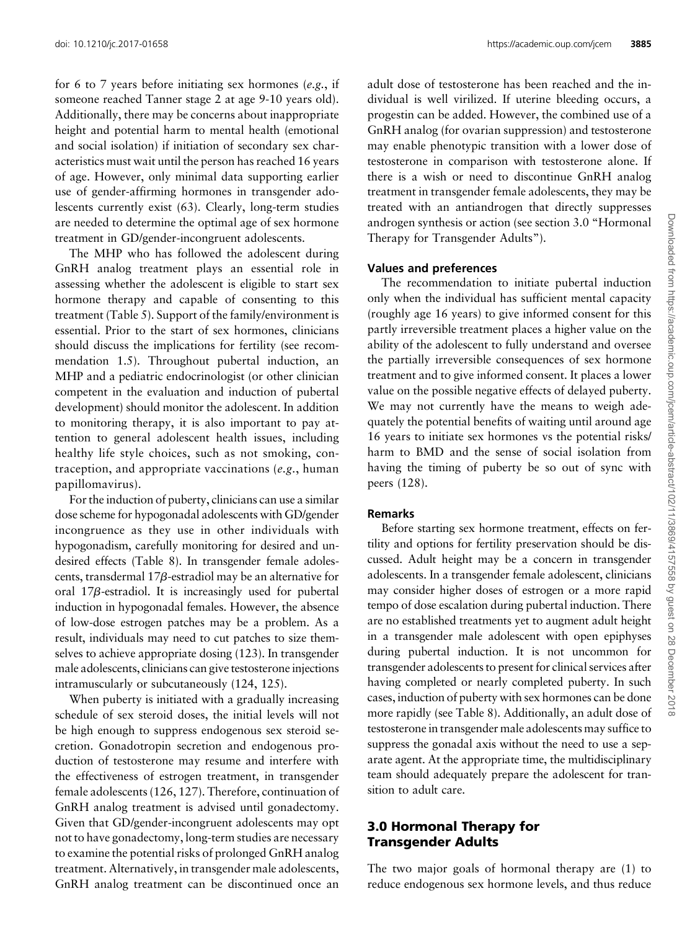for 6 to 7 years before initiating sex hormones (e.g., if someone reached Tanner stage 2 at age 9-10 years old). Additionally, there may be concerns about inappropriate height and potential harm to mental health (emotional and social isolation) if initiation of secondary sex characteristics must wait until the person has reached 16 years of age. However, only minimal data supporting earlier use of gender-affirming hormones in transgender adolescents currently exist [\(63](#page-28-0)). Clearly, long-term studies are needed to determine the optimal age of sex hormone treatment in GD/gender-incongruent adolescents.

The MHP who has followed the adolescent during GnRH analog treatment plays an essential role in assessing whether the adolescent is eligible to start sex hormone therapy and capable of consenting to this treatment [\(Table 5](#page-9-0)). Support of the family/environment is essential. Prior to the start of sex hormones, clinicians should discuss the implications for fertility (see recommendation 1.5). Throughout pubertal induction, an MHP and a pediatric endocrinologist (or other clinician competent in the evaluation and induction of pubertal development) should monitor the adolescent. In addition to monitoring therapy, it is also important to pay attention to general adolescent health issues, including healthy life style choices, such as not smoking, contraception, and appropriate vaccinations (e.g., human papillomavirus).

For the induction of puberty, clinicians can use a similar dose scheme for hypogonadal adolescents with GD/gender incongruence as they use in other individuals with hypogonadism, carefully monitoring for desired and undesired effects ([Table 8](#page-15-0)). In transgender female adolescents, transdermal  $17\beta$ -estradiol may be an alternative for oral  $17\beta$ -estradiol. It is increasingly used for pubertal induction in hypogonadal females. However, the absence of low-dose estrogen patches may be a problem. As a result, individuals may need to cut patches to size themselves to achieve appropriate dosing [\(123](#page-30-0)). In transgender male adolescents, clinicians can give testosterone injections intramuscularly or subcutaneously ([124, 125\)](#page-30-0).

When puberty is initiated with a gradually increasing schedule of sex steroid doses, the initial levels will not be high enough to suppress endogenous sex steroid secretion. Gonadotropin secretion and endogenous production of testosterone may resume and interfere with the effectiveness of estrogen treatment, in transgender female adolescents [\(126, 127\)](#page-30-0). Therefore, continuation of GnRH analog treatment is advised until gonadectomy. Given that GD/gender-incongruent adolescents may opt not to have gonadectomy, long-term studies are necessary to examine the potential risks of prolonged GnRH analog treatment. Alternatively, in transgender male adolescents, GnRH analog treatment can be discontinued once an

adult dose of testosterone has been reached and the individual is well virilized. If uterine bleeding occurs, a progestin can be added. However, the combined use of a GnRH analog (for ovarian suppression) and testosterone may enable phenotypic transition with a lower dose of testosterone in comparison with testosterone alone. If there is a wish or need to discontinue GnRH analog treatment in transgender female adolescents, they may be treated with an antiandrogen that directly suppresses androgen synthesis or action (see section 3.0 "Hormonal Therapy for Transgender Adults").

#### Values and preferences

The recommendation to initiate pubertal induction only when the individual has sufficient mental capacity (roughly age 16 years) to give informed consent for this partly irreversible treatment places a higher value on the ability of the adolescent to fully understand and oversee the partially irreversible consequences of sex hormone treatment and to give informed consent. It places a lower value on the possible negative effects of delayed puberty. We may not currently have the means to weigh adequately the potential benefits of waiting until around age 16 years to initiate sex hormones vs the potential risks/ harm to BMD and the sense of social isolation from having the timing of puberty be so out of sync with peers ([128](#page-30-0)).

#### Remarks

Before starting sex hormone treatment, effects on fertility and options for fertility preservation should be discussed. Adult height may be a concern in transgender adolescents. In a transgender female adolescent, clinicians may consider higher doses of estrogen or a more rapid tempo of dose escalation during pubertal induction. There are no established treatments yet to augment adult height in a transgender male adolescent with open epiphyses during pubertal induction. It is not uncommon for transgender adolescents to present for clinical services after having completed or nearly completed puberty. In such cases, induction of puberty with sex hormones can be done more rapidly (see [Table 8\)](#page-15-0). Additionally, an adult dose of testosterone in transgender male adolescents may suffice to suppress the gonadal axis without the need to use a separate agent. At the appropriate time, the multidisciplinary team should adequately prepare the adolescent for transition to adult care.

### 3.0 Hormonal Therapy for Transgender Adults

The two major goals of hormonal therapy are (1) to reduce endogenous sex hormone levels, and thus reduce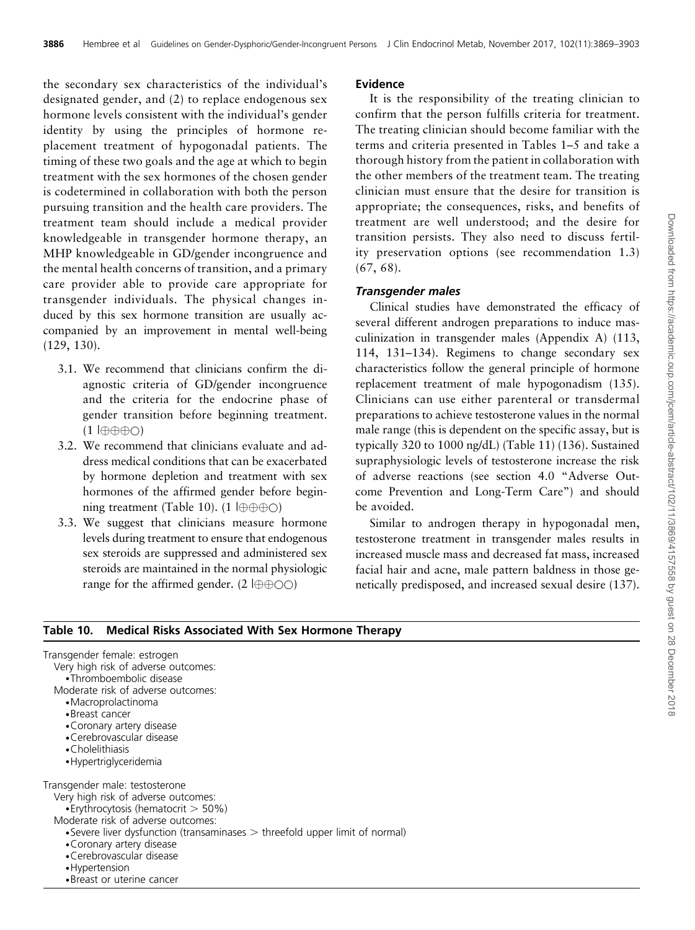the secondary sex characteristics of the individual's designated gender, and (2) to replace endogenous sex hormone levels consistent with the individual's gender identity by using the principles of hormone replacement treatment of hypogonadal patients. The timing of these two goals and the age at which to begin treatment with the sex hormones of the chosen gender is codetermined in collaboration with both the person pursuing transition and the health care providers. The treatment team should include a medical provider knowledgeable in transgender hormone therapy, an MHP knowledgeable in GD/gender incongruence and the mental health concerns of transition, and a primary care provider able to provide care appropriate for transgender individuals. The physical changes induced by this sex hormone transition are usually accompanied by an improvement in mental well-being ([129](#page-30-0), [130\)](#page-30-0).

- 3.1. We recommend that clinicians confirm the diagnostic criteria of GD/gender incongruence and the criteria for the endocrine phase of gender transition before beginning treatment.  $(1 \mid \oplus \oplus \oplus \odot)$
- 3.2. We recommend that clinicians evaluate and address medical conditions that can be exacerbated by hormone depletion and treatment with sex hormones of the affirmed gender before beginning treatment (Table 10). (1  $\oplus \oplus \oplus \odot$ )
- 3.3. We suggest that clinicians measure hormone levels during treatment to ensure that endogenous sex steroids are suppressed and administered sex steroids are maintained in the normal physiologic range for the affirmed gender.  $(2 \text{ } \oplus \oplus \text{ } \odot \text{ } \odot)$

#### Evidence

It is the responsibility of the treating clinician to confirm that the person fulfills criteria for treatment. The treating clinician should become familiar with the terms and criteria presented in [Tables 1](#page-6-0)–[5](#page-6-0) and take a thorough history from the patient in collaboration with the other members of the treatment team. The treating clinician must ensure that the desire for transition is appropriate; the consequences, risks, and benefits of treatment are well understood; and the desire for transition persists. They also need to discuss fertility preservation options (see recommendation 1.3) ([67](#page-28-0), [68\)](#page-28-0).

### Transgender males

Clinical studies have demonstrated the efficacy of several different androgen preparations to induce masculinization in transgender males (Appendix A) [\(113,](#page-30-0) [114, 131](#page-30-0)–[134](#page-30-0)). Regimens to change secondary sex characteristics follow the general principle of hormone replacement treatment of male hypogonadism [\(135\)](#page-30-0). Clinicians can use either parenteral or transdermal preparations to achieve testosterone values in the normal male range (this is dependent on the specific assay, but is typically 320 to 1000 ng/dL) [\(Table 11\)](#page-18-0) ([136](#page-30-0)). Sustained supraphysiologic levels of testosterone increase the risk of adverse reactions (see section 4.0 "Adverse Outcome Prevention and Long-Term Care") and should be avoided.

Similar to androgen therapy in hypogonadal men, testosterone treatment in transgender males results in increased muscle mass and decreased fat mass, increased facial hair and acne, male pattern baldness in those genetically predisposed, and increased sexual desire ([137\)](#page-30-0).

### Table 10. Medical Risks Associated With Sex Hormone Therapy

Transgender female: estrogen Very high risk of adverse outcomes: very nigh risk of adverse outcomes:<br>Thromboembolic disease<br>Moderate risk of adverse outcomes: ·Macroprolactinoma •Macroprolact<br>•Breast cancer<br>•Coronary arte •Breast cancer<br>•Coronary artery disease<br>•Cerebrovascular disease ·Cerebrovascular disease ·Cholelithiasis ·Hypertriglyceridemia Transgender male: testosterone Very high risk of adverse outcomes: • Erythrocytosis (hematocrit  $>$  50%)

Moderate risk of adverse outcomes:

- Severe liver dysfunction (transaminases  $>$  threefold upper limit of normal)
- ·Coronary artery disease
- ·Cerebrovascular disease
- 
- •Cerebrovascu<br>•Hypertension<br>•Breast or ute •Hypertension<br>•Breast or uterine cancer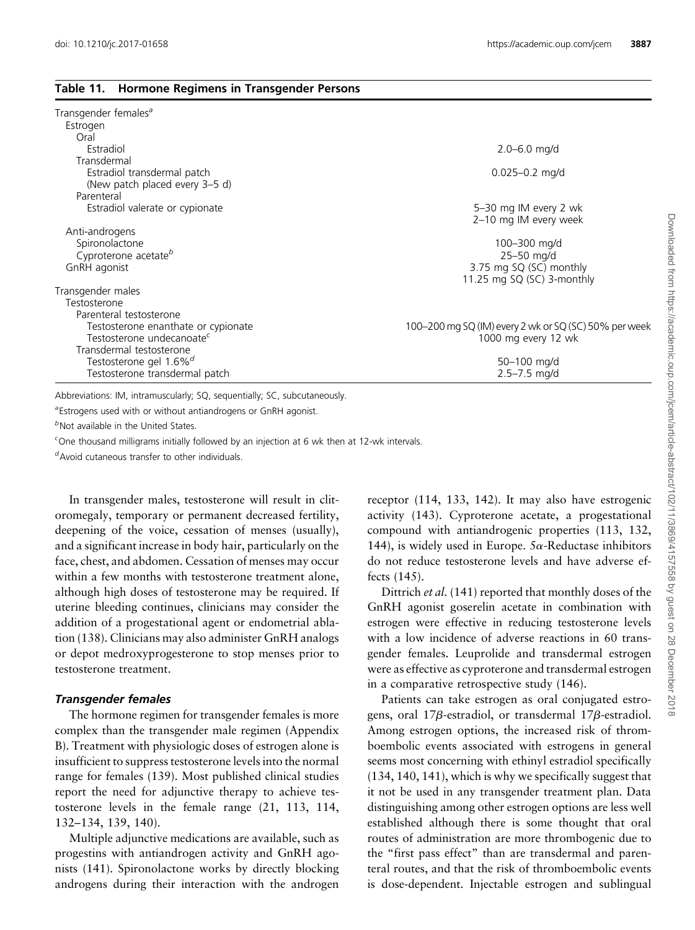### <span id="page-18-0"></span>Table 11. Hormone Regimens in Transgender Persons

| Transgender females <sup>a</sup>      |                                                       |  |  |
|---------------------------------------|-------------------------------------------------------|--|--|
| Estrogen                              |                                                       |  |  |
| Oral                                  |                                                       |  |  |
| Estradiol                             | $2.0 - 6.0$ mg/d                                      |  |  |
| Transdermal                           |                                                       |  |  |
| Estradiol transdermal patch           | $0.025 - 0.2$ mg/d                                    |  |  |
| (New patch placed every 3-5 d)        |                                                       |  |  |
| Parenteral                            |                                                       |  |  |
| Estradiol valerate or cypionate       | 5-30 mg IM every 2 wk                                 |  |  |
|                                       | 2-10 mg IM every week                                 |  |  |
| Anti-androgens                        |                                                       |  |  |
| Spironolactone                        | 100-300 mg/d                                          |  |  |
| Cyproterone acetate <sup>b</sup>      | 25-50 mg/d                                            |  |  |
| GnRH agonist                          | 3.75 mg SQ (SC) monthly                               |  |  |
|                                       | 11.25 mg SQ (SC) 3-monthly                            |  |  |
| Transgender males                     |                                                       |  |  |
| Testosterone                          |                                                       |  |  |
| Parenteral testosterone               |                                                       |  |  |
| Testosterone enanthate or cypionate   | 100–200 mg SQ (IM) every 2 wk or SQ (SC) 50% per week |  |  |
| Testosterone undecanoate <sup>c</sup> | 1000 mg every 12 wk                                   |  |  |
| Transdermal testosterone              |                                                       |  |  |
| Testosterone gel 1.6% <sup>d</sup>    | 50-100 mg/d                                           |  |  |
| Testosterone transdermal patch        | $2.5 - 7.5$ mg/d                                      |  |  |
|                                       |                                                       |  |  |

Abbreviations: IM, intramuscularly; SQ, sequentially; SC, subcutaneously.

<sup>a</sup> Estrogens used with or without antiandrogens or GnRH agonist.

 $<sup>b</sup>$ Not available in the United States.</sup>

<sup>c</sup>One thousand milligrams initially followed by an injection at 6 wk then at 12-wk intervals.

 $d$ Avoid cutaneous transfer to other individuals.

In transgender males, testosterone will result in clitoromegaly, temporary or permanent decreased fertility, deepening of the voice, cessation of menses (usually), and a significant increase in body hair, particularly on the face, chest, and abdomen. Cessation of menses may occur within a few months with testosterone treatment alone, although high doses of testosterone may be required. If uterine bleeding continues, clinicians may consider the addition of a progestational agent or endometrial ablation [\(138\)](#page-30-0). Clinicians may also administer GnRH analogs or depot medroxyprogesterone to stop menses prior to testosterone treatment.

### Transgender females

The hormone regimen for transgender females is more complex than the transgender male regimen (Appendix B). Treatment with physiologic doses of estrogen alone is insufficient to suppress testosterone levels into the normal range for females [\(139\)](#page-30-0). Most published clinical studies report the need for adjunctive therapy to achieve testosterone levels in the female range [\(21](#page-27-0), [113](#page-30-0), [114,](#page-30-0) [132](#page-30-0)–[134](#page-30-0), [139, 140](#page-30-0)).

Multiple adjunctive medications are available, such as progestins with antiandrogen activity and GnRH agonists ([141](#page-30-0)). Spironolactone works by directly blocking androgens during their interaction with the androgen

receptor [\(114, 133](#page-30-0), [142\)](#page-31-0). It may also have estrogenic activity ([143](#page-31-0)). Cyproterone acetate, a progestational compound with antiandrogenic properties ([113](#page-30-0), [132,](#page-30-0) [144\)](#page-31-0), is widely used in Europe.  $5\alpha$ -Reductase inhibitors do not reduce testosterone levels and have adverse effects ([145](#page-31-0)).

Dittrich *et al.* [\(141\)](#page-30-0) reported that monthly doses of the GnRH agonist goserelin acetate in combination with estrogen were effective in reducing testosterone levels with a low incidence of adverse reactions in 60 transgender females. Leuprolide and transdermal estrogen were as effective as cyproterone and transdermal estrogen in a comparative retrospective study ([146](#page-31-0)).

Patients can take estrogen as oral conjugated estrogens, oral 17 $\beta$ -estradiol, or transdermal 17 $\beta$ -estradiol. Among estrogen options, the increased risk of thromboembolic events associated with estrogens in general seems most concerning with ethinyl estradiol specifically ([134](#page-30-0), [140](#page-30-0), [141\)](#page-30-0), which is why we specifically suggest that it not be used in any transgender treatment plan. Data distinguishing among other estrogen options are less well established although there is some thought that oral routes of administration are more thrombogenic due to the "first pass effect" than are transdermal and parenteral routes, and that the risk of thromboembolic events is dose-dependent. Injectable estrogen and sublingual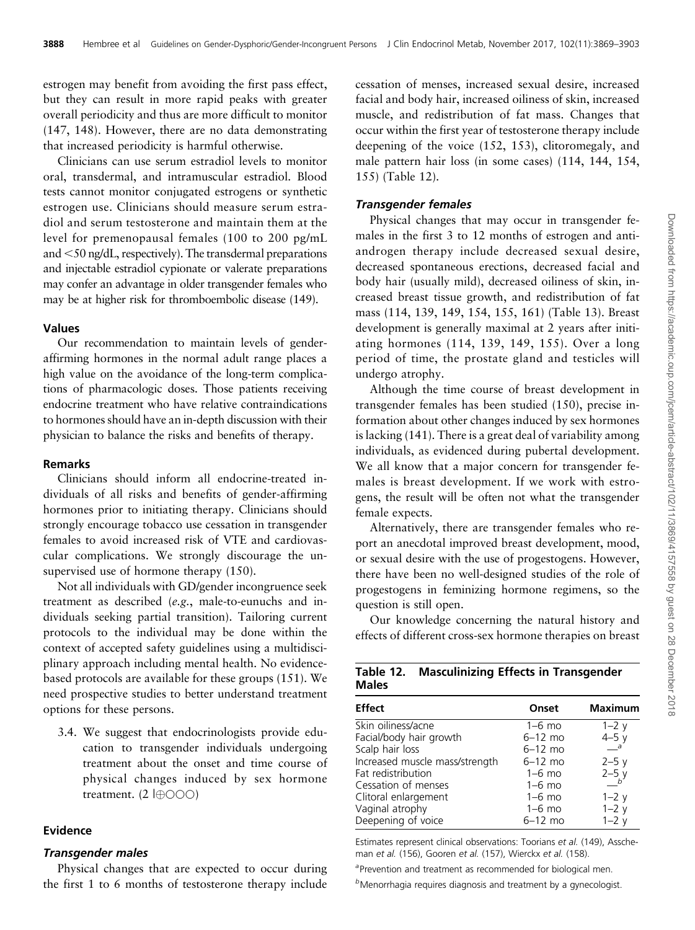estrogen may benefit from avoiding the first pass effect, but they can result in more rapid peaks with greater overall periodicity and thus are more difficult to monitor ([147](#page-31-0), [148](#page-31-0)). However, there are no data demonstrating that increased periodicity is harmful otherwise.

Clinicians can use serum estradiol levels to monitor oral, transdermal, and intramuscular estradiol. Blood tests cannot monitor conjugated estrogens or synthetic estrogen use. Clinicians should measure serum estradiol and serum testosterone and maintain them at the level for premenopausal females (100 to 200 pg/mL and  $\leq$ 50 ng/dL, respectively). The transdermal preparations and injectable estradiol cypionate or valerate preparations may confer an advantage in older transgender females who may be at higher risk for thromboembolic disease ([149](#page-31-0)).

#### Values

Our recommendation to maintain levels of genderaffirming hormones in the normal adult range places a high value on the avoidance of the long-term complications of pharmacologic doses. Those patients receiving endocrine treatment who have relative contraindications to hormones should have an in-depth discussion with their physician to balance the risks and benefits of therapy.

#### Remarks

Clinicians should inform all endocrine-treated individuals of all risks and benefits of gender-affirming hormones prior to initiating therapy. Clinicians should strongly encourage tobacco use cessation in transgender females to avoid increased risk of VTE and cardiovascular complications. We strongly discourage the unsupervised use of hormone therapy  $(150)$ .

Not all individuals with GD/gender incongruence seek treatment as described (e.g., male-to-eunuchs and individuals seeking partial transition). Tailoring current protocols to the individual may be done within the context of accepted safety guidelines using a multidisciplinary approach including mental health. No evidencebased protocols are available for these groups [\(151\)](#page-31-0). We need prospective studies to better understand treatment options for these persons.

3.4. We suggest that endocrinologists provide education to transgender individuals undergoing treatment about the onset and time course of physical changes induced by sex hormone treatment.  $(2 \text{ } | \oplus \text{} \odot \text{)}$ 

#### Evidence

### Transgender males

Physical changes that are expected to occur during the first 1 to 6 months of testosterone therapy include cessation of menses, increased sexual desire, increased facial and body hair, increased oiliness of skin, increased muscle, and redistribution of fat mass. Changes that occur within the first year of testosterone therapy include deepening of the voice ([152](#page-31-0), [153\)](#page-31-0), clitoromegaly, and male pattern hair loss (in some cases) ([114](#page-30-0), [144, 154,](#page-31-0) [155\)](#page-31-0) (Table 12).

#### Transgender females

Physical changes that may occur in transgender females in the first 3 to 12 months of estrogen and antiandrogen therapy include decreased sexual desire, decreased spontaneous erections, decreased facial and body hair (usually mild), decreased oiliness of skin, increased breast tissue growth, and redistribution of fat mass ([114](#page-30-0), [139,](#page-30-0) [149, 154](#page-31-0), [155, 161](#page-31-0)) ([Table 13](#page-20-0)). Breast development is generally maximal at 2 years after initiating hormones ([114](#page-30-0), [139,](#page-30-0) [149, 155](#page-31-0)). Over a long period of time, the prostate gland and testicles will undergo atrophy.

Although the time course of breast development in transgender females has been studied ([150](#page-31-0)), precise information about other changes induced by sex hormones is lacking ([141](#page-30-0)). There is a great deal of variability among individuals, as evidenced during pubertal development. We all know that a major concern for transgender females is breast development. If we work with estrogens, the result will be often not what the transgender female expects.

Alternatively, there are transgender females who report an anecdotal improved breast development, mood, or sexual desire with the use of progestogens. However, there have been no well-designed studies of the role of progestogens in feminizing hormone regimens, so the question is still open.

Our knowledge concerning the natural history and effects of different cross-sex hormone therapies on breast

|              | Table 12. Masculinizing Effects in Transgender |
|--------------|------------------------------------------------|
| <b>Males</b> |                                                |
|              |                                                |

| Onset       | <b>Maximum</b> |
|-------------|----------------|
| $1-6$ mo    | $1 - 2y$       |
| $6 - 12$ mo | $4-5y$         |
| $6-12$ mo   | $\overline{a}$ |
| $6-12$ mo   | $2 - 5y$       |
| $1-6$ mo    | $2 - 5y$       |
| $1-6$ mo    |                |
| $1-6$ mo    | $1 - 2y$       |
| $1-6$ mo    | $1 - 2y$       |
| $6-12$ mo   | $1 - 2$ $v$    |
|             |                |

Estimates represent clinical observations: Toorians et al. ([149\)](#page-31-0), Asscheman et al. [\(156\)](#page-31-0), Gooren et al. [\(157](#page-31-0)), Wierckx et al. ([158](#page-31-0)).

<sup>a</sup> Prevention and treatment as recommended for biological men.

 $<sup>b</sup>$ Menorrhagia requires diagnosis and treatment by a gynecologist.</sup>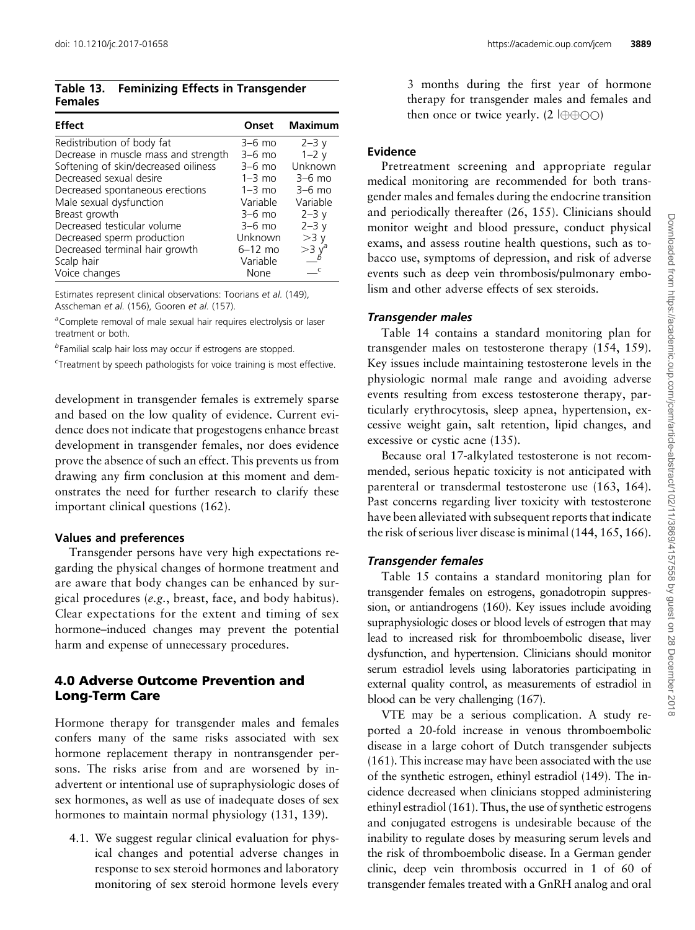### <span id="page-20-0"></span>Table 13. Feminizing Effects in Transgender Females

| <b>Effect</b>                        | Onset       | <b>Maximum</b>     |
|--------------------------------------|-------------|--------------------|
| Redistribution of body fat           | $3-6$ mo    | $2 - 3y$           |
| Decrease in muscle mass and strength | $3-6$ mo    | $1 - 2y$           |
| Softening of skin/decreased oiliness | $3-6$ mo    | Unknown            |
| Decreased sexual desire              | $1-3$ mo    | $3-6$ mo           |
| Decreased spontaneous erections      | $1-3$ mo    | $3-6$ mo           |
| Male sexual dysfunction              | Variable    | Variable           |
| Breast growth                        | $3-6$ mo    | $2 - 3y$           |
| Decreased testicular volume          | $3-6$ mo    | $2 - 3y$           |
| Decreased sperm production           | Unknown     | >3v                |
| Decreased terminal hair growth       | $6 - 12$ mo | $\sum_{b}^{3} y^a$ |
| Scalp hair                           | Variable    |                    |
| Voice changes                        | None        | C                  |

Estimates represent clinical observations: Toorians et al. ([149](#page-31-0)), Asscheman et al. ([156](#page-31-0)), Gooren et al. ([157](#page-31-0)).

<sup>a</sup>Complete removal of male sexual hair requires electrolysis or laser treatment or both.

<sup>b</sup>Familial scalp hair loss may occur if estrogens are stopped.

<sup>c</sup>Treatment by speech pathologists for voice training is most effective.

development in transgender females is extremely sparse and based on the low quality of evidence. Current evidence does not indicate that progestogens enhance breast development in transgender females, nor does evidence prove the absence of such an effect. This prevents us from drawing any firm conclusion at this moment and demonstrates the need for further research to clarify these important clinical questions ([162](#page-31-0)).

### Values and preferences

Transgender persons have very high expectations regarding the physical changes of hormone treatment and are aware that body changes can be enhanced by surgical procedures (e.g., breast, face, and body habitus). Clear expectations for the extent and timing of sex hormone–induced changes may prevent the potential harm and expense of unnecessary procedures.

# 4.0 Adverse Outcome Prevention and Long-Term Care

Hormone therapy for transgender males and females confers many of the same risks associated with sex hormone replacement therapy in nontransgender persons. The risks arise from and are worsened by inadvertent or intentional use of supraphysiologic doses of sex hormones, as well as use of inadequate doses of sex hormones to maintain normal physiology [\(131, 139](#page-30-0)).

4.1. We suggest regular clinical evaluation for physical changes and potential adverse changes in response to sex steroid hormones and laboratory monitoring of sex steroid hormone levels every 3 months during the first year of hormone therapy for transgender males and females and then once or twice yearly.  $(2 \text{ }|\oplus \oplus \text{ }O)$ 

# Evidence

Pretreatment screening and appropriate regular medical monitoring are recommended for both transgender males and females during the endocrine transition and periodically thereafter [\(26](#page-27-0), [155](#page-31-0)). Clinicians should monitor weight and blood pressure, conduct physical exams, and assess routine health questions, such as tobacco use, symptoms of depression, and risk of adverse events such as deep vein thrombosis/pulmonary embolism and other adverse effects of sex steroids.

# Transgender males

[Table 14](#page-21-0) contains a standard monitoring plan for transgender males on testosterone therapy [\(154, 159](#page-31-0)). Key issues include maintaining testosterone levels in the physiologic normal male range and avoiding adverse events resulting from excess testosterone therapy, particularly erythrocytosis, sleep apnea, hypertension, excessive weight gain, salt retention, lipid changes, and excessive or cystic acne ([135](#page-30-0)).

Because oral 17-alkylated testosterone is not recommended, serious hepatic toxicity is not anticipated with parenteral or transdermal testosterone use [\(163, 164](#page-31-0)). Past concerns regarding liver toxicity with testosterone have been alleviated with subsequent reports that indicate the risk of serious liver disease is minimal ([144](#page-31-0), [165, 166](#page-31-0)).

# Transgender females

[Table 15](#page-21-0) contains a standard monitoring plan for transgender females on estrogens, gonadotropin suppression, or antiandrogens [\(160\)](#page-31-0). Key issues include avoiding supraphysiologic doses or blood levels of estrogen that may lead to increased risk for thromboembolic disease, liver dysfunction, and hypertension. Clinicians should monitor serum estradiol levels using laboratories participating in external quality control, as measurements of estradiol in blood can be very challenging [\(167\)](#page-31-0).

VTE may be a serious complication. A study reported a 20-fold increase in venous thromboembolic disease in a large cohort of Dutch transgender subjects [\(161\)](#page-31-0). This increase may have been associated with the use of the synthetic estrogen, ethinyl estradiol [\(149\)](#page-31-0). The incidence decreased when clinicians stopped administering ethinyl estradiol ([161\)](#page-31-0). Thus, the use of synthetic estrogens and conjugated estrogens is undesirable because of the inability to regulate doses by measuring serum levels and the risk of thromboembolic disease. In a German gender clinic, deep vein thrombosis occurred in 1 of 60 of transgender females treated with a GnRH analog and oral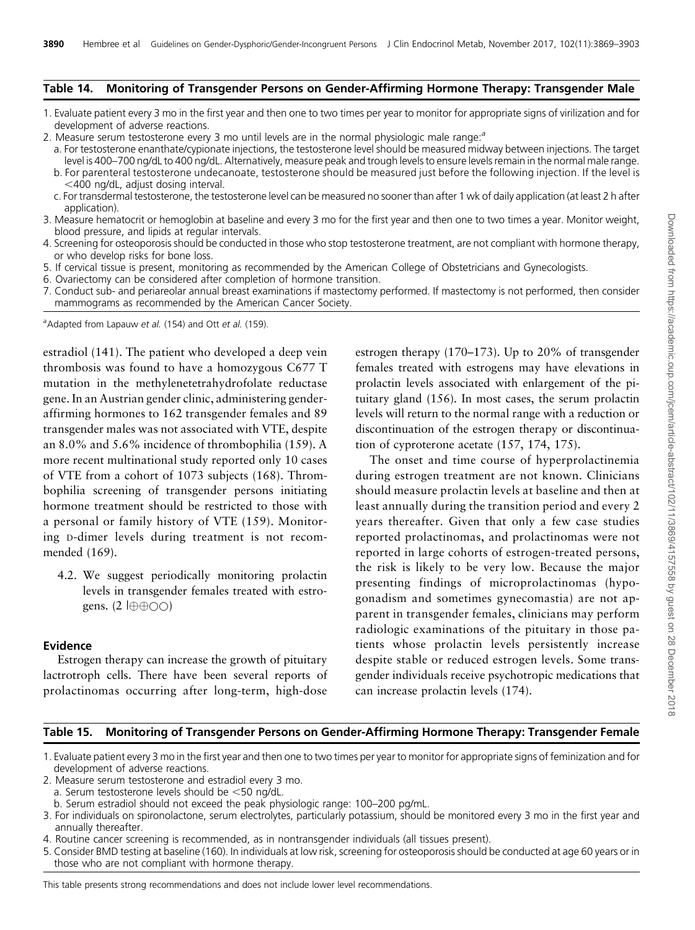### <span id="page-21-0"></span>Table 14. Monitoring of Transgender Persons on Gender-Affirming Hormone Therapy: Transgender Male

- 1. Evaluate patient every 3 mo in the first year and then one to two times per year to monitor for appropriate signs of virilization and for development of adverse reactions.
- 2. Measure serum testosterone every 3 mo until levels are in the normal physiologic male range:<sup>a</sup>
	- a. For testosterone enanthate/cypionate injections, the testosterone level should be measured midway between injections. The target level is 400–700 ng/dL to 400 ng/dL. Alternatively, measure peak and trough levels to ensure levels remain in the normal male range. b. For parenteral testosterone undecanoate, testosterone should be measured just before the following injection. If the level is
	- $<$ 400 ng/dL, adjust dosing interval. c. For transdermal testosterone, the testosterone level can be measured no sooner than after 1 wk of daily application (at least 2 h after
- application). 3. Measure hematocrit or hemoglobin at baseline and every 3 mo for the first year and then one to two times a year. Monitor weight, blood pressure, and lipids at regular intervals.
- 4. Screening for osteoporosis should be conducted in those who stop testosterone treatment, are not compliant with hormone therapy, or who develop risks for bone loss.
- 5. If cervical tissue is present, monitoring as recommended by the American College of Obstetricians and Gynecologists.
- 6. Ovariectomy can be considered after completion of hormone transition.
- 7. Conduct sub- and periareolar annual breast examinations if mastectomy performed. If mastectomy is not performed, then consider mammograms as recommended by the American Cancer Society.

<sup>a</sup> Adapted from Lapauw et al. [\(154\)](#page-31-0) and Ott et al. ([159\)](#page-31-0).

estradiol ([141\)](#page-30-0). The patient who developed a deep vein thrombosis was found to have a homozygous C677 T mutation in the methylenetetrahydrofolate reductase gene. In an Austrian gender clinic, administering genderaffirming hormones to 162 transgender females and 89 transgender males was not associated with VTE, despite an 8.0% and 5.6% incidence of thrombophilia ([159\)](#page-31-0). A more recent multinational study reported only 10 cases of VTE from a cohort of 1073 subjects ([168\)](#page-31-0). Thrombophilia screening of transgender persons initiating hormone treatment should be restricted to those with a personal or family history of VTE ([159](#page-31-0)). Monitoring D-dimer levels during treatment is not recommended [\(169\)](#page-31-0).

4.2. We suggest periodically monitoring prolactin levels in transgender females treated with estrogens. (2  $\ket{\oplus \oplus \odot}$ )

#### Evidence

Estrogen therapy can increase the growth of pituitary lactrotroph cells. There have been several reports of prolactinomas occurring after long-term, high-dose

estrogen therapy [\(170](#page-31-0)–[173](#page-31-0)). Up to 20% of transgender females treated with estrogens may have elevations in prolactin levels associated with enlargement of the pituitary gland [\(156\)](#page-31-0). In most cases, the serum prolactin levels will return to the normal range with a reduction or discontinuation of the estrogen therapy or discontinuation of cyproterone acetate ([157](#page-31-0), [174, 175\)](#page-31-0).

The onset and time course of hyperprolactinemia during estrogen treatment are not known. Clinicians should measure prolactin levels at baseline and then at least annually during the transition period and every 2 years thereafter. Given that only a few case studies reported prolactinomas, and prolactinomas were not reported in large cohorts of estrogen-treated persons, the risk is likely to be very low. Because the major presenting findings of microprolactinomas (hypogonadism and sometimes gynecomastia) are not apparent in transgender females, clinicians may perform radiologic examinations of the pituitary in those patients whose prolactin levels persistently increase despite stable or reduced estrogen levels. Some transgender individuals receive psychotropic medications that can increase prolactin levels ([174](#page-31-0)).

#### Table 15. Monitoring of Transgender Persons on Gender-Affirming Hormone Therapy: Transgender Female

- 1. Evaluate patient every 3 mo in the first year and then one to two times per year to monitor for appropriate signs of feminization and for development of adverse reactions.
- 2. Measure serum testosterone and estradiol every 3 mo.
	- a. Serum testosterone levels should be  $<$  50 ng/dL.
	- b. Serum estradiol should not exceed the peak physiologic range: 100–200 pg/mL.
- 3. For individuals on spironolactone, serum electrolytes, particularly potassium, should be monitored every 3 mo in the first year and annually thereafter.
- 4. Routine cancer screening is recommended, as in nontransgender individuals (all tissues present).
- 5. Consider BMD testing at baseline ([160\)](#page-31-0). In individuals at low risk, screening for osteoporosis should be conducted at age 60 years or in those who are not compliant with hormone therapy.

#### This table presents strong recommendations and does not include lower level recommendations.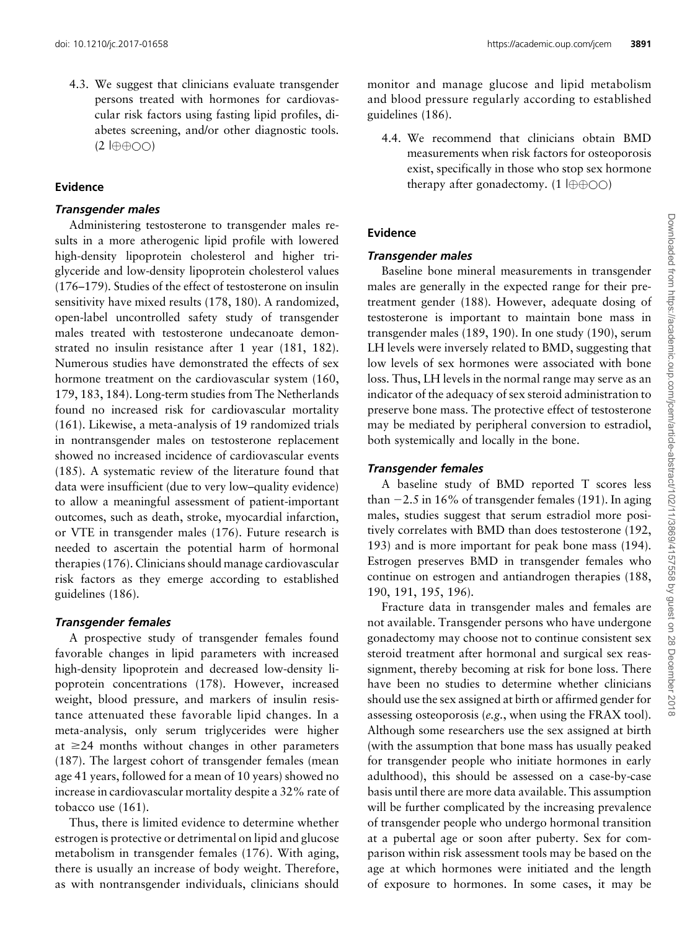4.3. We suggest that clinicians evaluate transgender persons treated with hormones for cardiovascular risk factors using fasting lipid profiles, diabetes screening, and/or other diagnostic tools.  $(2 \text{ }|\oplus \oplus \text{OO})$ 

### Evidence

### Transgender males

Administering testosterone to transgender males results in a more atherogenic lipid profile with lowered high-density lipoprotein cholesterol and higher triglyceride and low-density lipoprotein cholesterol values ([176](#page-31-0)–[179\)](#page-32-0). Studies of the effect of testosterone on insulin sensitivity have mixed results ([178](#page-32-0), [180\)](#page-32-0). A randomized, open-label uncontrolled safety study of transgender males treated with testosterone undecanoate demonstrated no insulin resistance after 1 year ([181](#page-32-0), [182](#page-32-0)). Numerous studies have demonstrated the effects of sex hormone treatment on the cardiovascular system [\(160,](#page-31-0) [179, 183](#page-32-0), [184\)](#page-32-0). Long-term studies from The Netherlands found no increased risk for cardiovascular mortality ([161](#page-31-0)). Likewise, a meta-analysis of 19 randomized trials in nontransgender males on testosterone replacement showed no increased incidence of cardiovascular events ([185](#page-32-0)). A systematic review of the literature found that data were insufficient (due to very low–quality evidence) to allow a meaningful assessment of patient-important outcomes, such as death, stroke, myocardial infarction, or VTE in transgender males [\(176\)](#page-31-0). Future research is needed to ascertain the potential harm of hormonal therapies ([176](#page-31-0)). Clinicians should manage cardiovascular risk factors as they emerge according to established guidelines ([186](#page-32-0)).

### Transgender females

A prospective study of transgender females found favorable changes in lipid parameters with increased high-density lipoprotein and decreased low-density lipoprotein concentrations ([178](#page-32-0)). However, increased weight, blood pressure, and markers of insulin resistance attenuated these favorable lipid changes. In a meta-analysis, only serum triglycerides were higher at  $\geq$ 24 months without changes in other parameters ([187](#page-32-0)). The largest cohort of transgender females (mean age 41 years, followed for a mean of 10 years) showed no increase in cardiovascular mortality despite a 32% rate of tobacco use [\(161\)](#page-31-0).

Thus, there is limited evidence to determine whether estrogen is protective or detrimental on lipid and glucose metabolism in transgender females ([176\)](#page-31-0). With aging, there is usually an increase of body weight. Therefore, as with nontransgender individuals, clinicians should

monitor and manage glucose and lipid metabolism and blood pressure regularly according to established guidelines ([186\)](#page-32-0).

4.4. We recommend that clinicians obtain BMD measurements when risk factors for osteoporosis exist, specifically in those who stop sex hormone therapy after gonadectomy.  $(1 \oplus \oplus \odot)$ 

# Evidence

### Transgender males

Baseline bone mineral measurements in transgender males are generally in the expected range for their pretreatment gender [\(188\)](#page-32-0). However, adequate dosing of testosterone is important to maintain bone mass in transgender males [\(189, 190](#page-32-0)). In one study ([190](#page-32-0)), serum LH levels were inversely related to BMD, suggesting that low levels of sex hormones were associated with bone loss. Thus, LH levels in the normal range may serve as an indicator of the adequacy of sex steroid administration to preserve bone mass. The protective effect of testosterone may be mediated by peripheral conversion to estradiol, both systemically and locally in the bone.

# Transgender females

A baseline study of BMD reported T scores less than  $-2.5$  in 16% of transgender females [\(191\)](#page-32-0). In aging males, studies suggest that serum estradiol more positively correlates with BMD than does testosterone [\(192,](#page-32-0) [193\)](#page-32-0) and is more important for peak bone mass ([194](#page-32-0)). Estrogen preserves BMD in transgender females who continue on estrogen and antiandrogen therapies [\(188,](#page-32-0) [190, 191](#page-32-0), [195, 196](#page-32-0)).

Fracture data in transgender males and females are not available. Transgender persons who have undergone gonadectomy may choose not to continue consistent sex steroid treatment after hormonal and surgical sex reassignment, thereby becoming at risk for bone loss. There have been no studies to determine whether clinicians should use the sex assigned at birth or affirmed gender for assessing osteoporosis (e.g., when using the FRAX tool). Although some researchers use the sex assigned at birth (with the assumption that bone mass has usually peaked for transgender people who initiate hormones in early adulthood), this should be assessed on a case-by-case basis until there are more data available. This assumption will be further complicated by the increasing prevalence of transgender people who undergo hormonal transition at a pubertal age or soon after puberty. Sex for comparison within risk assessment tools may be based on the age at which hormones were initiated and the length of exposure to hormones. In some cases, it may be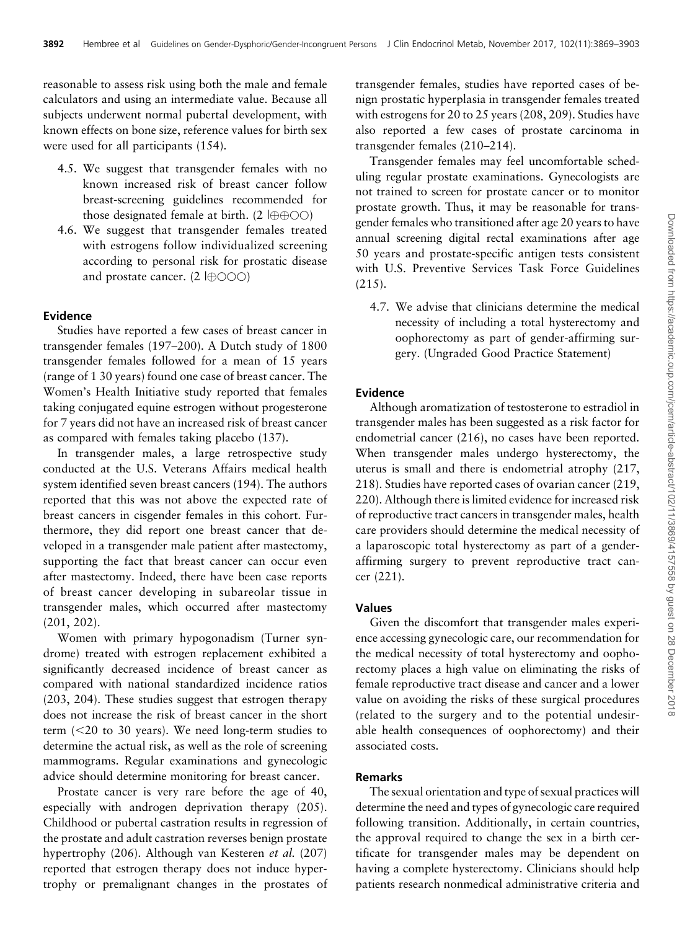reasonable to assess risk using both the male and female calculators and using an intermediate value. Because all subjects underwent normal pubertal development, with known effects on bone size, reference values for birth sex were used for all participants [\(154\)](#page-31-0).

- 4.5. We suggest that transgender females with no known increased risk of breast cancer follow breast-screening guidelines recommended for those designated female at birth.  $(2 | \oplus \oplus \odot \odot)$
- 4.6. We suggest that transgender females treated with estrogens follow individualized screening according to personal risk for prostatic disease and prostate cancer.  $(2 \text{ } | \oplus \text{} \odot \text{ } \odot)$

#### Evidence

Studies have reported a few cases of breast cancer in transgender females ([197](#page-32-0)–[200\)](#page-32-0). A Dutch study of 1800 transgender females followed for a mean of 15 years (range of 1 30 years) found one case of breast cancer. The Women's Health Initiative study reported that females taking conjugated equine estrogen without progesterone for 7 years did not have an increased risk of breast cancer as compared with females taking placebo ([137](#page-30-0)).

In transgender males, a large retrospective study conducted at the U.S. Veterans Affairs medical health system identified seven breast cancers ([194](#page-32-0)). The authors reported that this was not above the expected rate of breast cancers in cisgender females in this cohort. Furthermore, they did report one breast cancer that developed in a transgender male patient after mastectomy, supporting the fact that breast cancer can occur even after mastectomy. Indeed, there have been case reports of breast cancer developing in subareolar tissue in transgender males, which occurred after mastectomy ([201](#page-32-0), [202\)](#page-32-0).

Women with primary hypogonadism (Turner syndrome) treated with estrogen replacement exhibited a significantly decreased incidence of breast cancer as compared with national standardized incidence ratios ([203](#page-32-0), [204\)](#page-32-0). These studies suggest that estrogen therapy does not increase the risk of breast cancer in the short term  $(<20$  to 30 years). We need long-term studies to determine the actual risk, as well as the role of screening mammograms. Regular examinations and gynecologic advice should determine monitoring for breast cancer.

Prostate cancer is very rare before the age of 40, especially with androgen deprivation therapy ([205\)](#page-32-0). Childhood or pubertal castration results in regression of the prostate and adult castration reverses benign prostate hypertrophy [\(206\)](#page-32-0). Although van Kesteren et al. ([207](#page-32-0)) reported that estrogen therapy does not induce hypertrophy or premalignant changes in the prostates of transgender females, studies have reported cases of benign prostatic hyperplasia in transgender females treated with estrogens for 20 to 25 years ([208](#page-32-0), [209](#page-32-0)). Studies have also reported a few cases of prostate carcinoma in transgender females ([210](#page-32-0)–[214\)](#page-33-0).

Transgender females may feel uncomfortable scheduling regular prostate examinations. Gynecologists are not trained to screen for prostate cancer or to monitor prostate growth. Thus, it may be reasonable for transgender females who transitioned after age 20 years to have annual screening digital rectal examinations after age 50 years and prostate-specific antigen tests consistent with U.S. Preventive Services Task Force Guidelines ([215\)](#page-33-0).

4.7. We advise that clinicians determine the medical necessity of including a total hysterectomy and oophorectomy as part of gender-affirming surgery. (Ungraded Good Practice Statement)

#### Evidence

Although aromatization of testosterone to estradiol in transgender males has been suggested as a risk factor for endometrial cancer ([216](#page-33-0)), no cases have been reported. When transgender males undergo hysterectomy, the uterus is small and there is endometrial atrophy [\(217,](#page-33-0) [218\)](#page-33-0). Studies have reported cases of ovarian cancer [\(219,](#page-33-0) [220\)](#page-33-0). Although there is limited evidence for increased risk of reproductive tract cancers in transgender males, health care providers should determine the medical necessity of a laparoscopic total hysterectomy as part of a genderaffirming surgery to prevent reproductive tract cancer [\(221\)](#page-33-0).

#### Values

Given the discomfort that transgender males experience accessing gynecologic care, our recommendation for the medical necessity of total hysterectomy and oophorectomy places a high value on eliminating the risks of female reproductive tract disease and cancer and a lower value on avoiding the risks of these surgical procedures (related to the surgery and to the potential undesirable health consequences of oophorectomy) and their associated costs.

### Remarks

The sexual orientation and type of sexual practices will determine the need and types of gynecologic care required following transition. Additionally, in certain countries, the approval required to change the sex in a birth certificate for transgender males may be dependent on having a complete hysterectomy. Clinicians should help patients research nonmedical administrative criteria and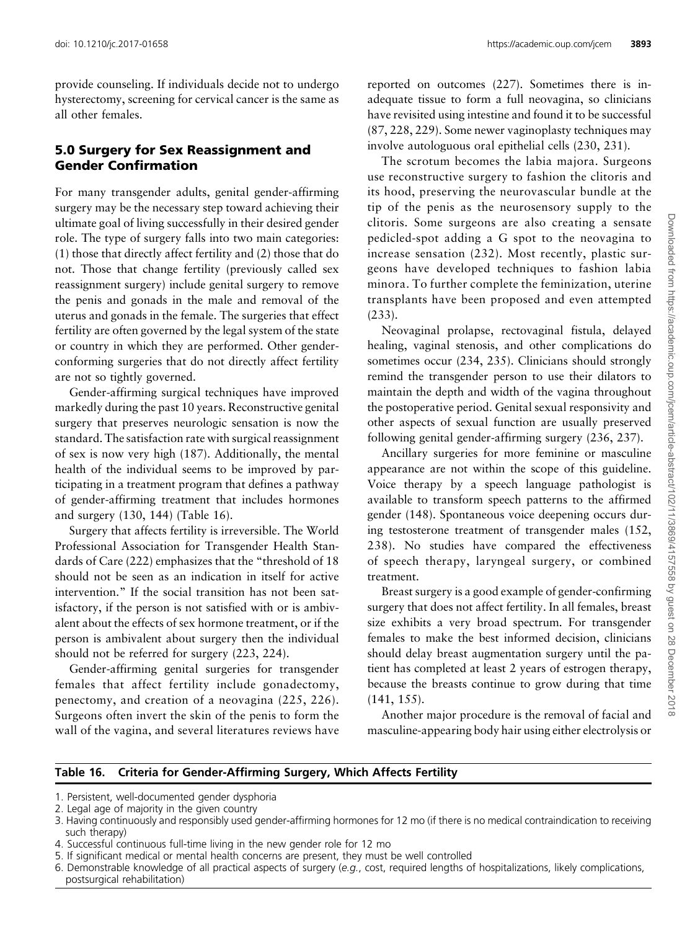<span id="page-24-0"></span>provide counseling. If individuals decide not to undergo hysterectomy, screening for cervical cancer is the same as all other females.

# 5.0 Surgery for Sex Reassignment and Gender Confirmation

For many transgender adults, genital gender-affirming surgery may be the necessary step toward achieving their ultimate goal of living successfully in their desired gender role. The type of surgery falls into two main categories: (1) those that directly affect fertility and (2) those that do not. Those that change fertility (previously called sex reassignment surgery) include genital surgery to remove the penis and gonads in the male and removal of the uterus and gonads in the female. The surgeries that effect fertility are often governed by the legal system of the state or country in which they are performed. Other genderconforming surgeries that do not directly affect fertility are not so tightly governed.

Gender-affirming surgical techniques have improved markedly during the past 10 years. Reconstructive genital surgery that preserves neurologic sensation is now the standard. The satisfaction rate with surgical reassignment of sex is now very high ([187](#page-32-0)). Additionally, the mental health of the individual seems to be improved by participating in a treatment program that defines a pathway of gender-affirming treatment that includes hormones and surgery [\(130,](#page-30-0) [144](#page-31-0)) (Table 16).

Surgery that affects fertility is irreversible. The World Professional Association for Transgender Health Standards of Care [\(222\)](#page-33-0) emphasizes that the "threshold of 18 should not be seen as an indication in itself for active intervention." If the social transition has not been satisfactory, if the person is not satisfied with or is ambivalent about the effects of sex hormone treatment, or if the person is ambivalent about surgery then the individual should not be referred for surgery ([223](#page-33-0), [224\)](#page-33-0).

Gender-affirming genital surgeries for transgender females that affect fertility include gonadectomy, penectomy, and creation of a neovagina ([225](#page-33-0), [226](#page-33-0)). Surgeons often invert the skin of the penis to form the wall of the vagina, and several literatures reviews have

reported on outcomes ([227](#page-33-0)). Sometimes there is inadequate tissue to form a full neovagina, so clinicians have revisited using intestine and found it to be successful ([87,](#page-29-0) [228, 229](#page-33-0)). Some newer vaginoplasty techniques may involve autologuous oral epithelial cells ([230](#page-33-0), [231\)](#page-33-0).

The scrotum becomes the labia majora. Surgeons use reconstructive surgery to fashion the clitoris and its hood, preserving the neurovascular bundle at the tip of the penis as the neurosensory supply to the clitoris. Some surgeons are also creating a sensate pedicled-spot adding a G spot to the neovagina to increase sensation [\(232\)](#page-33-0). Most recently, plastic surgeons have developed techniques to fashion labia minora. To further complete the feminization, uterine transplants have been proposed and even attempted ([233](#page-33-0)).

Neovaginal prolapse, rectovaginal fistula, delayed healing, vaginal stenosis, and other complications do sometimes occur [\(234, 235\)](#page-33-0). Clinicians should strongly remind the transgender person to use their dilators to maintain the depth and width of the vagina throughout the postoperative period. Genital sexual responsivity and other aspects of sexual function are usually preserved following genital gender-affirming surgery ([236, 237\)](#page-33-0).

Ancillary surgeries for more feminine or masculine appearance are not within the scope of this guideline. Voice therapy by a speech language pathologist is available to transform speech patterns to the affirmed gender [\(148\)](#page-31-0). Spontaneous voice deepening occurs during testosterone treatment of transgender males [\(152,](#page-31-0) [238\)](#page-33-0). No studies have compared the effectiveness of speech therapy, laryngeal surgery, or combined treatment.

Breast surgery is a good example of gender-confirming surgery that does not affect fertility. In all females, breast size exhibits a very broad spectrum. For transgender females to make the best informed decision, clinicians should delay breast augmentation surgery until the patient has completed at least 2 years of estrogen therapy, because the breasts continue to grow during that time ([141](#page-30-0), [155](#page-31-0)).

Another major procedure is the removal of facial and masculine-appearing body hair using either electrolysis or

### Table 16. Criteria for Gender-Affirming Surgery, Which Affects Fertility

- 1. Persistent, well-documented gender dysphoria
- 2. Legal age of majority in the given country
- 3. Having continuously and responsibly used gender-affirming hormones for 12 mo (if there is no medical contraindication to receiving such therapy)
- 4. Successful continuous full-time living in the new gender role for 12 mo
- 5. If significant medical or mental health concerns are present, they must be well controlled
- 6. Demonstrable knowledge of all practical aspects of surgery (e.g., cost, required lengths of hospitalizations, likely complications, postsurgical rehabilitation)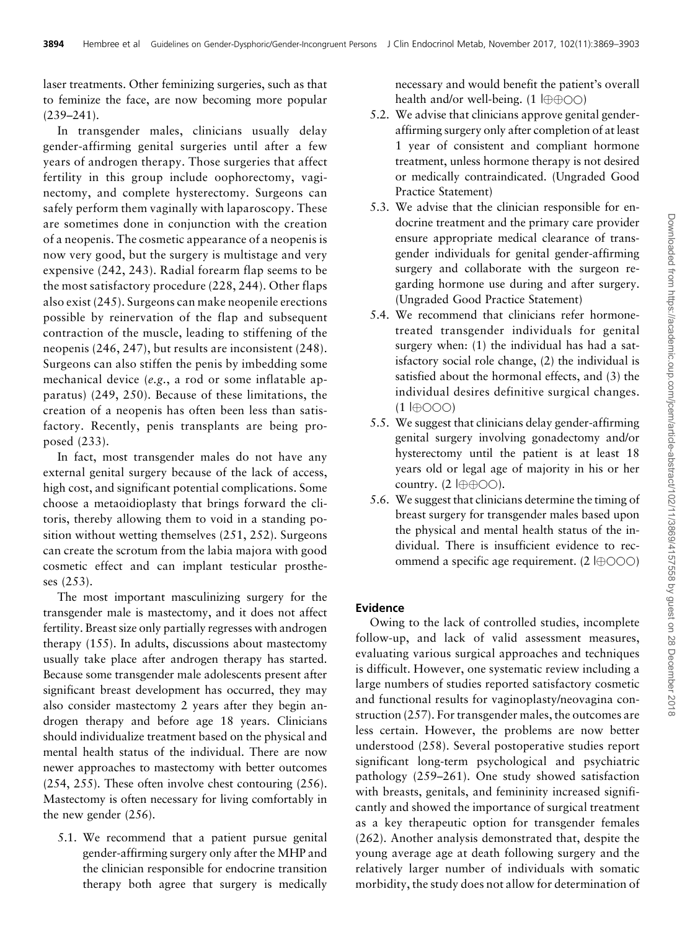laser treatments. Other feminizing surgeries, such as that to feminize the face, are now becoming more popular ([239](#page-33-0)–[241\)](#page-33-0).

In transgender males, clinicians usually delay gender-affirming genital surgeries until after a few years of androgen therapy. Those surgeries that affect fertility in this group include oophorectomy, vaginectomy, and complete hysterectomy. Surgeons can safely perform them vaginally with laparoscopy. These are sometimes done in conjunction with the creation of a neopenis. The cosmetic appearance of a neopenis is now very good, but the surgery is multistage and very expensive ([242, 243\)](#page-33-0). Radial forearm flap seems to be the most satisfactory procedure ([228, 244\)](#page-33-0). Other flaps also exist ([245\)](#page-33-0). Surgeons can make neopenile erections possible by reinervation of the flap and subsequent contraction of the muscle, leading to stiffening of the neopenis ([246](#page-33-0), [247\)](#page-33-0), but results are inconsistent ([248](#page-34-0)). Surgeons can also stiffen the penis by imbedding some mechanical device (e.g., a rod or some inflatable apparatus) ([249](#page-34-0), [250\)](#page-34-0). Because of these limitations, the creation of a neopenis has often been less than satisfactory. Recently, penis transplants are being proposed ([233\)](#page-33-0).

In fact, most transgender males do not have any external genital surgery because of the lack of access, high cost, and significant potential complications. Some choose a metaoidioplasty that brings forward the clitoris, thereby allowing them to void in a standing position without wetting themselves ([251, 252](#page-34-0)). Surgeons can create the scrotum from the labia majora with good cosmetic effect and can implant testicular prostheses [\(253](#page-34-0)).

The most important masculinizing surgery for the transgender male is mastectomy, and it does not affect fertility. Breast size only partially regresses with androgen therapy [\(155\)](#page-31-0). In adults, discussions about mastectomy usually take place after androgen therapy has started. Because some transgender male adolescents present after significant breast development has occurred, they may also consider mastectomy 2 years after they begin androgen therapy and before age 18 years. Clinicians should individualize treatment based on the physical and mental health status of the individual. There are now newer approaches to mastectomy with better outcomes ([254](#page-34-0), [255\)](#page-34-0). These often involve chest contouring ([256\)](#page-34-0). Mastectomy is often necessary for living comfortably in the new gender [\(256\)](#page-34-0).

5.1. We recommend that a patient pursue genital gender-affirming surgery only after the MHP and the clinician responsible for endocrine transition therapy both agree that surgery is medically necessary and would benefit the patient's overall health and/or well-being.  $(1 | \oplus \oplus \odot)$ 

- 5.2. We advise that clinicians approve genital genderaffirming surgery only after completion of at least 1 year of consistent and compliant hormone treatment, unless hormone therapy is not desired or medically contraindicated. (Ungraded Good Practice Statement)
- 5.3. We advise that the clinician responsible for endocrine treatment and the primary care provider ensure appropriate medical clearance of transgender individuals for genital gender-affirming surgery and collaborate with the surgeon regarding hormone use during and after surgery. (Ungraded Good Practice Statement)
- 5.4. We recommend that clinicians refer hormonetreated transgender individuals for genital surgery when: (1) the individual has had a satisfactory social role change, (2) the individual is satisfied about the hormonal effects, and (3) the individual desires definitive surgical changes.  $(1 \text{ }|\oplus \text{OOO})$
- 5.5. We suggest that clinicians delay gender-affirming genital surgery involving gonadectomy and/or hysterectomy until the patient is at least 18 years old or legal age of majority in his or her country.  $(2 | \oplus \oplus \odot \odot)$ .
- 5.6. We suggest that clinicians determine the timing of breast surgery for transgender males based upon the physical and mental health status of the individual. There is insufficient evidence to recommend a specific age requirement.  $(2 \text{ } | \oplus \text{} \odot \text{ } \odot)$

#### Evidence

Owing to the lack of controlled studies, incomplete follow-up, and lack of valid assessment measures, evaluating various surgical approaches and techniques is difficult. However, one systematic review including a large numbers of studies reported satisfactory cosmetic and functional results for vaginoplasty/neovagina construction ([257\)](#page-34-0). For transgender males, the outcomes are less certain. However, the problems are now better understood [\(258](#page-34-0)). Several postoperative studies report significant long-term psychological and psychiatric pathology ([259](#page-34-0)–[261\)](#page-34-0). One study showed satisfaction with breasts, genitals, and femininity increased significantly and showed the importance of surgical treatment as a key therapeutic option for transgender females ([262\)](#page-34-0). Another analysis demonstrated that, despite the young average age at death following surgery and the relatively larger number of individuals with somatic morbidity, the study does not allow for determination of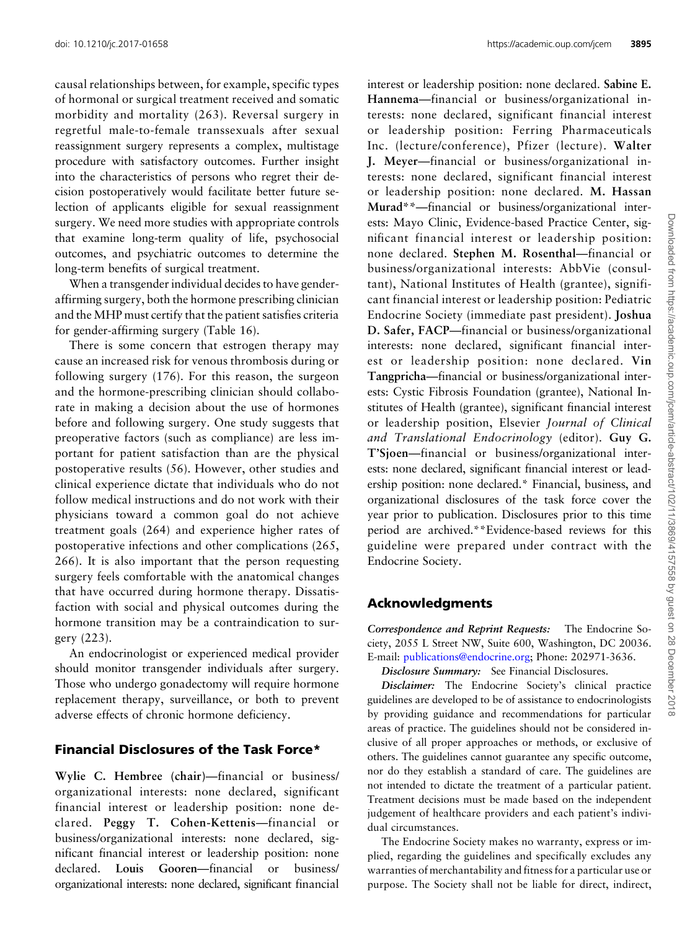causal relationships between, for example, specific types of hormonal or surgical treatment received and somatic morbidity and mortality ([263\)](#page-34-0). Reversal surgery in regretful male-to-female transsexuals after sexual reassignment surgery represents a complex, multistage procedure with satisfactory outcomes. Further insight into the characteristics of persons who regret their decision postoperatively would facilitate better future selection of applicants eligible for sexual reassignment surgery. We need more studies with appropriate controls that examine long-term quality of life, psychosocial outcomes, and psychiatric outcomes to determine the long-term benefits of surgical treatment.

When a transgender individual decides to have genderaffirming surgery, both the hormone prescribing clinician and the MHP must certify that the patient satisfies criteria for gender-affirming surgery [\(Table 16\)](#page-24-0).

There is some concern that estrogen therapy may cause an increased risk for venous thrombosis during or following surgery ([176](#page-31-0)). For this reason, the surgeon and the hormone-prescribing clinician should collaborate in making a decision about the use of hormones before and following surgery. One study suggests that preoperative factors (such as compliance) are less important for patient satisfaction than are the physical postoperative results [\(56](#page-28-0)). However, other studies and clinical experience dictate that individuals who do not follow medical instructions and do not work with their physicians toward a common goal do not achieve treatment goals [\(264](#page-34-0)) and experience higher rates of postoperative infections and other complications ([265,](#page-34-0) [266](#page-34-0)). It is also important that the person requesting surgery feels comfortable with the anatomical changes that have occurred during hormone therapy. Dissatisfaction with social and physical outcomes during the hormone transition may be a contraindication to surgery [\(223](#page-33-0)).

An endocrinologist or experienced medical provider should monitor transgender individuals after surgery. Those who undergo gonadectomy will require hormone replacement therapy, surveillance, or both to prevent adverse effects of chronic hormone deficiency.

### Financial Disclosures of the Task Force\*

Wylie C. Hembree (chair)—financial or business/ organizational interests: none declared, significant financial interest or leadership position: none declared. Peggy T. Cohen-Kettenis—financial or business/organizational interests: none declared, significant financial interest or leadership position: none declared. Louis Gooren—financial or business/ organizational interests: none declared, significant financial

interest or leadership position: none declared. Sabine E. Hannema—financial or business/organizational interests: none declared, significant financial interest or leadership position: Ferring Pharmaceuticals Inc. (lecture/conference), Pfizer (lecture). Walter J. Meyer—financial or business/organizational interests: none declared, significant financial interest or leadership position: none declared. M. Hassan Murad\*\*—financial or business/organizational interests: Mayo Clinic, Evidence-based Practice Center, significant financial interest or leadership position: none declared. Stephen M. Rosenthal—financial or business/organizational interests: AbbVie (consultant), National Institutes of Health (grantee), significant financial interest or leadership position: Pediatric Endocrine Society (immediate past president). Joshua D. Safer, FACP—financial or business/organizational interests: none declared, significant financial interest or leadership position: none declared. Vin Tangpricha—financial or business/organizational interests: Cystic Fibrosis Foundation (grantee), National Institutes of Health (grantee), significant financial interest or leadership position, Elsevier Journal of Clinical and Translational Endocrinology (editor). Guy G. T'Sjoen—financial or business/organizational interests: none declared, significant financial interest or leadership position: none declared.\* Financial, business, and organizational disclosures of the task force cover the year prior to publication. Disclosures prior to this time period are archived.\*\*Evidence-based reviews for this guideline were prepared under contract with the Endocrine Society.

### Acknowledgments

Correspondence and Reprint Requests: The Endocrine Society, 2055 L Street NW, Suite 600, Washington, DC 20036. E-mail: [publications@endocrine.org](mailto:publications@endocrine.org); Phone: 202971-3636.

Disclosure Summary: See Financial Disclosures.

Disclaimer: The Endocrine Society's clinical practice guidelines are developed to be of assistance to endocrinologists by providing guidance and recommendations for particular areas of practice. The guidelines should not be considered inclusive of all proper approaches or methods, or exclusive of others. The guidelines cannot guarantee any specific outcome, nor do they establish a standard of care. The guidelines are not intended to dictate the treatment of a particular patient. Treatment decisions must be made based on the independent judgement of healthcare providers and each patient's individual circumstances.

The Endocrine Society makes no warranty, express or implied, regarding the guidelines and specifically excludes any warranties of merchantability and fitness for a particular use or purpose. The Society shall not be liable for direct, indirect,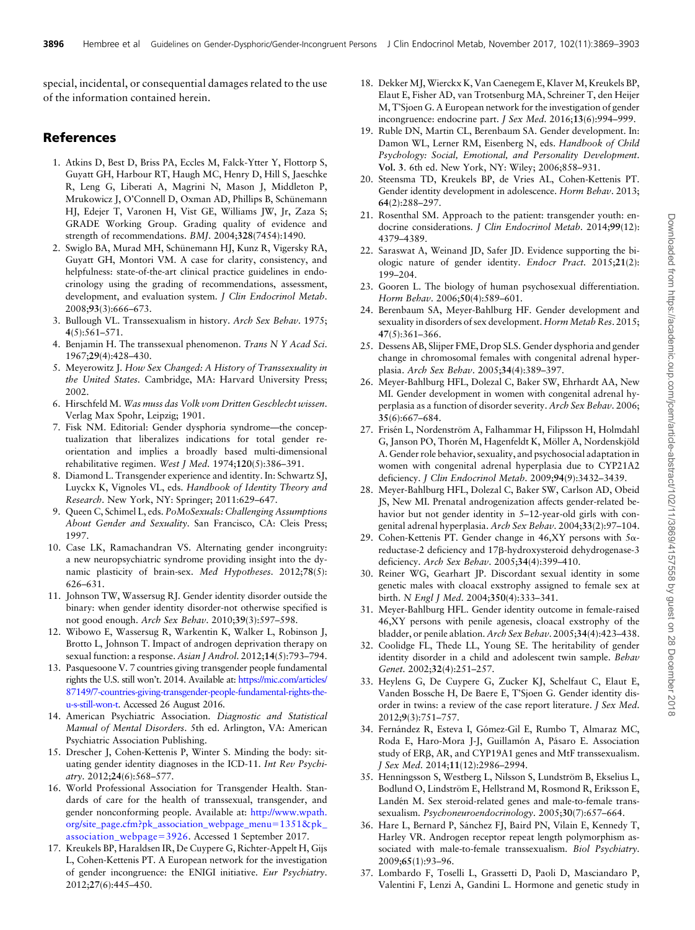<span id="page-27-0"></span>special, incidental, or consequential damages related to the use of the information contained herein.

### References

- 1. Atkins D, Best D, Briss PA, Eccles M, Falck-Ytter Y, Flottorp S, Guyatt GH, Harbour RT, Haugh MC, Henry D, Hill S, Jaeschke R, Leng G, Liberati A, Magrini N, Mason J, Middleton P, Mrukowicz J, O'Connell D, Oxman AD, Phillips B, Schünemann HJ, Edejer T, Varonen H, Vist GE, Williams JW, Jr, Zaza S; GRADE Working Group. Grading quality of evidence and strength of recommendations. BMJ. 2004;328(7454):1490.
- 2. Swiglo BA, Murad MH, Schünemann HJ, Kunz R, Vigersky RA, Guyatt GH, Montori VM. A case for clarity, consistency, and helpfulness: state-of-the-art clinical practice guidelines in endocrinology using the grading of recommendations, assessment, development, and evaluation system. J Clin Endocrinol Metab. 2008;93(3):666–673.
- 3. Bullough VL. Transsexualism in history. Arch Sex Behav. 1975; 4(5):561–571.
- 4. Benjamin H. The transsexual phenomenon. Trans N Y Acad Sci. 1967;29(4):428–430.
- 5. Meyerowitz J. How Sex Changed: A History of Transsexuality in the United States. Cambridge, MA: Harvard University Press; 2002.
- 6. Hirschfeld M. Was muss das Volk vom Dritten Geschlecht wissen. Verlag Max Spohr, Leipzig; 1901.
- 7. Fisk NM. Editorial: Gender dysphoria syndrome—the conceptualization that liberalizes indications for total gender reorientation and implies a broadly based multi-dimensional rehabilitative regimen. West J Med. 1974;120(5):386–391.
- 8. Diamond L. Transgender experience and identity. In: Schwartz SJ, Luyckx K, Vignoles VL, eds. Handbook of Identity Theory and Research. New York, NY: Springer; 2011:629–647.
- 9. Queen C, Schimel L, eds. PoMoSexuals: Challenging Assumptions About Gender and Sexuality. San Francisco, CA: Cleis Press; 1997.
- 10. Case LK, Ramachandran VS. Alternating gender incongruity: a new neuropsychiatric syndrome providing insight into the dynamic plasticity of brain-sex. Med Hypotheses. 2012;78(5): 626–631.
- 11. Johnson TW, Wassersug RJ. Gender identity disorder outside the binary: when gender identity disorder-not otherwise specified is not good enough. Arch Sex Behav. 2010;39(3):597–598.
- 12. Wibowo E, Wassersug R, Warkentin K, Walker L, Robinson J, Brotto L, Johnson T. Impact of androgen deprivation therapy on sexual function: a response. Asian J Androl. 2012;14(5):793-794.
- 13. Pasquesoone V. 7 countries giving transgender people fundamental rights the U.S. still won't. 2014. Available at: [https://mic.com/articles/](https://mic.com/articles/87149/7-countries-giving-transgender-people-fundamental-rights-the-u-s-still-won-t) [87149/7-countries-giving-transgender-people-fundamental-rights-the](https://mic.com/articles/87149/7-countries-giving-transgender-people-fundamental-rights-the-u-s-still-won-t)[u-s-still-won-t](https://mic.com/articles/87149/7-countries-giving-transgender-people-fundamental-rights-the-u-s-still-won-t). Accessed 26 August 2016.
- 14. American Psychiatric Association. Diagnostic and Statistical Manual of Mental Disorders. 5th ed. Arlington, VA: American Psychiatric Association Publishing.
- 15. Drescher J, Cohen-Kettenis P, Winter S. Minding the body: situating gender identity diagnoses in the ICD-11. Int Rev Psychiatry. 2012;24(6):568–577.
- 16. World Professional Association for Transgender Health. Standards of care for the health of transsexual, transgender, and gender nonconforming people. Available at: [http://www.wpath.](http://www.wpath.org/site_page.cfm?pk_association_webpage_menu=1351&pk_association_webpage=3926) [org/site\\_page.cfm?pk\\_association\\_webpage\\_menu](http://www.wpath.org/site_page.cfm?pk_association_webpage_menu=1351&pk_association_webpage=3926)= $1351\&p$ k\_ [association\\_webpage](http://www.wpath.org/site_page.cfm?pk_association_webpage_menu=1351&pk_association_webpage=3926)=3926. Accessed 1 September 2017.
- 17. Kreukels BP, Haraldsen IR, De Cuypere G, Richter-Appelt H, Gijs L, Cohen-Kettenis PT. A European network for the investigation of gender incongruence: the ENIGI initiative. Eur Psychiatry. 2012;27(6):445–450.
- 18. Dekker MJ, Wierckx K, Van Caenegem E, Klaver M, Kreukels BP, Elaut E, Fisher AD, van Trotsenburg MA, Schreiner T, den Heijer M, T'Sjoen G. A European network for the investigation of gender incongruence: endocrine part. J Sex Med. 2016;13(6):994–999.
- 19. Ruble DN, Martin CL, Berenbaum SA. Gender development. In: Damon WL, Lerner RM, Eisenberg N, eds. Handbook of Child Psychology: Social, Emotional, and Personality Development. Vol. 3. 6th ed. New York, NY: Wiley; 2006;858–931.
- 20. Steensma TD, Kreukels BP, de Vries AL, Cohen-Kettenis PT. Gender identity development in adolescence. Horm Behav. 2013; 64(2):288–297.
- 21. Rosenthal SM. Approach to the patient: transgender youth: endocrine considerations. J Clin Endocrinol Metab. 2014;99(12): 4379–4389.
- 22. Saraswat A, Weinand JD, Safer JD. Evidence supporting the biologic nature of gender identity. Endocr Pract. 2015;21(2): 199–204.
- 23. Gooren L. The biology of human psychosexual differentiation. Horm Behav. 2006;50(4):589–601.
- 24. Berenbaum SA, Meyer-Bahlburg HF. Gender development and sexuality in disorders of sex development. Horm Metab Res. 2015; 47(5):361–366.
- 25. Dessens AB, Slijper FME, Drop SLS. Gender dysphoria and gender change in chromosomal females with congenital adrenal hyperplasia. Arch Sex Behav. 2005;34(4):389–397.
- 26. Meyer-Bahlburg HFL, Dolezal C, Baker SW, Ehrhardt AA, New MI. Gender development in women with congenital adrenal hyperplasia as a function of disorder severity. Arch Sex Behav. 2006; 35(6):667–684.
- 27. Frisén L, Nordenström A, Falhammar H, Filipsson H, Holmdahl G, Janson PO, Thorén M, Hagenfeldt K, Möller A, Nordenskjöld A. Gender role behavior, sexuality, and psychosocial adaptation in women with congenital adrenal hyperplasia due to CYP21A2 deficiency. J Clin Endocrinol Metab. 2009;94(9):3432–3439.
- 28. Meyer-Bahlburg HFL, Dolezal C, Baker SW, Carlson AD, Obeid JS, New MI. Prenatal androgenization affects gender-related behavior but not gender identity in 5–12-year-old girls with congenital adrenal hyperplasia. Arch Sex Behav. 2004;33(2):97–104.
- 29. Cohen-Kettenis PT. Gender change in  $46, XY$  persons with  $5\alpha$ reductase-2 deficiency and 17b-hydroxysteroid dehydrogenase-3 deficiency. Arch Sex Behav. 2005;34(4):399–410.
- 30. Reiner WG, Gearhart JP. Discordant sexual identity in some genetic males with cloacal exstrophy assigned to female sex at birth. N Engl J Med. 2004;350(4):333–341.
- 31. Meyer-Bahlburg HFL. Gender identity outcome in female-raised 46,XY persons with penile agenesis, cloacal exstrophy of the bladder, or penile ablation. Arch Sex Behav. 2005;34(4):423–438.
- 32. Coolidge FL, Thede LL, Young SE. The heritability of gender identity disorder in a child and adolescent twin sample. Behav Genet. 2002;32(4):251–257.
- 33. Heylens G, De Cuypere G, Zucker KJ, Schelfaut C, Elaut E, Vanden Bossche H, De Baere E, T'Sjoen G. Gender identity disorder in twins: a review of the case report literature. J Sex Med. 2012;9(3):751–757.
- 34. Fernández R, Esteva I, Gómez-Gil E, Rumbo T, Almaraz MC, Roda E, Haro-Mora J-J, Guillamón A, Pásaro E. Association study of ERB, AR, and CYP19A1 genes and MtF transsexualism. J Sex Med. 2014;11(12):2986–2994.
- 35. Henningsson S, Westberg L, Nilsson S, Lundström B, Ekselius L, Bodlund O, Lindström E, Hellstrand M, Rosmond R, Eriksson E, Landén M. Sex steroid-related genes and male-to-female transsexualism. Psychoneuroendocrinology. 2005;30(7):657–664.
- 36. Hare L, Bernard P, Sánchez FJ, Baird PN, Vilain E, Kennedy T, Harley VR. Androgen receptor repeat length polymorphism associated with male-to-female transsexualism. Biol Psychiatry. 2009;65(1):93–96.
- 37. Lombardo F, Toselli L, Grassetti D, Paoli D, Masciandaro P, Valentini F, Lenzi A, Gandini L. Hormone and genetic study in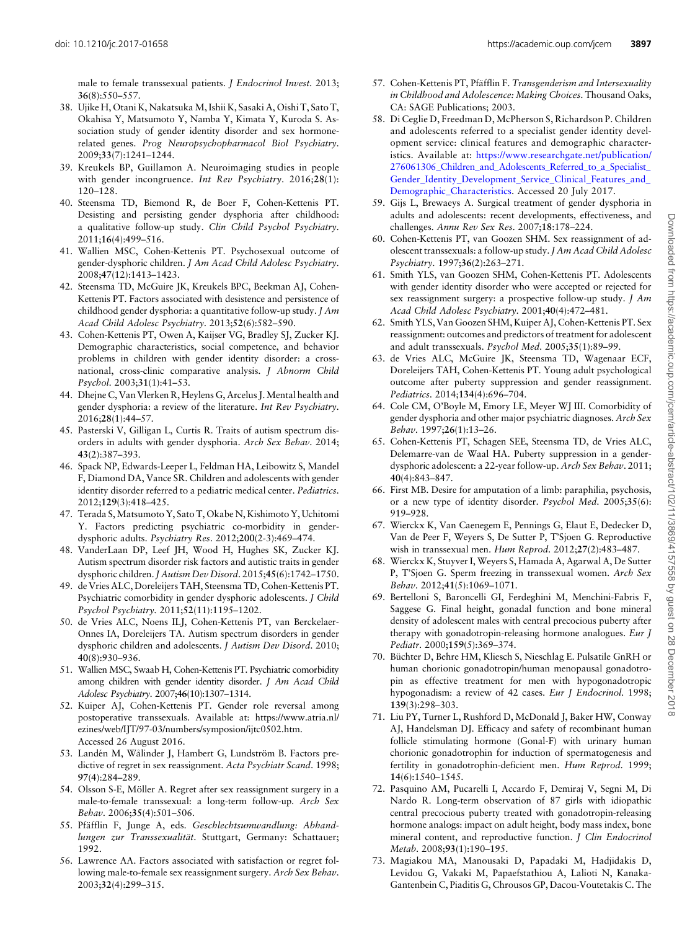<span id="page-28-0"></span>male to female transsexual patients. J Endocrinol Invest. 2013; 36(8):550–557.

- 38. Ujike H, Otani K, Nakatsuka M, Ishii K, Sasaki A, Oishi T, Sato T, Okahisa Y, Matsumoto Y, Namba Y, Kimata Y, Kuroda S. Association study of gender identity disorder and sex hormonerelated genes. Prog Neuropsychopharmacol Biol Psychiatry. 2009;33(7):1241–1244.
- 39. Kreukels BP, Guillamon A. Neuroimaging studies in people with gender incongruence. Int Rev Psychiatry. 2016;28(1): 120–128.
- 40. Steensma TD, Biemond R, de Boer F, Cohen-Kettenis PT. Desisting and persisting gender dysphoria after childhood: a qualitative follow-up study. Clin Child Psychol Psychiatry. 2011;16(4):499–516.
- 41. Wallien MSC, Cohen-Kettenis PT. Psychosexual outcome of gender-dysphoric children. J Am Acad Child Adolesc Psychiatry. 2008;47(12):1413–1423.
- 42. Steensma TD, McGuire JK, Kreukels BPC, Beekman AJ, Cohen-Kettenis PT. Factors associated with desistence and persistence of childhood gender dysphoria: a quantitative follow-up study. J Am Acad Child Adolesc Psychiatry. 2013;52(6):582–590.
- 43. Cohen-Kettenis PT, Owen A, Kaijser VG, Bradley SJ, Zucker KJ. Demographic characteristics, social competence, and behavior problems in children with gender identity disorder: a crossnational, cross-clinic comparative analysis. J Abnorm Child Psychol. 2003;31(1):41–53.
- 44. Dhejne C, Van Vlerken R, Heylens G, Arcelus J. Mental health and gender dysphoria: a review of the literature. Int Rev Psychiatry. 2016;28(1):44–57.
- 45. Pasterski V, Gilligan L, Curtis R. Traits of autism spectrum disorders in adults with gender dysphoria. Arch Sex Behav. 2014; 43(2):387–393.
- 46. Spack NP, Edwards-Leeper L, Feldman HA, Leibowitz S, Mandel F, Diamond DA, Vance SR. Children and adolescents with gender identity disorder referred to a pediatric medical center. Pediatrics. 2012;129(3):418–425.
- 47. Terada S, Matsumoto Y, Sato T, Okabe N, Kishimoto Y, Uchitomi Y. Factors predicting psychiatric co-morbidity in genderdysphoric adults. Psychiatry Res. 2012;200(2-3):469–474.
- 48. VanderLaan DP, Leef JH, Wood H, Hughes SK, Zucker KJ. Autism spectrum disorder risk factors and autistic traits in gender dysphoric children. J Autism Dev Disord. 2015;45(6):1742-1750.
- 49. de Vries ALC, Doreleijers TAH, Steensma TD, Cohen-Kettenis PT. Psychiatric comorbidity in gender dysphoric adolescents. J Child Psychol Psychiatry. 2011;52(11):1195–1202.
- 50. de Vries ALC, Noens ILJ, Cohen-Kettenis PT, van Berckelaer-Onnes IA, Doreleijers TA. Autism spectrum disorders in gender dysphoric children and adolescents. J Autism Dev Disord. 2010; 40(8):930–936.
- 51. Wallien MSC, Swaab H, Cohen-Kettenis PT. Psychiatric comorbidity among children with gender identity disorder. J Am Acad Child Adolesc Psychiatry. 2007;46(10):1307–1314.
- 52. Kuiper AJ, Cohen-Kettenis PT. Gender role reversal among postoperative transsexuals. Available at: https://www.atria.nl/ ezines/web/IJT/97-03/numbers/symposion/ijtc0502.htm. Accessed 26 August 2016.
- 53. Landén M, Wålinder J, Hambert G, Lundström B. Factors predictive of regret in sex reassignment. Acta Psychiatr Scand. 1998; 97(4):284–289.
- 54. Olsson S-E, Möller A. Regret after sex reassignment surgery in a male-to-female transsexual: a long-term follow-up. Arch Sex Behav. 2006;35(4):501–506.
- 55. Pfäfflin F, Junge A, eds. Geschlechtsumwandlung: Abhandlungen zur Transsexualität. Stuttgart, Germany: Schattauer; 1992.
- 56. Lawrence AA. Factors associated with satisfaction or regret following male-to-female sex reassignment surgery. Arch Sex Behav. 2003;32(4):299–315.
- 57. Cohen-Kettenis PT, Pfäfflin F. Transgenderism and Intersexuality in Childhood and Adolescence: Making Choices. Thousand Oaks, CA: SAGE Publications; 2003.
- 58. Di Ceglie D, Freedman D, McPherson S, Richardson P. Children and adolescents referred to a specialist gender identity development service: clinical features and demographic characteristics. Available at: [https://www.researchgate.net/publication/](https://www.researchgate.net/publication/276061306_Children_and_Adolescents_Referred_to_a_Specialist_Gender_Identity_Development_Service_Clinical_Features_and_Demographic_Characteristics) [276061306\\_Children\\_and\\_Adolescents\\_Referred\\_to\\_a\\_Specialist\\_](https://www.researchgate.net/publication/276061306_Children_and_Adolescents_Referred_to_a_Specialist_Gender_Identity_Development_Service_Clinical_Features_and_Demographic_Characteristics) [Gender\\_Identity\\_Development\\_Service\\_Clinical\\_Features\\_and\\_](https://www.researchgate.net/publication/276061306_Children_and_Adolescents_Referred_to_a_Specialist_Gender_Identity_Development_Service_Clinical_Features_and_Demographic_Characteristics) [Demographic\\_Characteristics.](https://www.researchgate.net/publication/276061306_Children_and_Adolescents_Referred_to_a_Specialist_Gender_Identity_Development_Service_Clinical_Features_and_Demographic_Characteristics) Accessed 20 July 2017.
- 59. Gijs L, Brewaeys A. Surgical treatment of gender dysphoria in adults and adolescents: recent developments, effectiveness, and challenges. Annu Rev Sex Res. 2007;18:178–224.
- 60. Cohen-Kettenis PT, van Goozen SHM. Sex reassignment of adolescent transsexuals: a follow-up study.J Am Acad Child Adolesc Psychiatry. 1997;36(2):263–271.
- 61. Smith YLS, van Goozen SHM, Cohen-Kettenis PT. Adolescents with gender identity disorder who were accepted or rejected for sex reassignment surgery: a prospective follow-up study. J Am Acad Child Adolesc Psychiatry. 2001;40(4):472–481.
- 62. Smith YLS, Van Goozen SHM, Kuiper AJ, Cohen-Kettenis PT. Sex reassignment: outcomes and predictors of treatment for adolescent and adult transsexuals. Psychol Med. 2005;35(1):89–99.
- 63. de Vries ALC, McGuire JK, Steensma TD, Wagenaar ECF, Doreleijers TAH, Cohen-Kettenis PT. Young adult psychological outcome after puberty suppression and gender reassignment. Pediatrics. 2014;134(4):696–704.
- 64. Cole CM, O'Boyle M, Emory LE, Meyer WJ III. Comorbidity of gender dysphoria and other major psychiatric diagnoses. Arch Sex Behav. 1997;26(1):13–26.
- 65. Cohen-Kettenis PT, Schagen SEE, Steensma TD, de Vries ALC, Delemarre-van de Waal HA. Puberty suppression in a genderdysphoric adolescent: a 22-year follow-up. Arch Sex Behav. 2011; 40(4):843–847.
- 66. First MB. Desire for amputation of a limb: paraphilia, psychosis, or a new type of identity disorder. Psychol Med. 2005;35(6): 919–928.
- 67. Wierckx K, Van Caenegem E, Pennings G, Elaut E, Dedecker D, Van de Peer F, Weyers S, De Sutter P, T'Sjoen G. Reproductive wish in transsexual men. Hum Reprod. 2012;27(2):483–487.
- 68. Wierckx K, Stuyver I, Weyers S, Hamada A, Agarwal A, De Sutter P, T'Sjoen G. Sperm freezing in transsexual women. Arch Sex Behav. 2012;41(5):1069–1071.
- 69. Bertelloni S, Baroncelli GI, Ferdeghini M, Menchini-Fabris F, Saggese G. Final height, gonadal function and bone mineral density of adolescent males with central precocious puberty after therapy with gonadotropin-releasing hormone analogues. Eur J Pediatr. 2000;159(5):369–374.
- 70. Büchter D, Behre HM, Kliesch S, Nieschlag E. Pulsatile GnRH or human chorionic gonadotropin/human menopausal gonadotropin as effective treatment for men with hypogonadotropic hypogonadism: a review of 42 cases. Eur J Endocrinol. 1998; 139(3):298–303.
- 71. Liu PY, Turner L, Rushford D, McDonald J, Baker HW, Conway AJ, Handelsman DJ. Efficacy and safety of recombinant human follicle stimulating hormone (Gonal-F) with urinary human chorionic gonadotrophin for induction of spermatogenesis and fertility in gonadotrophin-deficient men. Hum Reprod. 1999; 14(6):1540–1545.
- 72. Pasquino AM, Pucarelli I, Accardo F, Demiraj V, Segni M, Di Nardo R. Long-term observation of 87 girls with idiopathic central precocious puberty treated with gonadotropin-releasing hormone analogs: impact on adult height, body mass index, bone mineral content, and reproductive function. J Clin Endocrinol Metab. 2008;93(1):190–195.
- 73. Magiakou MA, Manousaki D, Papadaki M, Hadjidakis D, Levidou G, Vakaki M, Papaefstathiou A, Lalioti N, Kanaka-Gantenbein C, Piaditis G, Chrousos GP, Dacou-Voutetakis C. The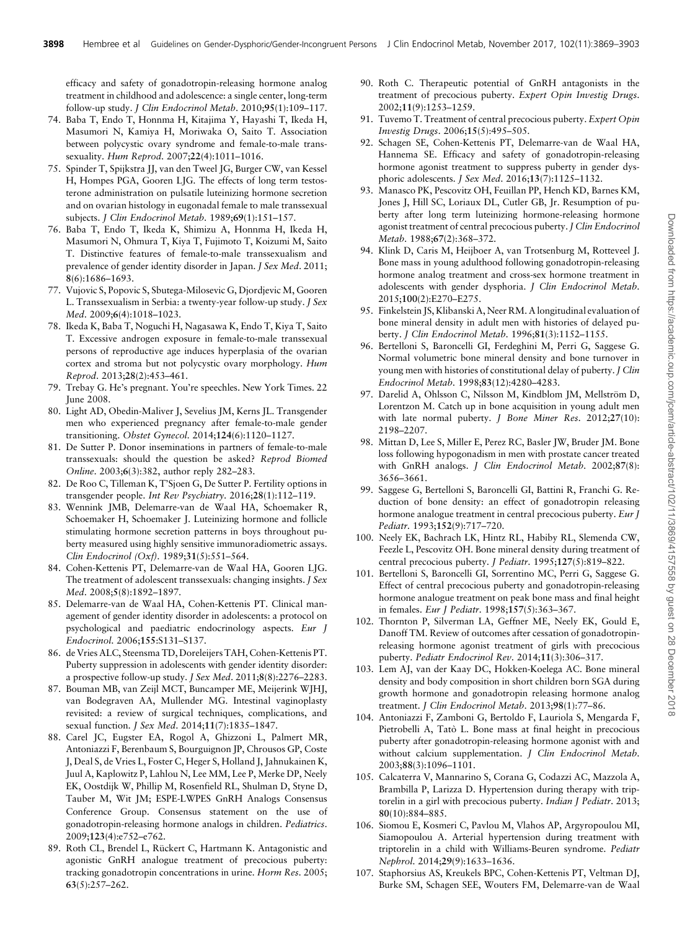<span id="page-29-0"></span>efficacy and safety of gonadotropin-releasing hormone analog treatment in childhood and adolescence: a single center, long-term follow-up study. J Clin Endocrinol Metab. 2010;95(1):109–117.

- 74. Baba T, Endo T, Honnma H, Kitajima Y, Hayashi T, Ikeda H, Masumori N, Kamiya H, Moriwaka O, Saito T. Association between polycystic ovary syndrome and female-to-male transsexuality. *Hum Reprod.* 2007;22(4):1011-1016.
- 75. Spinder T, Spijkstra JJ, van den Tweel JG, Burger CW, van Kessel H, Hompes PGA, Gooren LJG. The effects of long term testosterone administration on pulsatile luteinizing hormone secretion and on ovarian histology in eugonadal female to male transsexual subjects. J Clin Endocrinol Metab. 1989;69(1):151-157.
- 76. Baba T, Endo T, Ikeda K, Shimizu A, Honnma H, Ikeda H, Masumori N, Ohmura T, Kiya T, Fujimoto T, Koizumi M, Saito T. Distinctive features of female-to-male transsexualism and prevalence of gender identity disorder in Japan. J Sex Med. 2011; 8(6):1686–1693.
- 77. Vujovic S, Popovic S, Sbutega-Milosevic G, Djordjevic M, Gooren L. Transsexualism in Serbia: a twenty-year follow-up study. J Sex Med. 2009;6(4):1018–1023.
- 78. Ikeda K, Baba T, Noguchi H, Nagasawa K, Endo T, Kiya T, Saito T. Excessive androgen exposure in female-to-male transsexual persons of reproductive age induces hyperplasia of the ovarian cortex and stroma but not polycystic ovary morphology. Hum Reprod. 2013;28(2):453–461.
- 79. Trebay G. He's pregnant. You're speechles. New York Times. 22 June 2008.
- 80. Light AD, Obedin-Maliver J, Sevelius JM, Kerns JL. Transgender men who experienced pregnancy after female-to-male gender transitioning. Obstet Gynecol. 2014;124(6):1120–1127.
- 81. De Sutter P. Donor inseminations in partners of female-to-male transsexuals: should the question be asked? Reprod Biomed Online. 2003;6(3):382, author reply 282–283.
- 82. De Roo C, Tilleman K, T'Sjoen G, De Sutter P. Fertility options in transgender people. Int Rev Psychiatry. 2016;28(1):112–119.
- 83. Wennink JMB, Delemarre-van de Waal HA, Schoemaker R, Schoemaker H, Schoemaker J. Luteinizing hormone and follicle stimulating hormone secretion patterns in boys throughout puberty measured using highly sensitive immunoradiometric assays. Clin Endocrinol (Oxf). 1989;31(5):551–564.
- 84. Cohen-Kettenis PT, Delemarre-van de Waal HA, Gooren LJG. The treatment of adolescent transsexuals: changing insights. J Sex Med. 2008;5(8):1892–1897.
- 85. Delemarre-van de Waal HA, Cohen-Kettenis PT. Clinical management of gender identity disorder in adolescents: a protocol on psychological and paediatric endocrinology aspects. Eur J Endocrinol. 2006;155:S131–S137.
- 86. de Vries ALC, Steensma TD, Doreleijers TAH, Cohen-Kettenis PT. Puberty suppression in adolescents with gender identity disorder: a prospective follow-up study. J Sex Med. 2011;8(8):2276–2283.
- 87. Bouman MB, van Zeijl MCT, Buncamper ME, Meijerink WJHJ, van Bodegraven AA, Mullender MG. Intestinal vaginoplasty revisited: a review of surgical techniques, complications, and sexual function. J Sex Med. 2014;11(7):1835–1847.
- 88. Carel JC, Eugster EA, Rogol A, Ghizzoni L, Palmert MR, Antoniazzi F, Berenbaum S, Bourguignon JP, Chrousos GP, Coste J, Deal S, de Vries L, Foster C, Heger S, Holland J, Jahnukainen K, Juul A, Kaplowitz P, Lahlou N, Lee MM, Lee P, Merke DP, Neely EK, Oostdijk W, Phillip M, Rosenfield RL, Shulman D, Styne D, Tauber M, Wit JM; ESPE-LWPES GnRH Analogs Consensus Conference Group. Consensus statement on the use of gonadotropin-releasing hormone analogs in children. Pediatrics. 2009;123(4):e752–e762.
- 89. Roth CL, Brendel L, Rückert C, Hartmann K. Antagonistic and agonistic GnRH analogue treatment of precocious puberty: tracking gonadotropin concentrations in urine. Horm Res. 2005; 63(5):257–262.
- 90. Roth C. Therapeutic potential of GnRH antagonists in the treatment of precocious puberty. Expert Opin Investig Drugs. 2002;11(9):1253–1259.
- 91. Tuvemo T. Treatment of central precocious puberty. Expert Opin Investig Drugs. 2006;15(5):495–505.
- 92. Schagen SE, Cohen-Kettenis PT, Delemarre-van de Waal HA, Hannema SE. Efficacy and safety of gonadotropin-releasing hormone agonist treatment to suppress puberty in gender dysphoric adolescents. J Sex Med. 2016;13(7):1125–1132.
- 93. Manasco PK, Pescovitz OH, Feuillan PP, Hench KD, Barnes KM, Jones J, Hill SC, Loriaux DL, Cutler GB, Jr. Resumption of puberty after long term luteinizing hormone-releasing hormone agonist treatment of central precocious puberty. J Clin Endocrinol Metab. 1988;67(2):368–372.
- 94. Klink D, Caris M, Heijboer A, van Trotsenburg M, Rotteveel J. Bone mass in young adulthood following gonadotropin-releasing hormone analog treatment and cross-sex hormone treatment in adolescents with gender dysphoria. J Clin Endocrinol Metab. 2015;100(2):E270–E275.
- 95. Finkelstein JS, Klibanski A, Neer RM. A longitudinal evaluation of bone mineral density in adult men with histories of delayed puberty. J Clin Endocrinol Metab. 1996;81(3):1152–1155.
- 96. Bertelloni S, Baroncelli GI, Ferdeghini M, Perri G, Saggese G. Normal volumetric bone mineral density and bone turnover in young men with histories of constitutional delay of puberty. J Clin Endocrinol Metab. 1998;83(12):4280–4283.
- 97. Darelid A, Ohlsson C, Nilsson M, Kindblom JM, Mellström D, Lorentzon M. Catch up in bone acquisition in young adult men with late normal puberty. J Bone Miner Res. 2012;27(10): 2198–2207.
- 98. Mittan D, Lee S, Miller E, Perez RC, Basler JW, Bruder JM. Bone loss following hypogonadism in men with prostate cancer treated with GnRH analogs. J Clin Endocrinol Metab. 2002;87(8): 3656–3661.
- 99. Saggese G, Bertelloni S, Baroncelli GI, Battini R, Franchi G. Reduction of bone density: an effect of gonadotropin releasing hormone analogue treatment in central precocious puberty. Eur J Pediatr. 1993;152(9):717–720.
- 100. Neely EK, Bachrach LK, Hintz RL, Habiby RL, Slemenda CW, Feezle L, Pescovitz OH. Bone mineral density during treatment of central precocious puberty. J Pediatr. 1995;127(5):819–822.
- 101. Bertelloni S, Baroncelli GI, Sorrentino MC, Perri G, Saggese G. Effect of central precocious puberty and gonadotropin-releasing hormone analogue treatment on peak bone mass and final height in females. Eur J Pediatr. 1998;157(5):363–367.
- 102. Thornton P, Silverman LA, Geffner ME, Neely EK, Gould E, Danoff TM. Review of outcomes after cessation of gonadotropinreleasing hormone agonist treatment of girls with precocious puberty. Pediatr Endocrinol Rev. 2014;11(3):306–317.
- 103. Lem AJ, van der Kaay DC, Hokken-Koelega AC. Bone mineral density and body composition in short children born SGA during growth hormone and gonadotropin releasing hormone analog treatment. J Clin Endocrinol Metab. 2013;98(1):77–86.
- 104. Antoniazzi F, Zamboni G, Bertoldo F, Lauriola S, Mengarda F, Pietrobelli A, Tatò L. Bone mass at final height in precocious puberty after gonadotropin-releasing hormone agonist with and without calcium supplementation. J Clin Endocrinol Metab. 2003;88(3):1096–1101.
- 105. Calcaterra V, Mannarino S, Corana G, Codazzi AC, Mazzola A, Brambilla P, Larizza D. Hypertension during therapy with triptorelin in a girl with precocious puberty. Indian J Pediatr. 2013; 80(10):884–885.
- 106. Siomou E, Kosmeri C, Pavlou M, Vlahos AP, Argyropoulou MI, Siamopoulou A. Arterial hypertension during treatment with triptorelin in a child with Williams-Beuren syndrome. Pediatr Nephrol. 2014;29(9):1633–1636.
- 107. Staphorsius AS, Kreukels BPC, Cohen-Kettenis PT, Veltman DJ, Burke SM, Schagen SEE, Wouters FM, Delemarre-van de Waal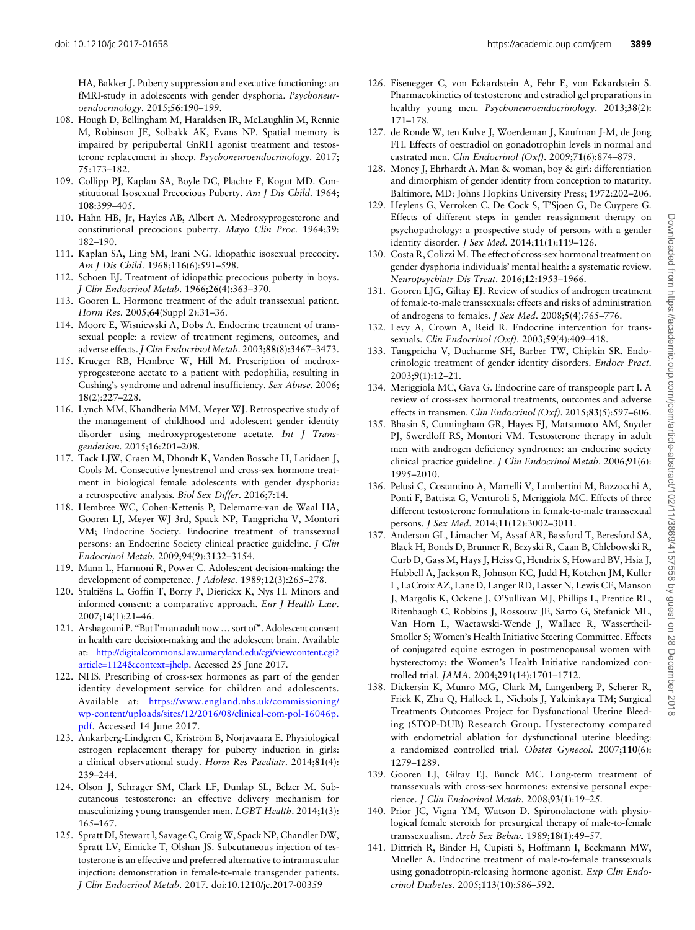<span id="page-30-0"></span>HA, Bakker J. Puberty suppression and executive functioning: an fMRI-study in adolescents with gender dysphoria. Psychoneuroendocrinology. 2015;56:190–199.

- 108. Hough D, Bellingham M, Haraldsen IR, McLaughlin M, Rennie M, Robinson JE, Solbakk AK, Evans NP. Spatial memory is impaired by peripubertal GnRH agonist treatment and testosterone replacement in sheep. Psychoneuroendocrinology. 2017; 75:173–182.
- 109. Collipp PJ, Kaplan SA, Boyle DC, Plachte F, Kogut MD. Constitutional Isosexual Precocious Puberty. Am J Dis Child. 1964; 108:399–405.
- 110. Hahn HB, Jr, Hayles AB, Albert A. Medroxyprogesterone and constitutional precocious puberty. Mayo Clin Proc. 1964;39: 182–190.
- 111. Kaplan SA, Ling SM, Irani NG. Idiopathic isosexual precocity. Am J Dis Child. 1968;116(6):591–598.
- 112. Schoen EJ. Treatment of idiopathic precocious puberty in boys. J Clin Endocrinol Metab. 1966;26(4):363–370.
- 113. Gooren L. Hormone treatment of the adult transsexual patient. Horm Res. 2005;64(Suppl 2):31–36.
- 114. Moore E, Wisniewski A, Dobs A. Endocrine treatment of transsexual people: a review of treatment regimens, outcomes, and adverse effects. J Clin Endocrinol Metab. 2003;88(8):3467–3473.
- 115. Krueger RB, Hembree W, Hill M. Prescription of medroxyprogesterone acetate to a patient with pedophilia, resulting in Cushing's syndrome and adrenal insufficiency. Sex Abuse. 2006; 18(2):227–228.
- 116. Lynch MM, Khandheria MM, Meyer WJ. Retrospective study of the management of childhood and adolescent gender identity disorder using medroxyprogesterone acetate. Int J Transgenderism. 2015;16:201–208.
- 117. Tack LJW, Craen M, Dhondt K, Vanden Bossche H, Laridaen J, Cools M. Consecutive lynestrenol and cross-sex hormone treatment in biological female adolescents with gender dysphoria: a retrospective analysis. Biol Sex Differ. 2016;7:14.
- 118. Hembree WC, Cohen-Kettenis P, Delemarre-van de Waal HA, Gooren LJ, Meyer WJ 3rd, Spack NP, Tangpricha V, Montori VM; Endocrine Society. Endocrine treatment of transsexual persons: an Endocrine Society clinical practice guideline. J Clin Endocrinol Metab. 2009;94(9):3132–3154.
- 119. Mann L, Harmoni R, Power C. Adolescent decision-making: the development of competence. *J Adolesc*. 1989;12(3):265-278.
- 120. Stultiëns L, Goffin T, Borry P, Dierickx K, Nys H. Minors and informed consent: a comparative approach. Eur J Health Law. 2007;14(1):21–46.
- 121. Arshagouni P. "But I'm an adult now… sort of". Adolescent consent in health care decision-making and the adolescent brain. Available at: [http://digitalcommons.law.umaryland.edu/cgi/viewcontent.cgi?](http://digitalcommons.law.umaryland.edu/cgi/viewcontent.cgi?article=1124&context=jhclp) [article=1124&context=jhclp.](http://digitalcommons.law.umaryland.edu/cgi/viewcontent.cgi?article=1124&context=jhclp) Accessed 25 June 2017.
- 122. NHS. Prescribing of cross-sex hormones as part of the gender identity development service for children and adolescents. Available at: [https://www.england.nhs.uk/commissioning/](https://www.england.nhs.uk/commissioning/wp-content/uploads/sites/12/2016/08/clinical-com-pol-16046p.pdf) [wp-content/uploads/sites/12/2016/08/clinical-com-pol-16046p.](https://www.england.nhs.uk/commissioning/wp-content/uploads/sites/12/2016/08/clinical-com-pol-16046p.pdf) [pdf.](https://www.england.nhs.uk/commissioning/wp-content/uploads/sites/12/2016/08/clinical-com-pol-16046p.pdf) Accessed 14 June 2017.
- 123. Ankarberg-Lindgren C, Kriström B, Norjavaara E. Physiological estrogen replacement therapy for puberty induction in girls: a clinical observational study. Horm Res Paediatr. 2014;81(4): 239–244.
- 124. Olson J, Schrager SM, Clark LF, Dunlap SL, Belzer M. Subcutaneous testosterone: an effective delivery mechanism for masculinizing young transgender men. LGBT Health. 2014;1(3): 165–167.
- 125. Spratt DI, Stewart I, Savage C, Craig W, Spack NP, Chandler DW, Spratt LV, Eimicke T, Olshan JS. Subcutaneous injection of testosterone is an effective and preferred alternative to intramuscular injection: demonstration in female-to-male transgender patients. J Clin Endocrinol Metab. 2017. doi:10.1210/jc.2017-00359
- 126. Eisenegger C, von Eckardstein A, Fehr E, von Eckardstein S. Pharmacokinetics of testosterone and estradiol gel preparations in healthy young men. Psychoneuroendocrinology. 2013;38(2): 171–178.
- 127. de Ronde W, ten Kulve J, Woerdeman J, Kaufman J-M, de Jong FH. Effects of oestradiol on gonadotrophin levels in normal and castrated men. Clin Endocrinol (Oxf). 2009;71(6):874–879.
- 128. Money J, Ehrhardt A. Man & woman, boy & girl: differentiation and dimorphism of gender identity from conception to maturity. Baltimore, MD: Johns Hopkins University Press; 1972:202–206.
- 129. Heylens G, Verroken C, De Cock S, T'Sjoen G, De Cuypere G. Effects of different steps in gender reassignment therapy on psychopathology: a prospective study of persons with a gender identity disorder. J Sex Med. 2014;11(1):119–126.
- 130. Costa R, Colizzi M. The effect of cross-sex hormonal treatment on gender dysphoria individuals' mental health: a systematic review. Neuropsychiatr Dis Treat. 2016;12:1953–1966.
- 131. Gooren LJG, Giltay EJ. Review of studies of androgen treatment of female-to-male transsexuals: effects and risks of administration of androgens to females. J Sex Med. 2008;5(4):765–776.
- 132. Levy A, Crown A, Reid R. Endocrine intervention for transsexuals. Clin Endocrinol (Oxf). 2003;59(4):409-418.
- 133. Tangpricha V, Ducharme SH, Barber TW, Chipkin SR. Endocrinologic treatment of gender identity disorders. Endocr Pract. 2003;9(1):12–21.
- 134. Meriggiola MC, Gava G. Endocrine care of transpeople part I. A review of cross-sex hormonal treatments, outcomes and adverse effects in transmen. Clin Endocrinol (Oxf). 2015;83(5):597–606.
- 135. Bhasin S, Cunningham GR, Hayes FJ, Matsumoto AM, Snyder PJ, Swerdloff RS, Montori VM. Testosterone therapy in adult men with androgen deficiency syndromes: an endocrine society clinical practice guideline. J Clin Endocrinol Metab. 2006;91(6): 1995–2010.
- 136. Pelusi C, Costantino A, Martelli V, Lambertini M, Bazzocchi A, Ponti F, Battista G, Venturoli S, Meriggiola MC. Effects of three different testosterone formulations in female-to-male transsexual persons. J Sex Med. 2014;11(12):3002–3011.
- 137. Anderson GL, Limacher M, Assaf AR, Bassford T, Beresford SA, Black H, Bonds D, Brunner R, Brzyski R, Caan B, Chlebowski R, Curb D, Gass M, Hays J, Heiss G, Hendrix S, Howard BV, Hsia J, Hubbell A, Jackson R, Johnson KC, Judd H, Kotchen JM, Kuller L, LaCroix AZ, Lane D, Langer RD, Lasser N, Lewis CE, Manson J, Margolis K, Ockene J, O'Sullivan MJ, Phillips L, Prentice RL, Ritenbaugh C, Robbins J, Rossouw JE, Sarto G, Stefanick ML, Van Horn L, Wactawski-Wende J, Wallace R, Wassertheil-Smoller S; Women's Health Initiative Steering Committee. Effects of conjugated equine estrogen in postmenopausal women with hysterectomy: the Women's Health Initiative randomized controlled trial. JAMA. 2004;291(14):1701–1712.
- 138. Dickersin K, Munro MG, Clark M, Langenberg P, Scherer R, Frick K, Zhu Q, Hallock L, Nichols J, Yalcinkaya TM; Surgical Treatments Outcomes Project for Dysfunctional Uterine Bleeding (STOP-DUB) Research Group. Hysterectomy compared with endometrial ablation for dysfunctional uterine bleeding: a randomized controlled trial. Obstet Gynecol. 2007;110(6): 1279–1289.
- 139. Gooren LJ, Giltay EJ, Bunck MC. Long-term treatment of transsexuals with cross-sex hormones: extensive personal experience. J Clin Endocrinol Metab. 2008;93(1):19-25.
- 140. Prior JC, Vigna YM, Watson D. Spironolactone with physiological female steroids for presurgical therapy of male-to-female transsexualism. Arch Sex Behav. 1989;18(1):49–57.
- 141. Dittrich R, Binder H, Cupisti S, Hoffmann I, Beckmann MW, Mueller A. Endocrine treatment of male-to-female transsexuals using gonadotropin-releasing hormone agonist. Exp Clin Endocrinol Diabetes. 2005;113(10):586–592.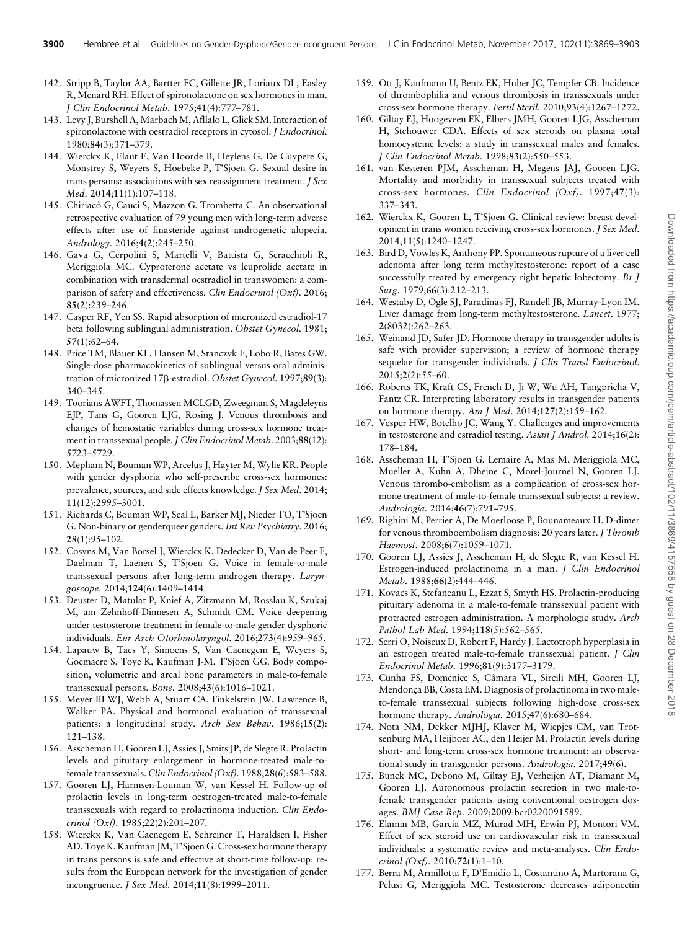- <span id="page-31-0"></span>142. Stripp B, Taylor AA, Bartter FC, Gillette JR, Loriaux DL, Easley R, Menard RH. Effect of spironolactone on sex hormones in man. J Clin Endocrinol Metab. 1975;41(4):777–781.
- 143. Levy J, Burshell A, Marbach M, Afllalo L, Glick SM. Interaction of spironolactone with oestradiol receptors in cytosol. *J Endocrinol*. 1980;84(3):371–379.
- 144. Wierckx K, Elaut E, Van Hoorde B, Heylens G, De Cuypere G, Monstrey S, Weyers S, Hoebeke P, T'Sjoen G. Sexual desire in trans persons: associations with sex reassignment treatment. J Sex Med. 2014;11(1):107–118.
- 145. Chiriacò G, Cauci S, Mazzon G, Trombetta C. An observational retrospective evaluation of 79 young men with long-term adverse effects after use of finasteride against androgenetic alopecia. Andrology. 2016;4(2):245–250.
- 146. Gava G, Cerpolini S, Martelli V, Battista G, Seracchioli R, Meriggiola MC. Cyproterone acetate vs leuprolide acetate in combination with transdermal oestradiol in transwomen: a comparison of safety and effectiveness. Clin Endocrinol (Oxf). 2016; 85(2):239–246.
- 147. Casper RF, Yen SS. Rapid absorption of micronized estradiol-17 beta following sublingual administration. Obstet Gynecol. 1981; 57(1):62–64.
- 148. Price TM, Blauer KL, Hansen M, Stanczyk F, Lobo R, Bates GW. Single-dose pharmacokinetics of sublingual versus oral administration of micronized 17b-estradiol. Obstet Gynecol. 1997;89(3): 340–345.
- 149. Toorians AWFT, Thomassen MCLGD, Zweegman S, Magdeleyns EJP, Tans G, Gooren LJG, Rosing J. Venous thrombosis and changes of hemostatic variables during cross-sex hormone treatment in transsexual people. J Clin Endocrinol Metab. 2003;88(12): 5723–5729.
- 150. Mepham N, Bouman WP, Arcelus J, Hayter M, Wylie KR. People with gender dysphoria who self-prescribe cross-sex hormones: prevalence, sources, and side effects knowledge. *J Sex Med.* 2014; 11(12):2995–3001.
- 151. Richards C, Bouman WP, Seal L, Barker MJ, Nieder TO, T'Sjoen G. Non-binary or genderqueer genders. Int Rev Psychiatry. 2016; 28(1):95–102.
- 152. Cosyns M, Van Borsel J, Wierckx K, Dedecker D, Van de Peer F, Daelman T, Laenen S, T'Sjoen G. Voice in female-to-male transsexual persons after long-term androgen therapy. Laryngoscope. 2014;124(6):1409–1414.
- 153. Deuster D, Matulat P, Knief A, Zitzmann M, Rosslau K, Szukaj M, am Zehnhoff-Dinnesen A, Schmidt CM. Voice deepening under testosterone treatment in female-to-male gender dysphoric individuals. Eur Arch Otorhinolaryngol. 2016;273(4):959–965.
- 154. Lapauw B, Taes Y, Simoens S, Van Caenegem E, Weyers S, Goemaere S, Toye K, Kaufman J-M, T'Sjoen GG. Body composition, volumetric and areal bone parameters in male-to-female transsexual persons. Bone. 2008;43(6):1016–1021.
- 155. Meyer III WJ, Webb A, Stuart CA, Finkelstein JW, Lawrence B, Walker PA. Physical and hormonal evaluation of transsexual patients: a longitudinal study. Arch Sex Behav. 1986;15(2): 121–138.
- 156. Asscheman H, Gooren LJ, Assies J, Smits JP, de Slegte R. Prolactin levels and pituitary enlargement in hormone-treated male-tofemale transsexuals. Clin Endocrinol (Oxf). 1988;28(6):583–588.
- 157. Gooren LJ, Harmsen-Louman W, van Kessel H. Follow-up of prolactin levels in long-term oestrogen-treated male-to-female transsexuals with regard to prolactinoma induction. Clin Endocrinol (Oxf). 1985;22(2):201–207.
- 158. Wierckx K, Van Caenegem E, Schreiner T, Haraldsen I, Fisher AD, Toye K, Kaufman JM, T'Sjoen G. Cross-sex hormone therapy in trans persons is safe and effective at short-time follow-up: results from the European network for the investigation of gender incongruence. J Sex Med. 2014;11(8):1999–2011.
- 159. Ott J, Kaufmann U, Bentz EK, Huber JC, Tempfer CB. Incidence of thrombophilia and venous thrombosis in transsexuals under cross-sex hormone therapy. Fertil Steril. 2010;93(4):1267–1272.
- 160. Giltay EJ, Hoogeveen EK, Elbers JMH, Gooren LJG, Asscheman H, Stehouwer CDA. Effects of sex steroids on plasma total homocysteine levels: a study in transsexual males and females. J Clin Endocrinol Metab. 1998;83(2):550–553.
- 161. van Kesteren PJM, Asscheman H, Megens JAJ, Gooren LJG. Mortality and morbidity in transsexual subjects treated with cross-sex hormones. Clin Endocrinol (Oxf). 1997;47(3): 337–343.
- 162. Wierckx K, Gooren L, T'Sjoen G. Clinical review: breast development in trans women receiving cross-sex hormones. J Sex Med. 2014;11(5):1240–1247.
- 163. Bird D, Vowles K, Anthony PP. Spontaneous rupture of a liver cell adenoma after long term methyltestosterone: report of a case successfully treated by emergency right hepatic lobectomy. Br J Surg. 1979;66(3):212-213.
- 164. Westaby D, Ogle SJ, Paradinas FJ, Randell JB, Murray-Lyon IM. Liver damage from long-term methyltestosterone. Lancet. 1977; 2(8032):262–263.
- 165. Weinand JD, Safer JD. Hormone therapy in transgender adults is safe with provider supervision; a review of hormone therapy sequelae for transgender individuals. J Clin Transl Endocrinol. 2015;2(2):55–60.
- 166. Roberts TK, Kraft CS, French D, Ji W, Wu AH, Tangpricha V, Fantz CR. Interpreting laboratory results in transgender patients on hormone therapy. Am J Med. 2014;127(2):159–162.
- 167. Vesper HW, Botelho JC, Wang Y. Challenges and improvements in testosterone and estradiol testing. Asian J Androl. 2014;16(2): 178–184.
- 168. Asscheman H, T'Sjoen G, Lemaire A, Mas M, Meriggiola MC, Mueller A, Kuhn A, Dhejne C, Morel-Journel N, Gooren LJ. Venous thrombo-embolism as a complication of cross-sex hormone treatment of male-to-female transsexual subjects: a review. Andrologia. 2014;46(7):791–795.
- 169. Righini M, Perrier A, De Moerloose P, Bounameaux H. D-dimer for venous thromboembolism diagnosis: 20 years later. J Thromb Haemost. 2008;6(7):1059–1071.
- 170. Gooren LJ, Assies J, Asscheman H, de Slegte R, van Kessel H. Estrogen-induced prolactinoma in a man. J Clin Endocrinol Metab. 1988;66(2):444–446.
- 171. Kovacs K, Stefaneanu L, Ezzat S, Smyth HS. Prolactin-producing pituitary adenoma in a male-to-female transsexual patient with protracted estrogen administration. A morphologic study. Arch Pathol Lab Med. 1994;118(5):562–565.
- 172. Serri O, Noiseux D, Robert F, Hardy J. Lactotroph hyperplasia in an estrogen treated male-to-female transsexual patient. J Clin Endocrinol Metab. 1996;81(9):3177–3179.
- 173. Cunha FS, Domenice S, Câmara VL, Sircili MH, Gooren LJ, Mendonça BB, Costa EM. Diagnosis of prolactinoma in two maleto-female transsexual subjects following high-dose cross-sex hormone therapy. Andrologia. 2015;47(6):680–684.
- 174. Nota NM, Dekker MJHJ, Klaver M, Wiepjes CM, van Trotsenburg MA, Heijboer AC, den Heijer M. Prolactin levels during short- and long-term cross-sex hormone treatment: an observational study in transgender persons. Andrologia. 2017;49(6).
- 175. Bunck MC, Debono M, Giltay EJ, Verheijen AT, Diamant M, Gooren LJ. Autonomous prolactin secretion in two male-tofemale transgender patients using conventional oestrogen dosages. BMJ Case Rep. 2009;2009:bcr0220091589.
- 176. Elamin MB, Garcia MZ, Murad MH, Erwin PJ, Montori VM. Effect of sex steroid use on cardiovascular risk in transsexual individuals: a systematic review and meta-analyses. Clin Endocrinol (Oxf). 2010;72(1):1–10.
- 177. Berra M, Armillotta F, D'Emidio L, Costantino A, Martorana G, Pelusi G, Meriggiola MC. Testosterone decreases adiponectin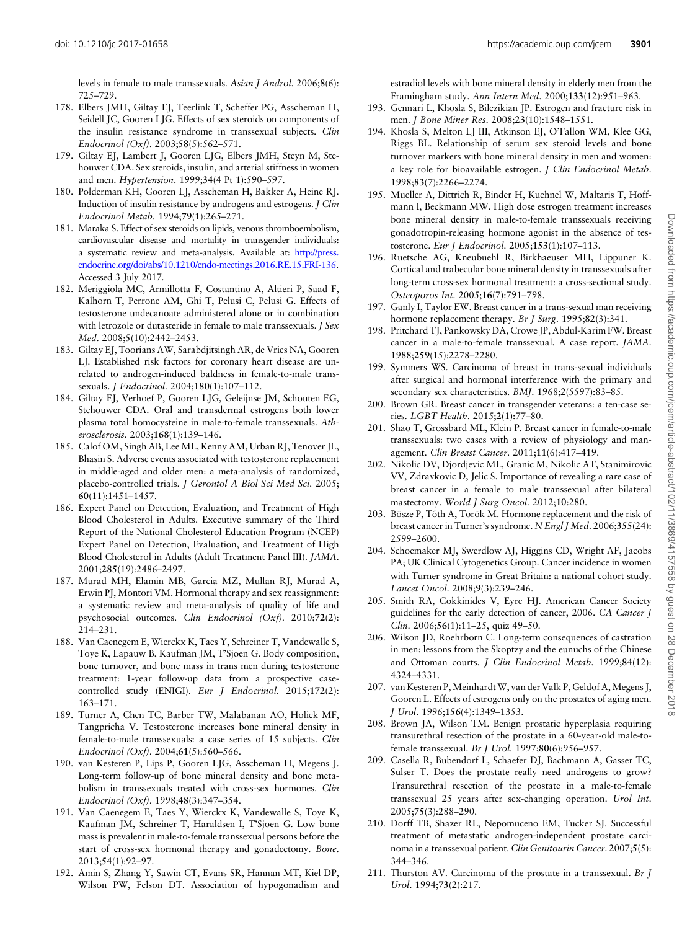<span id="page-32-0"></span>levels in female to male transsexuals. Asian J Androl. 2006;8(6): 725–729.

- 178. Elbers JMH, Giltay EJ, Teerlink T, Scheffer PG, Asscheman H, Seidell JC, Gooren LJG. Effects of sex steroids on components of the insulin resistance syndrome in transsexual subjects. Clin Endocrinol (Oxf). 2003;58(5):562–571.
- 179. Giltay EJ, Lambert J, Gooren LJG, Elbers JMH, Steyn M, Stehouwer CDA. Sex steroids, insulin, and arterial stiffness in women and men. Hypertension. 1999;34(4 Pt 1):590–597.
- 180. Polderman KH, Gooren LJ, Asscheman H, Bakker A, Heine RJ. Induction of insulin resistance by androgens and estrogens. J Clin Endocrinol Metab. 1994;79(1):265–271.
- 181. Maraka S. Effect of sex steroids on lipids, venous thromboembolism, cardiovascular disease and mortality in transgender individuals: a systematic review and meta-analysis. Available at: [http://press.](http://press.endocrine.org/doi/abs/10.1210/endo-meetings.2016.RE.15.FRI-136) [endocrine.org/doi/abs/10.1210/endo-meetings.2016.RE.15.FRI-136.](http://press.endocrine.org/doi/abs/10.1210/endo-meetings.2016.RE.15.FRI-136) Accessed 3 July 2017.
- 182. Meriggiola MC, Armillotta F, Costantino A, Altieri P, Saad F, Kalhorn T, Perrone AM, Ghi T, Pelusi C, Pelusi G. Effects of testosterone undecanoate administered alone or in combination with letrozole or dutasteride in female to male transsexuals. *J Sex* Med. 2008;5(10):2442–2453.
- 183. Giltay EJ, Toorians AW, Sarabdjitsingh AR, de Vries NA, Gooren LJ. Established risk factors for coronary heart disease are unrelated to androgen-induced baldness in female-to-male transsexuals. J Endocrinol. 2004;180(1):107–112.
- 184. Giltay EJ, Verhoef P, Gooren LJG, Geleijnse JM, Schouten EG, Stehouwer CDA. Oral and transdermal estrogens both lower plasma total homocysteine in male-to-female transsexuals. Atherosclerosis. 2003;168(1):139–146.
- 185. Calof OM, Singh AB, Lee ML, Kenny AM, Urban RJ, Tenover JL, Bhasin S. Adverse events associated with testosterone replacement in middle-aged and older men: a meta-analysis of randomized, placebo-controlled trials. J Gerontol A Biol Sci Med Sci. 2005; 60(11):1451–1457.
- 186. Expert Panel on Detection, Evaluation, and Treatment of High Blood Cholesterol in Adults. Executive summary of the Third Report of the National Cholesterol Education Program (NCEP) Expert Panel on Detection, Evaluation, and Treatment of High Blood Cholesterol in Adults (Adult Treatment Panel III). JAMA. 2001;285(19):2486–2497.
- 187. Murad MH, Elamin MB, Garcia MZ, Mullan RJ, Murad A, Erwin PJ, Montori VM. Hormonal therapy and sex reassignment: a systematic review and meta-analysis of quality of life and psychosocial outcomes. Clin Endocrinol (Oxf). 2010;72(2): 214–231.
- 188. Van Caenegem E, Wierckx K, Taes Y, Schreiner T, Vandewalle S, Toye K, Lapauw B, Kaufman JM, T'Sjoen G. Body composition, bone turnover, and bone mass in trans men during testosterone treatment: 1-year follow-up data from a prospective casecontrolled study (ENIGI). Eur J Endocrinol. 2015;172(2): 163–171.
- 189. Turner A, Chen TC, Barber TW, Malabanan AO, Holick MF, Tangpricha V. Testosterone increases bone mineral density in female-to-male transsexuals: a case series of 15 subjects. Clin Endocrinol (Oxf). 2004;61(5):560–566.
- 190. van Kesteren P, Lips P, Gooren LJG, Asscheman H, Megens J. Long-term follow-up of bone mineral density and bone metabolism in transsexuals treated with cross-sex hormones. Clin Endocrinol (Oxf). 1998;48(3):347–354.
- 191. Van Caenegem E, Taes Y, Wierckx K, Vandewalle S, Toye K, Kaufman JM, Schreiner T, Haraldsen I, T'Sjoen G. Low bone mass is prevalent in male-to-female transsexual persons before the start of cross-sex hormonal therapy and gonadectomy. Bone. 2013;54(1):92–97.
- 192. Amin S, Zhang Y, Sawin CT, Evans SR, Hannan MT, Kiel DP, Wilson PW, Felson DT. Association of hypogonadism and

estradiol levels with bone mineral density in elderly men from the Framingham study. Ann Intern Med. 2000;133(12):951–963.

- 193. Gennari L, Khosla S, Bilezikian JP. Estrogen and fracture risk in men. J Bone Miner Res. 2008;23(10):1548–1551.
- 194. Khosla S, Melton LJ III, Atkinson EJ, O'Fallon WM, Klee GG, Riggs BL. Relationship of serum sex steroid levels and bone turnover markers with bone mineral density in men and women: a key role for bioavailable estrogen. J Clin Endocrinol Metab. 1998;83(7):2266–2274.
- 195. Mueller A, Dittrich R, Binder H, Kuehnel W, Maltaris T, Hoffmann I, Beckmann MW. High dose estrogen treatment increases bone mineral density in male-to-female transsexuals receiving gonadotropin-releasing hormone agonist in the absence of testosterone. Eur J Endocrinol. 2005;153(1):107–113.
- 196. Ruetsche AG, Kneubuehl R, Birkhaeuser MH, Lippuner K. Cortical and trabecular bone mineral density in transsexuals after long-term cross-sex hormonal treatment: a cross-sectional study. Osteoporos Int. 2005;16(7):791–798.
- 197. Ganly I, Taylor EW. Breast cancer in a trans-sexual man receiving hormone replacement therapy. Br J Surg. 1995;82(3):341.
- 198. Pritchard TJ, Pankowsky DA, Crowe JP, Abdul-Karim FW. Breast cancer in a male-to-female transsexual. A case report. JAMA. 1988;259(15):2278–2280.
- 199. Symmers WS. Carcinoma of breast in trans-sexual individuals after surgical and hormonal interference with the primary and secondary sex characteristics. BMJ. 1968;2(5597):83–85.
- 200. Brown GR. Breast cancer in transgender veterans: a ten-case series. LGBT Health. 2015;2(1):77–80.
- 201. Shao T, Grossbard ML, Klein P. Breast cancer in female-to-male transsexuals: two cases with a review of physiology and management. Clin Breast Cancer. 2011;11(6):417–419.
- 202. Nikolic DV, Djordjevic ML, Granic M, Nikolic AT, Stanimirovic VV, Zdravkovic D, Jelic S. Importance of revealing a rare case of breast cancer in a female to male transsexual after bilateral mastectomy. World J Surg Oncol. 2012;10:280.
- 203. Bösze P, Tóth A, Török M. Hormone replacement and the risk of breast cancer in Turner's syndrome. N Engl J Med. 2006;355(24): 2599–2600.
- 204. Schoemaker MJ, Swerdlow AJ, Higgins CD, Wright AF, Jacobs PA; UK Clinical Cytogenetics Group. Cancer incidence in women with Turner syndrome in Great Britain: a national cohort study. Lancet Oncol. 2008;9(3):239–246.
- 205. Smith RA, Cokkinides V, Eyre HJ. American Cancer Society guidelines for the early detection of cancer, 2006. CA Cancer J Clin. 2006;56(1):11-25, quiz 49-50.
- 206. Wilson JD, Roehrborn C. Long-term consequences of castration in men: lessons from the Skoptzy and the eunuchs of the Chinese and Ottoman courts. J Clin Endocrinol Metab. 1999;84(12): 4324–4331.
- 207. van Kesteren P, Meinhardt W, van der Valk P, Geldof A, Megens J, Gooren L. Effects of estrogens only on the prostates of aging men. J Urol. 1996;156(4):1349–1353.
- 208. Brown JA, Wilson TM. Benign prostatic hyperplasia requiring transurethral resection of the prostate in a 60-year-old male-tofemale transsexual. Br J Urol. 1997;80(6):956–957.
- 209. Casella R, Bubendorf L, Schaefer DJ, Bachmann A, Gasser TC, Sulser T. Does the prostate really need androgens to grow? Transurethral resection of the prostate in a male-to-female transsexual 25 years after sex-changing operation. Urol Int. 2005;75(3):288–290.
- 210. Dorff TB, Shazer RL, Nepomuceno EM, Tucker SJ. Successful treatment of metastatic androgen-independent prostate carcinoma in a transsexual patient. Clin Genitourin Cancer. 2007;5(5): 344–346.
- 211. Thurston AV. Carcinoma of the prostate in a transsexual. Br  $J$ Urol. 1994;73(2):217.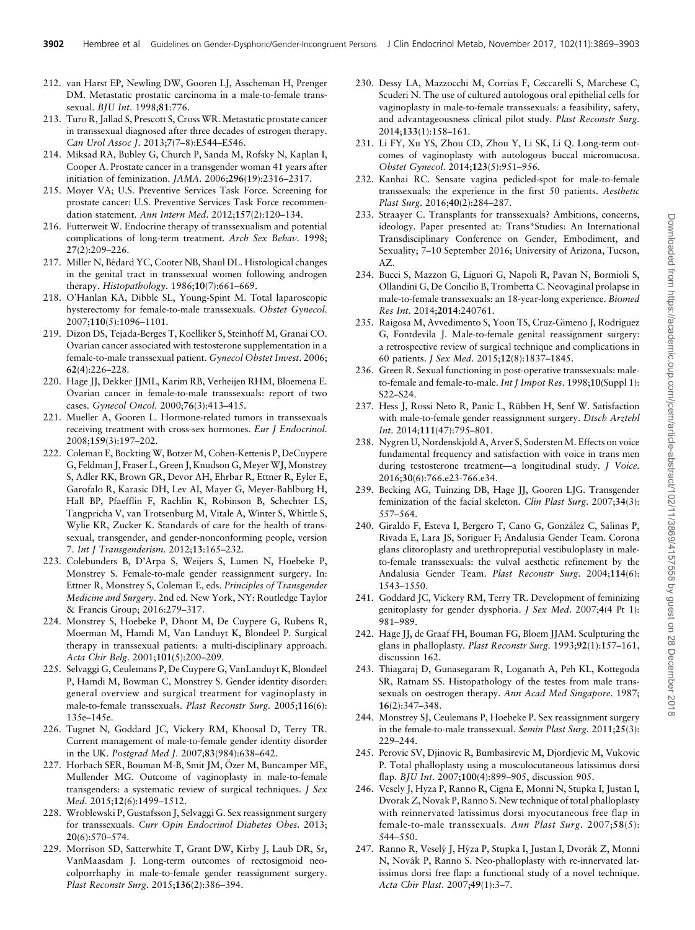- <span id="page-33-0"></span>212. van Harst EP, Newling DW, Gooren LJ, Asscheman H, Prenger DM. Metastatic prostatic carcinoma in a male-to-female transsexual. BJU Int. 1998;81:776.
- 213. Turo R, Jallad S, Prescott S, Cross WR. Metastatic prostate cancer in transsexual diagnosed after three decades of estrogen therapy. Can Urol Assoc J. 2013;7(7–8):E544–E546.
- 214. Miksad RA, Bubley G, Church P, Sanda M, Rofsky N, Kaplan I, Cooper A. Prostate cancer in a transgender woman 41 years after initiation of feminization. JAMA. 2006;296(19):2316–2317.
- 215. Moyer VA; U.S. Preventive Services Task Force. Screening for prostate cancer: U.S. Preventive Services Task Force recommendation statement. Ann Intern Med. 2012;157(2):120-134.
- 216. Futterweit W. Endocrine therapy of transsexualism and potential complications of long-term treatment. Arch Sex Behav. 1998; 27(2):209–226.
- 217. Miller N, Bédard YC, Cooter NB, Shaul DL. Histological changes in the genital tract in transsexual women following androgen therapy. Histopathology. 1986;10(7):661–669.
- 218. O'Hanlan KA, Dibble SL, Young-Spint M. Total laparoscopic hysterectomy for female-to-male transsexuals. Obstet Gynecol. 2007;110(5):1096–1101.
- 219. Dizon DS, Tejada-Berges T, Koelliker S, Steinhoff M, Granai CO. Ovarian cancer associated with testosterone supplementation in a female-to-male transsexual patient. Gynecol Obstet Invest. 2006; 62(4):226–228.
- 220. Hage JJ, Dekker JJML, Karim RB, Verheijen RHM, Bloemena E. Ovarian cancer in female-to-male transsexuals: report of two cases. Gynecol Oncol. 2000;76(3):413–415.
- 221. Mueller A, Gooren L. Hormone-related tumors in transsexuals receiving treatment with cross-sex hormones. Eur J Endocrinol. 2008;159(3):197–202.
- 222. Coleman E, Bockting W, Botzer M, Cohen-Kettenis P, DeCuypere G, Feldman J, Fraser L, Green J, Knudson G, Meyer WJ, Monstrey S, Adler RK, Brown GR, Devor AH, Ehrbar R, Ettner R, Eyler E, Garofalo R, Karasic DH, Lev AI, Mayer G, Meyer-Bahlburg H, Hall BP, Pfaefflin F, Rachlin K, Robinson B, Schechter LS, Tangpricha V, van Trotsenburg M, Vitale A, Winter S, Whittle S, Wylie KR, Zucker K. Standards of care for the health of transsexual, transgender, and gender-nonconforming people, version 7. Int J Transgenderism. 2012;13:165–232.
- 223. Colebunders B, D'Arpa S, Weijers S, Lumen N, Hoebeke P, Monstrey S. Female-to-male gender reassignment surgery. In: Ettner R, Monstrey S, Coleman E, eds. Principles of Transgender Medicine and Surgery. 2nd ed. New York, NY: Routledge Taylor & Francis Group; 2016:279–317.
- 224. Monstrey S, Hoebeke P, Dhont M, De Cuypere G, Rubens R, Moerman M, Hamdi M, Van Landuyt K, Blondeel P. Surgical therapy in transsexual patients: a multi-disciplinary approach. Acta Chir Belg. 2001;101(5):200–209.
- 225. Selvaggi G, Ceulemans P, De Cuypere G, VanLanduyt K, Blondeel P, Hamdi M, Bowman C, Monstrey S. Gender identity disorder: general overview and surgical treatment for vaginoplasty in male-to-female transsexuals. Plast Reconstr Surg. 2005;116(6): 135e–145e.
- 226. Tugnet N, Goddard JC, Vickery RM, Khoosal D, Terry TR. Current management of male-to-female gender identity disorder in the UK. Postgrad Med J. 2007;83(984):638–642.
- 227. Horbach SER, Bouman M-B, Smit JM, Özer M, Buncamper ME, Mullender MG. Outcome of vaginoplasty in male-to-female transgenders: a systematic review of surgical techniques. J Sex Med. 2015;12(6):1499–1512.
- 228. Wroblewski P, Gustafsson J, Selvaggi G. Sex reassignment surgery for transsexuals. Curr Opin Endocrinol Diabetes Obes. 2013; 20(6):570–574.
- 229. Morrison SD, Satterwhite T, Grant DW, Kirby J, Laub DR, Sr, VanMaasdam J. Long-term outcomes of rectosigmoid neocolporrhaphy in male-to-female gender reassignment surgery. Plast Reconstr Surg. 2015;136(2):386–394.
- 230. Dessy LA, Mazzocchi M, Corrias F, Ceccarelli S, Marchese C, Scuderi N. The use of cultured autologous oral epithelial cells for vaginoplasty in male-to-female transsexuals: a feasibility, safety, and advantageousness clinical pilot study. Plast Reconstr Surg. 2014;133(1):158–161.
- 231. Li FY, Xu YS, Zhou CD, Zhou Y, Li SK, Li Q. Long-term outcomes of vaginoplasty with autologous buccal micromucosa. Obstet Gynecol. 2014;123(5):951–956.
- 232. Kanhai RC. Sensate vagina pedicled-spot for male-to-female transsexuals: the experience in the first 50 patients. Aesthetic Plast Surg. 2016;40(2):284–287.
- 233. Straayer C. Transplants for transsexuals? Ambitions, concerns, ideology. Paper presented at: Trans\*Studies: An International Transdisciplinary Conference on Gender, Embodiment, and Sexuality; 7–10 September 2016; University of Arizona, Tucson, AZ.
- 234. Bucci S, Mazzon G, Liguori G, Napoli R, Pavan N, Bormioli S, Ollandini G, De Concilio B, Trombetta C. Neovaginal prolapse in male-to-female transsexuals: an 18-year-long experience. Biomed Res Int. 2014;2014:240761.
- 235. Raigosa M, Avvedimento S, Yoon TS, Cruz-Gimeno J, Rodriguez G, Fontdevila J. Male-to-female genital reassignment surgery: a retrospective review of surgical technique and complications in 60 patients. J Sex Med. 2015;12(8):1837–1845.
- 236. Green R. Sexual functioning in post-operative transsexuals: maleto-female and female-to-male. Int J Impot Res. 1998;10(Suppl 1): S22–S24.
- 237. Hess J, Rossi Neto R, Panic L, Rübben H, Senf W. Satisfaction with male-to-female gender reassignment surgery. Dtsch Arztebl Int. 2014;111(47):795–801.
- 238. Nygren U, Nordenskjold A, Arver S, Sodersten M. Effects on voice fundamental frequency and satisfaction with voice in trans men during testosterone treatment—a longitudinal study. J Voice. 2016;30(6):766.e23-766.e34.
- 239. Becking AG, Tuinzing DB, Hage JJ, Gooren LJG. Transgender feminization of the facial skeleton. Clin Plast Surg. 2007;34(3): 557–564.
- 240. Giraldo F, Esteva I, Bergero T, Cano G, González C, Salinas P, Rivada E, Lara JS, Soriguer F; Andalusia Gender Team. Corona glans clitoroplasty and urethropreputial vestibuloplasty in maleto-female transsexuals: the vulval aesthetic refinement by the Andalusia Gender Team. Plast Reconstr Surg. 2004;114(6): 1543–1550.
- 241. Goddard JC, Vickery RM, Terry TR. Development of feminizing genitoplasty for gender dysphoria. J Sex Med. 2007;4(4 Pt 1): 981–989.
- 242. Hage JJ, de Graaf FH, Bouman FG, Bloem JJAM. Sculpturing the glans in phalloplasty. Plast Reconstr Surg. 1993;92(1):157–161, discussion 162.
- 243. Thiagaraj D, Gunasegaram R, Loganath A, Peh KL, Kottegoda SR, Ratnam SS. Histopathology of the testes from male transsexuals on oestrogen therapy. Ann Acad Med Singapore. 1987; 16(2):347–348.
- 244. Monstrey SJ, Ceulemans P, Hoebeke P. Sex reassignment surgery in the female-to-male transsexual. Semin Plast Surg. 2011;25(3): 229–244.
- 245. Perovic SV, Djinovic R, Bumbasirevic M, Djordjevic M, Vukovic P. Total phalloplasty using a musculocutaneous latissimus dorsi flap. BJU Int. 2007;100(4):899–905, discussion 905.
- 246. Vesely J, Hyza P, Ranno R, Cigna E, Monni N, Stupka I, Justan I, Dvorak Z, Novak P, Ranno S. New technique of total phalloplasty with reinnervated latissimus dorsi myocutaneous free flap in female-to-male transsexuals. Ann Plast Surg. 2007;58(5): 544–550.
- 247. Ranno R, Veselý J, Hýza P, Stupka I, Justan I, Dvorák Z, Monni N, Novák P, Ranno S. Neo-phalloplasty with re-innervated latissimus dorsi free flap: a functional study of a novel technique. Acta Chir Plast. 2007;49(1):3–7.